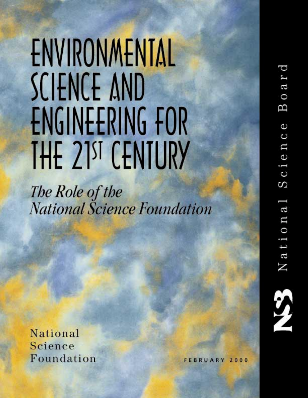# ENVIRONMENTAL **SCIENCE AND** ENGINEERING FOR THE 21ST CENTURY

The Role of the **National Science Foundation** 

National Science Foundation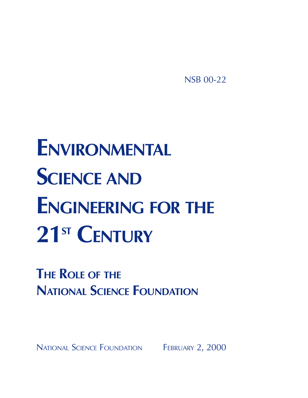NSB 00-22

# **ENVIRONMENTAL SCIENCE AND ENGINEERING FOR THE** 21<sup>ST</sup> CENTURY

**THE ROLE OF THE NATIONAL SCIENCE FOUNDATION**

NATIONAL SCIENCE FOUNDATION FEBRUARY 2, 2000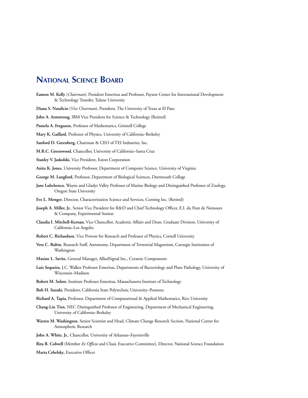## **NATIONAL SCIENCE BOARD**

& Technology Transfer, Tulane University **Diana S. Natalicio** (*Vice Chairman*), President, The University of Texas at El Paso **John A. Armstrong**, IBM Vice President for Science & Technology (Retired) **Pamela A. Ferguson**, Professor of Mathematics, Grinnell College **Mary K. Gaillard**, Professor of Physics, University of California–Berkeley **Sanford D. Greenberg**, Chairman & CEO of TEI Industries, Inc. **M.R.C. Greenwood**, Chancellor, University of California–Santa Cruz **Stanley V. Jaskolski**, Vice President, Eaton Corporation **Anita K. Jones**, University Professor, Department of Computer Science, University of Virginia **George M. Langford**, Professor, Department of Biological Sciences, Dartmouth College **Jane Lubchenco**, Wayne and Gladys Valley Professor of Marine Biology and Distinguished Professor of Zoology, Oregon State University **Eve L. Menger**, Director, Characterization Science and Services, Corning Inc. (Retired) **Joseph A. Miller, Jr.**, Senior Vice President for R&D and Chief Technology Officer, E.I. du Pont de Nemours & Company, Experimental Station **Claudia I. Mitchell-Kernan**, Vice Chancellor, Academic Affairs and Dean, Graduate Division, University of California–Los Angeles **Robert C. Richardson**, Vice Provost for Research and Professor of Physics, Cornell University **Vera C. Rubin**, Research Staff, Astronomy, Department of Terrestrial Magnetism, Carnegie Institution of Washington **Maxine L. Savitz**, General Manager, AlliedSignal Inc., Ceramic Components **Luis Sequeira**, J.C. Walker Professor Emeritus, Departments of Bacteriology and Plant Pathology, University of Wisconsin–Madison **Robert M. Solow**, Institute Professor Emeritus, Massachusetts Institute of Technology **Bob H. Suzuki**, President, California State Polytechnic University–Pomona **Richard A. Tapia**, Professor, Department of Computational & Applied Mathematics, Rice University **Chang-Lin Tien**, NEC Distinguished Professor of Engineering, Department of Mechanical Engineering, University of California–Berkeley

**Eamon M. Kelly** (*Chairman*), President Emeritus and Professor, Payson Center for International Development

- **Warren M. Washington**, Senior Scientist and Head, Climate Change Research Section, National Center for Atmospheric Research
- **John A. White, Jr.**, Chancellor, University of Arkansas–Fayetteville
- **Rita R. Colwell** (Member *Ex Officio* and Chair, Executive Committee), Director, National Science Foundation

**Marta Cehelsky**, Executive Officer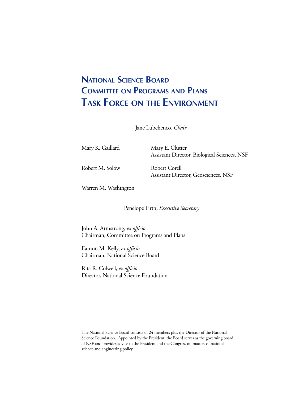# **NATIONAL SCIENCE BOARD COMMITTEE ON PROGRAMS AND PLANS TASK FORCE ON THE ENVIRONMENT**

Jane Lubchenco, *Chair*

Mary K. Gaillard Mary E. Clutter Assistant Director, Biological Sciences, NSF Robert M. Solow Robert Corell Assistant Director, Geosciences, NSF

Warren M. Washington

Penelope Firth, *Executive Secretary*

John A. Armstrong, *ex officio* Chairman, Committee on Programs and Plans

Eamon M. Kelly, *ex officio* Chairman, National Science Board

Rita R. Colwell, *ex officio* Director, National Science Foundation

The National Science Board consists of 24 members plus the Director of the National Science Foundation. Appointed by the President, the Board serves as the governing board of NSF and provides advice to the President and the Congress on matters of national science and engineering policy.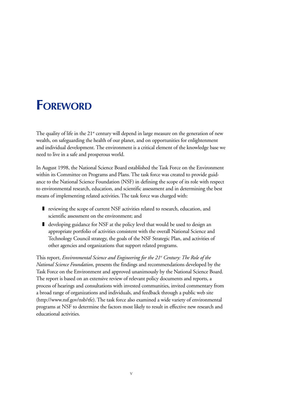# <span id="page-5-0"></span>**FOREWORD**

The quality of life in the  $21<sup>st</sup>$  century will depend in large measure on the generation of new wealth, on safeguarding the health of our planet, and on opportunities for enlightenment and individual development. The environment is a critical element of the knowledge base we need to live in a safe and prosperous world.

In August 1998, the National Science Board established the Task Force on the Environment within its Committee on Programs and Plans. The task force was created to provide guidance to the National Science Foundation (NSF) in defining the scope of its role with respect to environmental research, education, and scientific assessment and in determining the best means of implementing related activities. The task force was charged with:

- reviewing the scope of current NSF activities related to research, education, and scientific assessment on the environment; and
- developing guidance for NSF at the policy level that would be used to design an appropriate portfolio of activities consistent with the overall National Science and Technology Council strategy, the goals of the NSF Strategic Plan, and activities of other agencies and organizations that support related programs.

This report, *Environmental Science and Engineering for the 21st Century: The Role of the National Science Foundation*, presents the findings and recommendations developed by the Task Force on the Environment and approved unanimously by the National Science Board. The report is based on an extensive review of relevant policy documents and reports, a process of hearings and consultations with invested communities, invited commentary from a broad range of organizations and individuals, and feedback through a public web site [\(http://www.nsf.gov/nsb/tfe\).](http://www.nsf.gov/nsb/tfe) The task force also examined a wide variety of environmental programs at NSF to determine the factors most likely to result in effective new research and educational activities.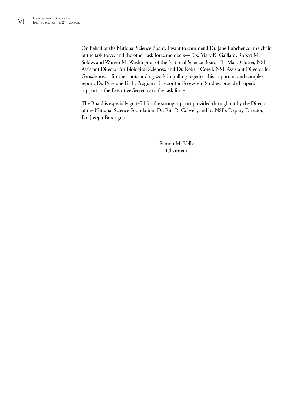On behalf of the National Science Board, I want to commend Dr. Jane Lubchenco, the chair of the task force, and the other task force members—Drs. Mary K. Gaillard, Robert M. Solow, and Warren M. Washington of the National Science Board; Dr. Mary Clutter, NSF Assistant Director for Biological Sciences; and Dr. Robert Corell, NSF Assistant Director for Geosciences—for their outstanding work in pulling together this important and complex report. Dr. Penelope Firth, Program Director for Ecosystem Studies, provided superb support as the Executive Secretary to the task force.

The Board is especially grateful for the strong support provided throughout by the Director of the National Science Foundation, Dr. Rita R. Colwell, and by NSF's Deputy Director, Dr. Joseph Bordogna.

> Eamon M. Kelly Chairman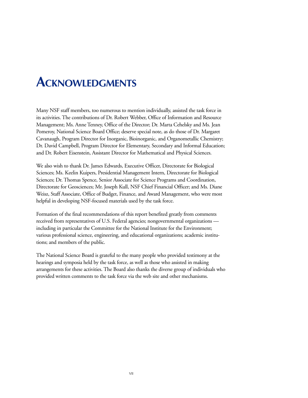# **ACKNOWLEDGMENTS**

Many NSF staff members, too numerous to mention individually, assisted the task force in its activities. The contributions of Dr. Robert Webber, Office of Information and Resource Management; Ms. Anne Tenney, Office of the Director; Dr. Marta Cehelsky and Ms. Jean Pomeroy, National Science Board Office; deserve special note, as do those of Dr. Margaret Cavanaugh, Program Director for Inorganic, Bioinorganic, and Organometallic Chemistry; Dr. David Campbell, Program Director for Elementary, Secondary and Informal Education; and Dr. Robert Eisenstein, Assistant Director for Mathematical and Physical Sciences.

We also wish to thank Dr. James Edwards, Executive Officer, Directorate for Biological Sciences; Ms. Keelin Kuipers, Presidential Management Intern, Directorate for Biological Sciences; Dr. Thomas Spence, Senior Associate for Science Programs and Coordination, Directorate for Geosciences; Mr. Joseph Kull, NSF Chief Financial Officer; and Ms. Diane Weisz, Staff Associate, Office of Budget, Finance, and Award Management, who were most helpful in developing NSF-focused materials used by the task force.

Formation of the final recommendations of this report benefited greatly from comments received from representatives of U.S. Federal agencies; nongovernmental organizations including in particular the Committee for the National Institute for the Environment; various professional science, engineering, and educational organizations; academic institutions; and members of the public.

The National Science Board is grateful to the many people who provided testimony at the hearings and symposia held by the task force, as well as those who assisted in making arrangements for these activities. The Board also thanks the diverse group of individuals who provided written comments to the task force via the web site and other mechanisms.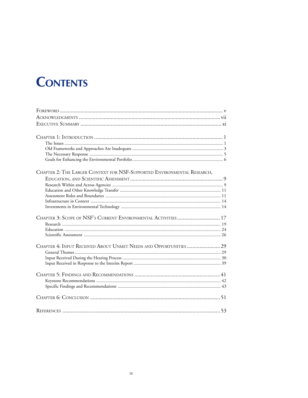# **CONTENTS**

| CHAPTER 2: THE LARGER CONTEXT FOR NSF-SUPPORTED ENVIRONMENTAL RESEARCH, |  |
|-------------------------------------------------------------------------|--|
|                                                                         |  |
|                                                                         |  |
|                                                                         |  |
|                                                                         |  |
|                                                                         |  |
|                                                                         |  |
| CHAPTER 3: SCOPE OF NSF'S CURRENT ENVIRONMENTAL ACTIVITIES  17          |  |
|                                                                         |  |
|                                                                         |  |
|                                                                         |  |
| CHAPTER 4: INPUT RECEIVED ABOUT UNMET NEEDS AND OPPORTUNITIES  29       |  |
|                                                                         |  |
|                                                                         |  |
|                                                                         |  |
|                                                                         |  |
|                                                                         |  |
|                                                                         |  |
|                                                                         |  |
|                                                                         |  |
|                                                                         |  |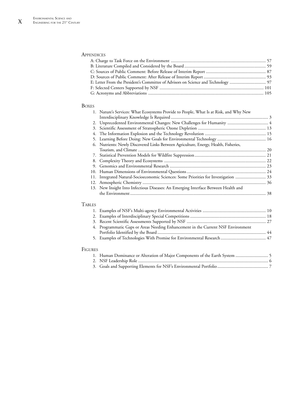#### **APPENDICES**

| E: Letter From the President's Committee of Advisors on Science and Technology  97 |  |
|------------------------------------------------------------------------------------|--|
|                                                                                    |  |
|                                                                                    |  |
|                                                                                    |  |

#### BOXES

| 1. Nature's Services: What Ecosystems Provide to People, What Is at Risk, and Why New |  |  |
|---------------------------------------------------------------------------------------|--|--|
|                                                                                       |  |  |
|                                                                                       |  |  |
|                                                                                       |  |  |
|                                                                                       |  |  |
|                                                                                       |  |  |
| 6. Nutrients: Newly Discovered Links Between Agriculture, Energy, Health, Fisheries,  |  |  |
|                                                                                       |  |  |
|                                                                                       |  |  |
|                                                                                       |  |  |
|                                                                                       |  |  |
|                                                                                       |  |  |
| 11. Integrated Natural-Socioeconomic Sciences: Some Priorities for Investigation  33  |  |  |
|                                                                                       |  |  |
| 13. New Insight Into Infectious Diseases: An Emerging Interface Between Health and    |  |  |
|                                                                                       |  |  |
|                                                                                       |  |  |

#### TABLES

|         | 4. Programmatic Gaps or Areas Needing Enhancement in the Current NSF Environment |  |
|---------|----------------------------------------------------------------------------------|--|
|         |                                                                                  |  |
|         |                                                                                  |  |
| FIGURES |                                                                                  |  |
|         |                                                                                  |  |
|         |                                                                                  |  |

3. Goals and Supporting Elements for NSF's Environmental Portfolio............................................. 7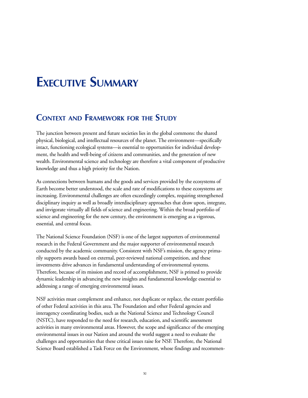# <span id="page-11-0"></span>**EXECUTIVE SUMMARY**

## **CONTEXT AND FRAMEWORK FOR THE STUDY**

The junction between present and future societies lies in the global commons: the shared physical, biological, and intellectual resources of the planet. The environment—specifically intact, functioning ecological systems—is essential to opportunities for individual development, the health and well-being of citizens and communities, and the generation of new wealth. Environmental science and technology are therefore a vital component of productive knowledge and thus a high priority for the Nation.

As connections between humans and the goods and services provided by the ecosystems of Earth become better understood, the scale and rate of modifications to these ecosystems are increasing. Environmental challenges are often exceedingly complex, requiring strengthened disciplinary inquiry as well as broadly interdisciplinary approaches that draw upon, integrate, and invigorate virtually all fields of science and engineering. Within the broad portfolio of science and engineering for the new century, the environment is emerging as a vigorous, essential, and central focus.

The National Science Foundation (NSF) is one of the largest supporters of environmental research in the Federal Government and the major supporter of environmental research conducted by the academic community. Consistent with NSF's mission, the agency primarily supports awards based on external, peer-reviewed national competition, and these investments drive advances in fundamental understanding of environmental systems. Therefore, because of its mission and record of accomplishment, NSF is primed to provide dynamic leadership in advancing the new insights and fundamental knowledge essential to addressing a range of emerging environmental issues.

NSF activities must complement and enhance, not duplicate or replace, the extant portfolio of other Federal activities in this area. The Foundation and other Federal agencies and interagency coordinating bodies, such as the National Science and Technology Council (NSTC), have responded to the need for research, education, and scientific assessment activities in many environmental areas. However, the scope and significance of the emerging environmental issues in our Nation and around the world suggest a need to evaluate the challenges and opportunities that these critical issues raise for NSF. Therefore, the National Science Board established a Task Force on the Environment, whose findings and recommen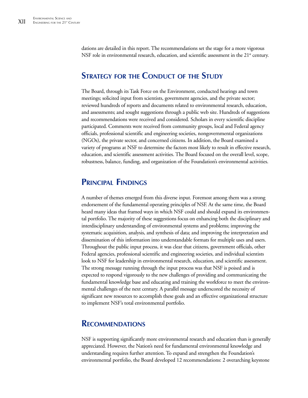dations are detailed in this report. The recommendations set the stage for a more vigorous NSF role in environmental research, education, and scientific assessment in the  $21<sup>st</sup>$  century.

### **STRATEGY FOR THE CONDUCT OF THE STUDY**

The Board, through its Task Force on the Environment, conducted hearings and town meetings; solicited input from scientists, government agencies, and the private sector; reviewed hundreds of reports and documents related to environmental research, education, and assessments; and sought suggestions through a public web site. Hundreds of suggestions and recommendations were received and considered. Scholars in every scientific discipline participated. Comments were received from community groups, local and Federal agency officials, professional scientific and engineering societies, nongovernmental organizations (NGOs), the private sector, and concerned citizens. In addition, the Board examined a variety of programs at NSF to determine the factors most likely to result in effective research, education, and scientific assessment activities. The Board focused on the overall level, scope, robustness, balance, funding, and organization of the Foundation's environmental activities.

## **PRINCIPAL FINDINGS**

A number of themes emerged from this diverse input. Foremost among them was a strong endorsement of the fundamental operating principles of NSF. At the same time, the Board heard many ideas that framed ways in which NSF could and should expand its environmental portfolio. The majority of these suggestions focus on enhancing both the disciplinary and interdisciplinary understanding of environmental systems and problems; improving the systematic acquisition, analysis, and synthesis of data; and improving the interpretation and dissemination of this information into understandable formats for multiple uses and users. Throughout the public input process, it was clear that citizens, government officials, other Federal agencies, professional scientific and engineering societies, and individual scientists look to NSF for leadership in environmental research, education, and scientific assessment. The strong message running through the input process was that NSF is poised and is expected to respond vigorously to the new challenges of providing and communicating the fundamental knowledge base and educating and training the workforce to meet the environmental challenges of the next century. A parallel message underscored the necessity of significant new resources to accomplish these goals and an effective organizational structure to implement NSF's total environmental portfolio.

### **RECOMMENDATIONS**

NSF is supporting significantly more environmental research and education than is generally appreciated. However, the Nation's need for fundamental environmental knowledge and understanding requires further attention. To expand and strengthen the Foundation's environmental portfolio, the Board developed 12 recommendations: 2 overarching keystone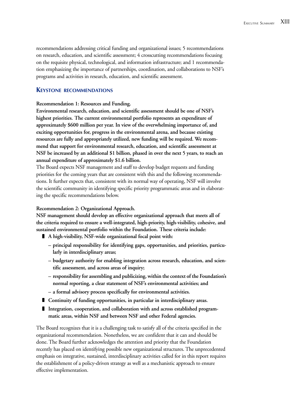recommendations addressing critical funding and organizational issues; 5 recommendations on research, education, and scientific assessment; 4 crosscutting recommendations focusing on the requisite physical, technological, and information infrastructure; and 1 recommendation emphasizing the importance of partnerships, coordination, and collaborations to NSF's programs and activities in research, education, and scientific assessment.

#### **KEYSTONE RECOMMENDATIONS**

#### **Recommendation 1: Resources and Funding.**

**Environmental research, education, and scientific assessment should be one of NSF's highest priorities. The current environmental portfolio represents an expenditure of approximately \$600 million per year. In view of the overwhelming importance of, and exciting opportunities for, progress in the environmental arena, and because existing resources are fully and appropriately utilized, new funding will be required. We recommend that support for environmental research, education, and scientific assessment at NSF be increased by an additional \$1 billion, phased in over the next 5 years, to reach an annual expenditure of approximately \$1.6 billion.**

The Board expects NSF management and staff to develop budget requests and funding priorities for the coming years that are consistent with this and the following recommendations. It further expects that, consistent with its normal way of operating, NSF will involve the scientific community in identifying specific priority programmatic areas and in elaborating the specific recommendations below.

#### **Recommendation 2: Organizational Approach.**

**NSF management should develop an effective organizational approach that meets all of the criteria required to ensure a well-integrated, high-priority, high-visibility, cohesive, and sustained environmental portfolio within the Foundation. These criteria include:**

- A high-visibility, NSF-wide organizational focal point with:
	- **principal responsibility for identifying gaps, opportunities, and priorities, particularly in interdisciplinary areas;**
	- **budgetary authority for enabling integration across research, education, and scientific assessment, and across areas of inquiry;**
	- **responsibility for assembling and publicizing, within the context of the Foundation's normal reporting, a clear statement of NSF's environmental activities; and**
	- **a formal advisory process specifically for environmental activities.**
- Continuity of funding opportunities, in particular in interdisciplinary areas.
- **■** Integration, cooperation, and collaboration with and across established program**matic areas, within NSF and between NSF and other Federal agencies.**

The Board recognizes that it is a challenging task to satisfy all of the criteria specified in the organizational recommendation. Nonetheless, we are confident that it can and should be done. The Board further acknowledges the attention and priority that the Foundation recently has placed on identifying possible new organizational structures. The unprecedented emphasis on integrative, sustained, interdisciplinary activities called for in this report requires the establishment of a policy-driven strategy as well as a mechanistic approach to ensure effective implementation.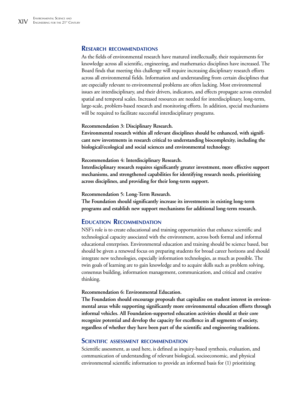#### **RESEARCH RECOMMENDATIONS**

As the fields of environmental research have matured intellectually, their requirements for knowledge across all scientific, engineering, and mathematics disciplines have increased. The Board finds that meeting this challenge will require increasing disciplinary research efforts across all environmental fields. Information and understanding from certain disciplines that are especially relevant to environmental problems are often lacking. Most environmental issues are interdisciplinary, and their drivers, indicators, and effects propagate across extended spatial and temporal scales. Increased resources are needed for interdisciplinary, long-term, large-scale, problem-based research and monitoring efforts. In addition, special mechanisms will be required to facilitate successful interdisciplinary programs.

#### **Recommendation 3: Disciplinary Research.**

**Environmental research within all relevant disciplines should be enhanced, with significant new investments in research critical to understanding biocomplexity, including the biological/ecological and social sciences and environmental technology.**

**Recommendation 4: Interdisciplinary Research.**

**Interdisciplinary research requires significantly greater investment, more effective support mechanisms, and strengthened capabilities for identifying research needs, prioritizing across disciplines, and providing for their long-term support.**

**Recommendation 5: Long-Term Research.**

**The Foundation should significantly increase its investments in existing long-term programs and establish new support mechanisms for additional long-term research.**

#### **EDUCATION RECOMMENDATION**

NSF's role is to create educational and training opportunities that enhance scientific and technological capacity associated with the environment, across both formal and informal educational enterprises. Environmental education and training should be science based, but should be given a renewed focus on preparing students for broad career horizons and should integrate new technologies, especially information technologies, as much as possible. The twin goals of learning are to gain knowledge and to acquire skills such as problem solving, consensus building, information management, communication, and critical and creative thinking.

#### **Recommendation 6: Environmental Education.**

**The Foundation should encourage proposals that capitalize on student interest in environmental areas while supporting significantly more environmental education efforts through informal vehicles. All Foundation-supported education activities should at their core recognize potential and develop the capacity for excellence in all segments of society, regardless of whether they have been part of the scientific and engineering traditions.**

#### **SCIENTIFIC ASSESSMENT RECOMMENDATION**

Scientific assessment, as used here, is defined as inquiry-based synthesis, evaluation, and communication of understanding of relevant biological, socioeconomic, and physical environmental scientific information to provide an informed basis for (1) prioritizing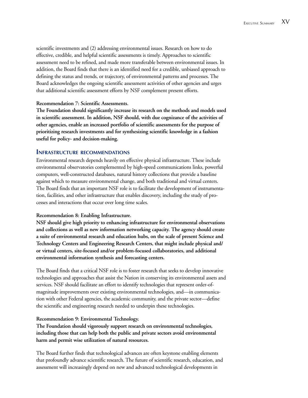scientific investments and (2) addressing environmental issues. Research on how to do effective, credible, and helpful scientific assessments is timely. Approaches to scientific assessment need to be refined, and made more transferable between environmental issues. In addition, the Board finds that there is an identified need for a credible, unbiased approach to defining the status and trends, or trajectory, of environmental patterns and processes. The Board acknowledges the ongoing scientific assessment activities of other agencies and urges that additional scientific assessment efforts by NSF complement present efforts.

#### **Recommendation 7: Scientific Assessments.**

**The Foundation should significantly increase its research on the methods and models used in scientific assessment. In addition, NSF should, with due cognizance of the activities of other agencies, enable an increased portfolio of scientific assessments for the purpose of prioritizing research investments and for synthesizing scientific knowledge in a fashion useful for policy- and decision-making.**

#### **INFRASTRUCTURE RECOMMENDATIONS**

Environmental research depends heavily on effective physical infrastructure. These include environmental observatories complemented by high-speed communications links, powerful computers, well-constructed databases, natural history collections that provide a baseline against which to measure environmental change, and both traditional and virtual centers. The Board finds that an important NSF role is to facilitate the development of instrumentation, facilities, and other infrastructure that enables discovery, including the study of processes and interactions that occur over long time scales.

#### **Recommendation 8: Enabling Infrastructure.**

**NSF should give high priority to enhancing infrastructure for environmental observations and collections as well as new information networking capacity. The agency should create a suite of environmental research and education hubs, on the scale of present Science and Technology Centers and Engineering Research Centers, that might include physical and/ or virtual centers, site-focused and/or problem-focused collaboratories, and additional environmental information synthesis and forecasting centers.**

The Board finds that a critical NSF role is to foster research that seeks to develop innovative technologies and approaches that assist the Nation in conserving its environmental assets and services. NSF should facilitate an effort to identify technologies that represent order-ofmagnitude improvements over existing environmental technologies, and—in communication with other Federal agencies, the academic community, and the private sector—define the scientific and engineering research needed to underpin these technologies.

#### **Recommendation 9: Environmental Technology.**

**The Foundation should vigorously support research on environmental technologies, including those that can help both the public and private sectors avoid environmental harm and permit wise utilization of natural resources.**

The Board further finds that technological advances are often keystone enabling elements that profoundly advance scientific research. The future of scientific research, education, and assessment will increasingly depend on new and advanced technological developments in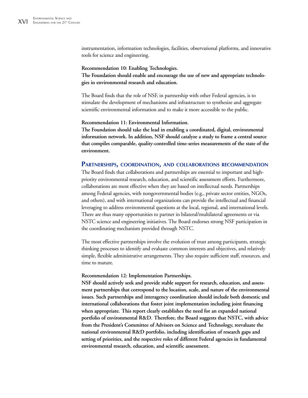instrumentation, information technologies, facilities, observational platforms, and innovative tools for science and engineering.

**Recommendation 10: Enabling Technologies.**

**The Foundation should enable and encourage the use of new and appropriate technologies in environmental research and education.**

The Board finds that the role of NSF, in partnership with other Federal agencies, is to stimulate the development of mechanisms and infrastructure to synthesize and aggregate scientific environmental information and to make it more accessible to the public.

**Recommendation 11: Environmental Information.**

**The Foundation should take the lead in enabling a coordinated, digital, environmental information network. In addition, NSF should catalyze a study to frame a central source that compiles comparable, quality-controlled time-series measurements of the state of the environment.**

#### **PARTNERSHIPS, COORDINATION, AND COLLABORATIONS RECOMMENDATION**

The Board finds that collaborations and partnerships are essential to important and highpriority environmental research, education, and scientific assessment efforts. Furthermore, collaborations are most effective when they are based on intellectual needs. Partnerships among Federal agencies, with nongovernmental bodies (e.g., private sector entities, NGOs, and others), and with international organizations can provide the intellectual and financial leveraging to address environmental questions at the local, regional, and international levels. There are thus many opportunities to partner in bilateral/multilateral agreements or via NSTC science and engineering initiatives. The Board endorses strong NSF participation in the coordinating mechanism provided through NSTC.

The most effective partnerships involve the evolution of trust among participants, strategic thinking processes to identify and evaluate common interests and objectives, and relatively simple, flexible administrative arrangements. They also require sufficient staff, resources, and time to mature.

#### **Recommendation 12: Implementation Partnerships.**

**NSF should actively seek and provide stable support for research, education, and assessment partnerships that correspond to the location, scale, and nature of the environmental issues. Such partnerships and interagency coordination should include both domestic and international collaborations that foster joint implementation including joint financing when appropriate. This report clearly establishes the need for an expanded national portfolio of environmental R&D. Therefore, the Board suggests that NSTC, with advice from the President's Committee of Advisors on Science and Technology, reevaluate the national environmental R&D portfolio, including identification of research gaps and setting of priorities, and the respective roles of different Federal agencies in fundamental environmental research, education, and scientific assessment.**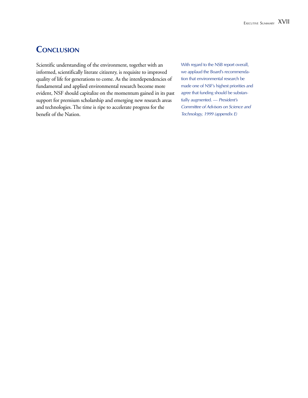# **CONCLUSION**

Scientific understanding of the environment, together with an informed, scientifically literate citizenry, is requisite to improved quality of life for generations to come. As the interdependencies of fundamental and applied environmental research become more evident, NSF should capitalize on the momentum gained in its past support for premium scholarship and emerging new research areas and technologies. The time is ripe to accelerate progress for the benefit of the Nation.

With regard to the NSB report overall, we applaud the Board's recommendation that environmental research be made one of NSF's highest priorities and agree that funding should be substantially augmented. — President's Committee of Advisors on Science and Technology, 1999 (appendix E)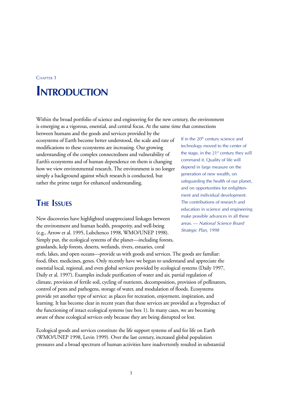# <span id="page-19-0"></span>CHAPTER 1 **INTRODUCTION**

Within the broad portfolio of science and engineering for the new century, the environment is emerging as a vigorous, essential, and central focus. At the same time that connections

between humans and the goods and services provided by the ecosystems of Earth become better understood, the scale and rate of modifications to these ecosystems are increasing. Our growing understanding of the complex connectedness and vulnerability of Earth's ecosystems and of human dependence on them is changing how we view environmental research. The environment is no longer simply a background against which research is conducted, but rather the prime target for enhanced understanding.

# **THE ISSUES**

New discoveries have highlighted unappreciated linkages between the environment and human health, prosperity, and well-being (e.g., Arrow et al. 1995, Lubchenco 1998, WMO/UNEP 1998). Simply put, the ecological systems of the planet—including forests, grasslands, kelp forests, deserts, wetlands, rivers, estuaries, coral reefs, lakes, and open oceans—provide us with goods and services. The goods are familiar: food, fiber, medicines, genes. Only recently have we begun to understand and appreciate the essential local, regional, and even global services provided by ecological systems (Daily 1997, Daily et al. 1997). Examples include purification of water and air, partial regulation of climate, provision of fertile soil, cycling of nutrients, decomposition, provision of pollinators, control of pests and pathogens, storage of water, and modulation of floods. Ecosystems provide yet another type of service: as places for recreation, enjoyment, inspiration, and learning. It has become clear in recent years that these services are provided as a byproduct of the functioning of intact ecological systems (see box 1). In many cases, we are becoming aware of these ecological services only because they are being disrupted or lost.

Ecological goods and services constitute the life support systems of and for life on Earth (WMO/UNEP 1998, Levin 1999). Over the last century, increased global population pressures and a broad spectrum of human activities have inadvertently resulted in substantial

If in the  $20<sup>th</sup>$  century science and technology moved to the center of the stage, in the  $21<sup>st</sup>$  century they will command it. Quality of life will depend in large measure on the generation of new wealth, on safeguarding the health of our planet, and on opportunities for enlightenment and individual development. The contributions of research and education in science and engineering make possible advances in all these areas. — National Science Board Strategic Plan, 1998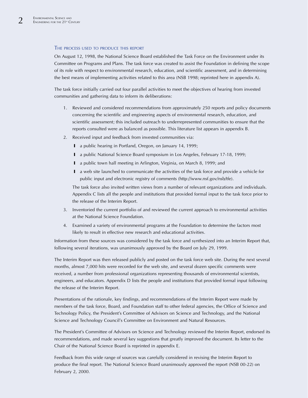#### THE PROCESS USED TO PRODUCE THIS REPORT

On August 12, 1998, the National Science Board established the Task Force on the Environment under its Committee on Programs and Plans. The task force was created to assist the Foundation in defining the scope of its role with respect to environmental research, education, and scientific assessment, and in determining the best means of implementing activities related to this area (NSB 1998; reprinted here in appendix A).

The task force initially carried out four parallel activities to meet the objectives of hearing from invested communities and gathering data to inform its deliberations:

- 1. Reviewed and considered recommendations from approximately 250 reports and policy documents concerning the scientific and engineering aspects of environmental research, education, and scientific assessment; this included outreach to underrepresented communities to ensure that the reports consulted were as balanced as possible. This literature list appears in appendix B.
- 2. Received input and feedback from invested communities via:
	- a public hearing in Portland, Oregon, on January 14, 1999;
	- a public National Science Board symposium in Los Angeles, February 17-18, 1999;
	- a public town hall meeting in Arlington, Virginia, on March 8, 1999; and
	- a web site launched to communicate the activities of the task force and provide a vehicle for public input and electronic registry of comments [\(http://www.nsf.gov/nsb/tfe\).](http://www.nsf.gov/nsb/tfe)

The task force also invited written views from a number of relevant organizations and individuals. Appendix C lists all the people and institutions that provided formal input to the task force prior to the release of the Interim Report.

- 3. Inventoried the current portfolio of and reviewed the current approach to environmental activities at the National Science Foundation.
- 4. Examined a variety of environmental programs at the Foundation to determine the factors most likely to result in effective new research and educational activities.

Information from these sources was considered by the task force and synthesized into an Interim Report that, following several iterations, was unanimously approved by the Board on July 29, 1999.

The Interim Report was then released publicly and posted on the task force web site. During the next several months, almost 7,000 hits were recorded for the web site, and several dozen specific comments were received, a number from professional organizations representing thousands of environmental scientists, engineers, and educators. Appendix D lists the people and institutions that provided formal input following the release of the Interim Report.

Presentations of the rationale, key findings, and recommendations of the Interim Report were made by members of the task force, Board, and Foundation staff to other federal agencies, the Office of Science and Technology Policy, the President's Committee of Advisors on Science and Technology, and the National Science and Technology Council's Committee on Environment and Natural Resources.

The President's Committee of Advisors on Science and Technology reviewed the Interim Report, endorsed its recommendations, and made several key suggestions that greatly improved the document. Its letter to the Chair of the National Science Board is reprinted in appendix E.

Feedback from this wide range of sources was carefully considered in revising the Interim Report to produce the final report. The National Science Board unanimously approved the report (NSB 00-22) on February 2, 2000.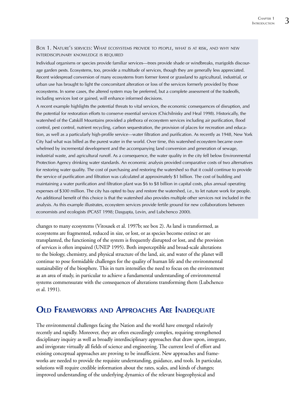BOX 1. NATURE'S SERVICES: WHAT ECOSYSTEMS PROVIDE TO PEOPLE, WHAT IS AT RISK, AND WHY NEW INTERDISCIPLINARY KNOWLEDGE IS REQUIRED

Individual organisms or species provide familiar services—trees provide shade or windbreaks, marigolds discourage garden pests. Ecosystems, too, provide a multitude of services, though they are generally less appreciated. Recent widespread conversion of many ecosystems from former forest or grassland to agricultural, industrial, or urban use has brought to light the concomitant alteration or loss of the services formerly provided by those ecosystems. In some cases, the altered system may be preferred, but a complete assessment of the tradeoffs, including services lost or gained, will enhance informed decisions.

A recent example highlights the potential threats to vital services, the economic consequences of disruption, and the potential for restoration efforts to conserve essential services (Chichilnisky and Heal 1998). Historically, the watershed of the Catskill Mountains provided a plethora of ecosystem services including air purification, flood control, pest control, nutrient recycling, carbon sequestration, the provision of places for recreation and education, as well as a particularly high-profile service—water filtration and purification. As recently as 1948, New York City had what was billed as the purest water in the world. Over time, this watershed ecosystem became overwhelmed by incremental development and the accompanying land conversion and generation of sewage, industrial waste, and agricultural runoff. As a consequence, the water quality in the city fell below Environmental Protection Agency drinking water standards. An economic analysis provided comparative costs of two alternatives for restoring water quality. The cost of purchasing and restoring the watershed so that it could continue to provide the service of purification and filtration was calculated at approximately \$1 billion. The cost of building and maintaining a water purification and filtration plant was \$6 to \$8 billion in capital costs, plus annual operating expenses of \$300 million. The city has opted to buy and restore the watershed, i.e., to let nature work for people. An additional benefit of this choice is that the watershed also provides multiple other services not included in the analysis. As this example illustrates, ecosystem services provide fertile ground for new collaborations between economists and ecologists (PCAST 1998; Dasgupta, Levin, and Lubchenco 2000).

changes to many ecosystems (Vitousek et al. 1997b; see box 2). As land is transformed, as ecosystems are fragmented, reduced in size, or lost, or as species become extinct or are transplanted, the functioning of the system is frequently disrupted or lost, and the provision of services is often impaired (UNEP 1995). Both imperceptible and broad-scale alterations to the biology, chemistry, and physical structure of the land, air, and water of the planet will continue to pose formidable challenges for the quality of human life and the environmental sustainability of the biosphere. This in turn intensifies the need to focus on the environment as an area of study, in particular to achieve a fundamental understanding of environmental systems commensurate with the consequences of alterations transforming them (Lubchenco et al. 1991).

# **OLD FRAMEWORKS AND APPROACHES ARE INADEQUATE**

The environmental challenges facing the Nation and the world have emerged relatively recently and rapidly. Moreover, they are often exceedingly complex, requiring strengthened disciplinary inquiry as well as broadly interdisciplinary approaches that draw upon, integrate, and invigorate virtually all fields of science and engineering. The current level of effort and existing conceptual approaches are proving to be insufficient. New approaches and frameworks are needed to provide the requisite understanding, guidance, and tools. In particular, solutions will require credible information about the rates, scales, and kinds of changes; improved understanding of the underlying dynamics of the relevant biogeophysical and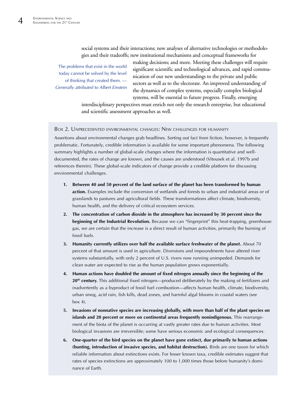social systems and their interactions; new analyses of alternative technologies or methodologies and their tradeoffs; new institutional mechanisms and conceptual frameworks for

The problems that exist in the world today cannot be solved by the level of thinking that created them. — Generally attributed to Albert Einstein making decisions; and more. Meeting these challenges will require significant scientific and technological advances, and rapid communication of our new understandings to the private and public sectors as well as to the electorate. An improved understanding of the dynamics of complex systems, especially complex biological systems, will be essential to future progress. Finally, emerging

interdisciplinary perspectives must enrich not only the research enterprise, but educational and scientific assessment approaches as well.

#### BOX 2. UNPRECEDENTED ENVIRONMENTAL CHANGES: NEW CHALLENGES FOR HUMANITY

Assertions about environmental changes grab headlines. Sorting out fact from fiction, however, is frequently problematic. Fortunately, credible information is available for some important phenomena. The following summary highlights a number of global-scale changes where the information is quantitative and welldocumented, the rates of change are known, and the causes are understood (Vitousek et al. 1997b and references therein). These global-scale indicators of change provide a credible platform for discussing environmental challenges.

- **1. Between 40 and 50 percent of the land surface of the planet has been transformed by human action.** Examples include the conversion of wetlands and forests to urban and industrial areas or of grasslands to pastures and agricultural fields. These transformations affect climate, biodiversity, human health, and the delivery of critical ecosystem services.
- **2. The concentration of carbon dioxide in the atmosphere has increased by 30 percent since the beginning of the Industrial Revolution.** Because we can "fingerprint" this heat-trapping, greenhouse gas, we are certain that the increase is a direct result of human activities, primarily the burning of fossil fuels.
- **3. Humanity currently utilizes over half the available surface freshwater of the planet.** About 70 percent of that amount is used in agriculture. Diversions and impoundments have altered river systems substantially, with only 2 percent of U.S. rivers now running unimpeded. Demands for clean water are expected to rise as the human population grows exponentially.
- **4. Human actions have doubled the amount of fixed nitrogen annually since the beginning of the** 20<sup>th</sup> century. This additional fixed nitrogen—produced deliberately by the making of fertilizers and inadvertently as a byproduct of fossil fuel combustion—affects human health, climate, biodiversity, urban smog, acid rain, fish kills, dead zones, and harmful algal blooms in coastal waters (see box 4).
- **5. Invasions of nonnative species are increasing globally, with more than half of the plant species on islands and 20 percent or more on continental areas frequently nonindigenous.** This rearrangement of the biota of the planet is occurring at vastly greater rates due to human activities. Most biological invasions are irreversible; some have serious economic and ecological consequences.
- **6. One-quarter of the bird species on the planet have gone extinct, due primarily to human actions (hunting, introduction of invasive species, and habitat destruction).** Birds are one taxon for which reliable information about extinctions exists. For lesser known taxa, credible estimates suggest that rates of species extinctions are approximately 100 to 1,000 times those before humanity's dominance of Earth.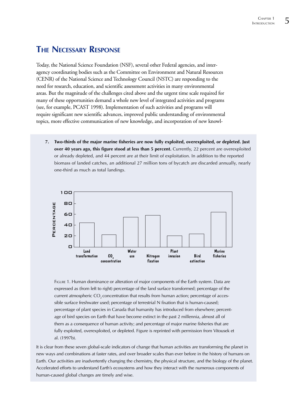# **THE NECESSARY RESPONSE**

Today, the National Science Foundation (NSF), several other Federal agencies, and interagency coordinating bodies such as the Committee on Environment and Natural Resources (CENR) of the National Science and Technology Council (NSTC) are responding to the need for research, education, and scientific assessment activities in many environmental areas. But the magnitude of the challenges cited above and the urgent time scale required for many of these opportunities demand a whole new level of integrated activities and programs (see, for example, PCAST 1998). Implementation of such activities and programs will require significant new scientific advances, improved public understanding of environmental topics, more effective communication of new knowledge, and incorporation of new knowl-

**7. Two-thirds of the major marine fisheries are now fully exploited, overexploited, or depleted. Just over 40 years ago, this figure stood at less than 5 percent.** Currently, 22 percent are overexploited or already depleted, and 44 percent are at their limit of exploitation. In addition to the reported biomass of landed catches, an additional 27 million tons of bycatch are discarded annually, nearly one-third as much as total landings.



FIGURE 1. Human dominance or alteration of major components of the Earth system. Data are expressed as (from left to right) percentage of the land surface transformed; percentage of the current atmospheric CO<sub>2</sub> concentration that results from human action; percentage of accessible surface freshwater used; percentage of terrestrial N fixation that is human-caused; percentage of plant species in Canada that humanity has introduced from elsewhere; percentage of bird species on Earth that have become extinct in the past 2 millennia, almost all of them as a consequence of human activity; and percentage of major marine fisheries that are fully exploited, overexploited, or depleted. Figure is reprinted with permission from Vitousek et al. (1997b).

It is clear from these seven global-scale indicators of change that human activities are transforming the planet in new ways and combinations at faster rates, and over broader scales than ever before in the history of humans on Earth. Our activities are inadvertently changing the chemistry, the physical structure, and the biology of the planet. Accelerated efforts to understand Earth's ecosystems and how they interact with the numerous components of human-caused global changes are timely and wise.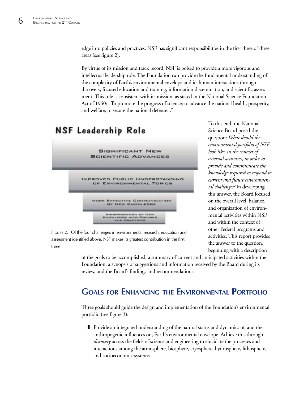<span id="page-24-0"></span>edge into policies and practices. NSF has significant responsibilities in the first three of these areas (see figure 2).

By virtue of its mission and track record, NSF is poised to provide a more vigorous and intellectual leadership role. The Foundation can provide the fundamental understanding of the complexity of Earth's environmental envelope and its human interactions through discovery, focused education and training, information dissemination, and scientific assessment. This role is consistent with its mission, as stated in the National Science Foundation Act of 1950: "To promote the progress of science; to advance the national health, prosperity, and welfare; to secure the national defense..."

# **NSF Leadership Role**



FIGURE 2. Of the four challenges in environmental research, education and assessment identified above, NSF makes its greatest contribution in the first three.

To this end, the National Science Board posed the question: *What should the environmental portfolio of NSF look like, in the context of external activities*, *in order to provide and communicate the knowledge required to respond to current and future environmental challenges?* In developing this answer, the Board focused on the overall level, balance, and organization of environmental activities within NSF and within the context of other Federal programs and activities. This report provides the answer to the question, beginning with a description

of the goals to be accomplished, a summary of current and anticipated activities within the Foundation, a synopsis of suggestions and information received by the Board during its review, and the Board's findings and recommendations.

# **GOALS FOR ENHANCING THE ENVIRONMENTAL PORTFOLIO**

Three goals should guide the design and implementation of the Foundation's environmental portfolio (see figure 3):

■ Provide an integrated understanding of the natural status and dynamics of, and the anthropogenic influences on, Earth's environmental envelope. Achieve this through *discovery* across the fields of science and engineering to elucidate the processes and interactions among the atmosphere, biosphere, cryosphere, hydrosphere, lithosphere, and socioeconomic systems.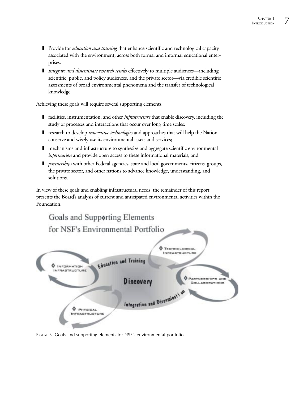- Provide for *education and training* that enhance scientific and technological capacity associated with the environment, across both formal and informal educational enterprises.
- *Integrate and disseminate research results* effectively to multiple audiences—including scientific, public, and policy audiences, and the private sector—via credible scientific assessments of broad environmental phenomena and the transfer of technological knowledge.

Achieving these goals will require several supporting elements:

- facilities, instrumentation, and other *infrastructure* that enable discovery, including the study of processes and interactions that occur over long time scales;
- research to develop *innovative technologies* and approaches that will help the Nation conserve and wisely use its environmental assets and services;
- mechanisms and infrastructure to synthesize and aggregate scientific environmental *information* and provide open access to these informational materials; and
- *partnerships* with other Federal agencies, state and local governments, citizens' groups, the private sector, and other nations to advance knowledge, understanding, and solutions.

In view of these goals and enabling infrastructural needs, the remainder of this report presents the Board's analysis of current and anticipated environmental activities within the Foundation.



FIGURE 3. Goals and supporting elements for NSF's environmental portfolio.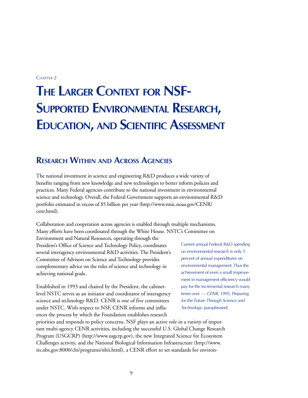<span id="page-27-0"></span>CHAPTER 2

# **THE LARGER CONTEXT FOR NSF-SUPPORTED ENVIRONMENTAL RESEARCH, EDUCATION, AND SCIENTIFIC ASSESSMENT**

# **RESEARCH WITHIN AND ACROSS AGENCIES**

The national investment in science and engineering R&D produces a wide variety of benefits ranging from new knowledge and new technologies to better inform policies and practices. Many Federal agencies contribute to the national investment in environmental science and technology. Overall, the Federal Government supports an environmental R&D portfolio estimated in excess of \$5 billion per year ([http://www.nnic.noaa.gov/CENR/](http://www.nnic.noaa.gov/CENR/cenr.html) [cenr.html](http://www.nnic.noaa.gov/CENR/cenr.html)).

Collaboration and cooperation across agencies is enabled through multiple mechanisms. Many efforts have been coordinated through the White House. NSTC's Committee on

Environment and Natural Resources, operating through the President's Office of Science and Technology Policy, coordinates several interagency environmental R&D activities. The President's Committee of Advisors on Science and Technology provides complementary advice on the roles of science and technology in achieving national goals.

Established in 1993 and chaired by the President, the cabinetlevel NSTC serves as an initiator and coordinator of interagency science and technology R&D. CENR is one of five committees under NSTC. With respect to NSF, CENR informs and influences the process by which the Foundation establishes research

Current annual Federal R&D spending on environmental research is only 5 percent of annual expenditures on environmental management. Thus the achievement of even a small improvement in management efficiency would pay for the incremental research many times over. — CENR, 1995, Preparing for the Future Through Science and Technology (paraphrased)

priorities and responds to policy concerns. NSF plays an active role in a variety of important multi-agency CENR activities, including the successful U.S. Global Change Research Program (USGCRP) [\(http://www.usgcrp.gov\)](http://www.usgcrp.gov), the new Integrated Science for Ecosystem Challenges activity, and the National Biological Information Infrastructure [\(http://www.](http://www.its.nbs.gov:8000/cbi/programs/nbii.html) [its.nbs.gov:8000/cbi/programs/nbii.html\)](http://www.its.nbs.gov:8000/cbi/programs/nbii.html), a CENR effort to set standards for environ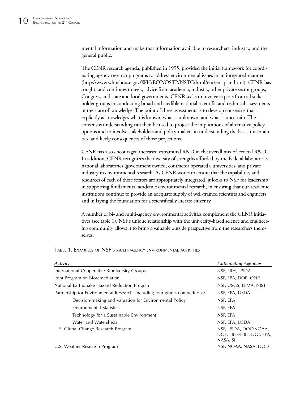<span id="page-28-0"></span>mental information and make that information available to researchers, industry, and the general public.

The CENR research agenda, published in 1995, provided the initial framework for coordinating agency research programs to address environmental issues in an integrated manner ([http://www.whitehouse.gov/WH/EOP/OSTP/NSTC/html/enr/enr-plan.html\).](http://www.whitehouse.gov/WH/EOP/OSTP/NSTC/html/enr/enr-plan.html) CENR has sought, and continues to seek, advice from academia, industry, other private sector groups, Congress, and state and local governments. CENR seeks to involve experts from all stakeholder groups in conducting broad and credible national scientific and technical assessments of the state of knowledge. The point of these assessments is to develop consensus that explicitly acknowledges what is known, what is unknown, and what is uncertain. The consensus understanding can then be used to project the implications of alternative policy options and to involve stakeholders and policy-makers in understanding the basis, uncertainties, and likely consequences of those projections.

CENR has also encouraged increased extramural R&D in the overall mix of Federal R&D. In addition, CENR recognizes the diversity of strengths afforded by the Federal laboratories, national laboratories (government owned, contractor operated), universities, and private industry in environmental research. As CENR works to ensure that the capabilities and resources of each of these sectors are appropriately integrated, it looks to NSF for leadership in supporting fundamental academic environmental research, in ensuring that our academic institutions continue to provide an adequate supply of well-trained scientists and engineers, and in laying the foundation for a scientifically literate citizenry.

A number of bi- and multi-agency environmental activities complement the CENR initiatives (see table 1). NSF's unique relationship with the university-based science and engineering community allows it to bring a valuable outside perspective from the researchers themselves.

| Activity                                                                    | <b>Participating Agencies</b>                               |
|-----------------------------------------------------------------------------|-------------------------------------------------------------|
| International Cooperative Biodiversity Groups                               | NSF, NIH, USDA                                              |
| Joint Program on Bioremediation                                             | NSF, EPA, DOE, ONR                                          |
| National Earthquake Hazard Reduction Program                                | NSF, USGS, FEMA, NIST                                       |
| Partnership for Environmental Research, including four grants competitions: | NSF, EPA, USDA                                              |
| Decision-making and Valuation for Environmental Policy                      | NSF, EPA                                                    |
| <b>Environmental Statistics</b>                                             | NSF, EPA                                                    |
| Technology for a Sustainable Environment                                    | NSF, EPA                                                    |
| Water and Watersheds                                                        | NSF, EPA, USDA                                              |
| U.S. Global Change Research Program                                         | NSF, USDA, DOC/NOAA,<br>DOE, HHS/NIH, DOI, EPA,<br>NASA, SI |
| U.S. Weather Research Program                                               | NSF, NOAA, NASA, DOD                                        |

TABLE 1. EXAMPLES OF NSF'S MULTI-AGENCY ENVIRONMENTAL ACTIVITIES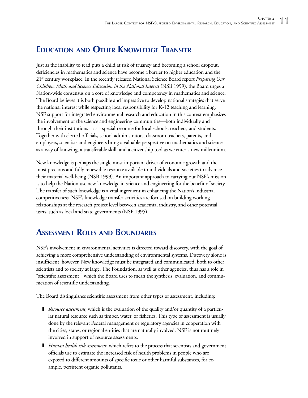# <span id="page-29-0"></span>**EDUCATION AND OTHER KNOWLEDGE TRANSFER**

Just as the inability to read puts a child at risk of truancy and becoming a school dropout, deficiencies in mathematics and science have become a barrier to higher education and the 21st century workplace. In the recently released National Science Board report *Preparing Our Children: Math and Science Education in the National Interest* (NSB 1999), the Board urges a Nation-wide consensus on a core of knowledge and competency in mathematics and science. The Board believes it is both possible and imperative to develop national strategies that serve the national interest while respecting local responsibility for K-12 teaching and learning. NSF support for integrated environmental research and education in this context emphasizes the involvement of the science and engineering communities—both individually and through their institutions—as a special resource for local schools, teachers, and students. Together with elected officials, school administrators, classroom teachers, parents, and employers, scientists and engineers bring a valuable perspective on mathematics and science as a way of knowing, a transferable skill, and a citizenship tool as we enter a new millennium.

New knowledge is perhaps the single most important driver of economic growth and the most precious and fully renewable resource available to individuals and societies to advance their material well-being (NSB 1999). An important approach to carrying out NSF's mission is to help the Nation use new knowledge in science and engineering for the benefit of society. The transfer of such knowledge is a vital ingredient in enhancing the Nation's industrial competitiveness. NSF's knowledge transfer activities are focused on building working relationships at the research project level between academia, industry, and other potential users, such as local and state governments (NSF 1995).

# **ASSESSMENT ROLES AND BOUNDARIES**

NSF's involvement in environmental activities is directed toward discovery, with the goal of achieving a more comprehensive understanding of environmental systems. Discovery alone is insufficient, however. New knowledge must be integrated and communicated, both to other scientists and to society at large. The Foundation, as well as other agencies, thus has a role in "scientific assessment," which the Board uses to mean the synthesis, evaluation, and communication of scientific understanding.

The Board distinguishes scientific assessment from other types of assessment, including:

- *Resource assessment*, which is the evaluation of the quality and/or quantity of a particular natural resource such as timber, water, or fisheries. This type of assessment is usually done by the relevant Federal management or regulatory agencies in cooperation with the cities, states, or regional entities that are naturally involved. NSF is not routinely involved in support of resource assessments.
- *Human health risk assessment*, which refers to the process that scientists and government officials use to estimate the increased risk of health problems in people who are exposed to different amounts of specific toxic or other harmful substances, for example, persistent organic pollutants.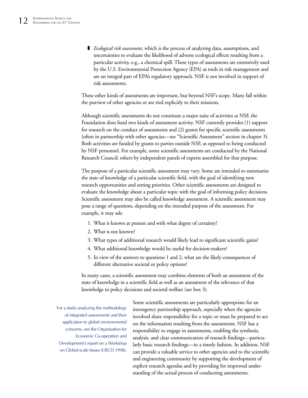<span id="page-30-0"></span>■ *Ecological risk assessment*, which is the process of analyzing data, assumptions, and uncertainties to evaluate the likelihood of adverse ecological effects resulting from a particular activity, e.g., a chemical spill. These types of assessments are extensively used by the U.S. Environmental Protection Agency (EPA) as tools in risk management and are an integral part of EPA's regulatory approach. NSF is not involved in support of risk assessments.

These other kinds of assessments are important, but beyond NSF's scope. Many fall within the purview of other agencies or are tied explicitly to their missions.

Although scientific assessments do not constitute a major suite of activities at NSF, the Foundation does fund two kinds of assessment activity. NSF currently provides (1) support for research on the conduct of assessments and (2) grants for specific scientific assessments (often in partnership with other agencies—see "Scientific Assessment" section in chapter 3). Both activities are funded by grants to parties outside NSF, as opposed to being conducted by NSF personnel. For example, some scientific assessments are conducted by the National Research Council; others by independent panels of experts assembled for that purpose.

The purpose of a particular scientific assessment may vary. Some are intended to summarize the state of knowledge of a particular scientific field, with the goal of identifying new research opportunities and setting priorities. Other scientific assessments are designed to evaluate the knowledge about a particular topic with the goal of informing policy decisions. Scientific assessment may also be called knowledge assessment. A scientific assessment may pose a range of questions, depending on the intended purpose of the assessment. For example, it may ask:

- 1. What is known at present and with what degree of certainty?
- 2. What is not known?
- 3. What types of additional research would likely lead to significant scientific gains?
- 4. What additional knowledge would be useful for decision-makers?
- 5. In view of the answers to questions 1 and 2, what are the likely consequences of different alternative societal or policy options?

In many cases, a scientific assessment may combine elements of both an assessment of the state of knowledge in a scientific field as well as an assessment of the relevance of that knowledge to policy decisions and societal welfare (see box 3).

For a study analyzing the methodology of integrated assessments and their application to global environmental concerns, see the Organisation for Economic Co-operation and Development's report on a Workshop on Global-scale Issues (OECD 1998). Some scientific assessments are particularly appropriate for an interagency partnership approach, especially when the agencies involved share responsibility for a topic or must be prepared to act on the information resulting from the assessments. NSF has a responsibility to engage in assessments, enabling the synthesis, analysis, and clear communication of research findings—particularly basic research findings—in a timely fashion. In addition, NSF can provide a valuable service to other agencies and to the scientific and engineering community by supporting the development of explicit research agendas and by providing for improved understanding of the actual process of conducting assessments.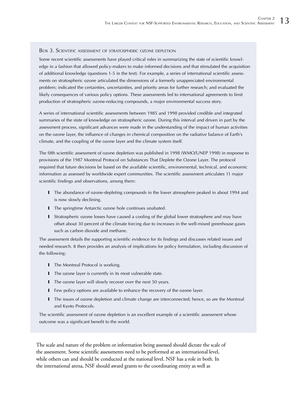#### BOX 3. SCIENTIFIC ASSESSMENT OF STRATOSPHERIC OZONE DEPLETION

Some recent scientific assessments have played critical roles in summarizing the state of scientific knowledge in a fashion that allowed policy-makers to make informed decisions and that stimulated the acquisition of additional knowledge (questions 1-5 in the text). For example, a series of international scientific assessments on stratospheric ozone articulated the dimensions of a formerly unappreciated environmental problem; indicated the certainties, uncertainties, and priority areas for further research; and evaluated the likely consequences of various policy options. These assessments led to international agreements to limit production of stratospheric ozone-reducing compounds, a major environmental success story.

A series of international scientific assessments between 1985 and 1998 provided credible and integrated summaries of the state of knowledge on stratospheric ozone. During this interval and driven in part by the assessment process, significant advances were made in the understanding of the impact of human activities on the ozone layer, the influence of changes in chemical composition on the radiative balance of Earth's climate, and the coupling of the ozone layer and the climate system itself.

The fifth scientific assessment of ozone depletion was published in 1998 (WMO/UNEP 1998) in response to provisions of the 1987 Montreal Protocol on Substances That Deplete the Ozone Layer. The protocol required that future decisions be based on the available scientific, environmental, technical, and economic information as assessed by worldwide expert communities. The scientific assessment articulates 11 major scientific findings and observations, among them:

- The abundance of ozone-depleting compounds in the lower atmosphere peaked in about 1994 and is now slowly declining.
- **Ⅰ** The springtime Antarctic ozone hole continues unabated.
- **I** Stratospheric ozone losses have caused a cooling of the global lower stratosphere and may have offset about 30 percent of the climate forcing due to increases in the well-mixed greenhouse gases such as carbon dioxide and methane.

The assessment details the supporting scientific evidence for its findings and discusses related issues and needed research. It then provides an analysis of implications for policy formulation, including discussion of the following:

- **I** The Montreal Protocol is working.
- The ozone layer is currently in its most vulnerable state.
- The ozone layer will slowly recover over the next 50 years.
- Few policy options are available to enhance the recovery of the ozone layer.
- The issues of ozone depletion and climate change are interconnected; hence, so are the Montreal and Kyoto Protocols.

The scientific assessment of ozone depletion is an excellent example of a scientific assessment whose outcome was a significant benefit to the world.

The scale and nature of the problem or information being assessed should dictate the scale of the assessment. Some scientific assessments need to be performed at an international level, while others can and should be conducted at the national level. NSF has a role in both. In the international arena, NSF should award grants to the coordinating entity as well as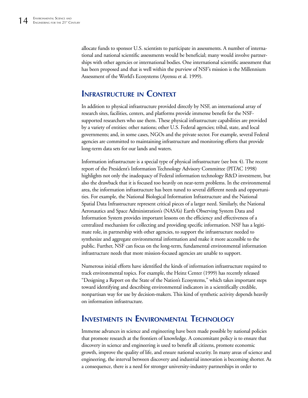<span id="page-32-0"></span>allocate funds to sponsor U.S. scientists to participate in assessments. A number of international and national scientific assessments would be beneficial; many would involve partnerships with other agencies or international bodies. One international scientific assessment that has been proposed and that is well within the purview of NSF's mission is the Millennium Assessment of the World's Ecosystems (Ayensu et al. 1999).

## **INFRASTRUCTURE IN CONTEXT**

In addition to physical infrastructure provided directly by NSF, an international array of research sites, facilities, centers, and platforms provide immense benefit for the NSFsupported researchers who use them. These physical infrastructure capabilities are provided by a variety of entities: other nations; other U.S. Federal agencies; tribal, state, and local governments; and, in some cases, NGOs and the private sector. For example, several Federal agencies are committed to maintaining infrastructure and monitoring efforts that provide long-term data sets for our lands and waters.

Information infrastructure is a special type of physical infrastructure (see box 4). The recent report of the President's Information Technology Advisory Committee (PITAC 1998) highlights not only the inadequacy of Federal information technology R&D investment, but also the drawback that it is focused too heavily on near-term problems. In the environmental area, the information infrastructure has been tuned to several different needs and opportunities. For example, the National Biological Information Infrastructure and the National Spatial Data Infrastructure represent critical pieces of a larger need. Similarly, the National Aeronautics and Space Administration's (NASA's) Earth Observing System Data and Information System provides important lessons on the efficiency and effectiveness of a centralized mechanism for collecting and providing specific information. NSF has a legitimate role, in partnership with other agencies, to support the infrastructure needed to synthesize and aggregate environmental information and make it more accessible to the public. Further, NSF can focus on the long-term, fundamental environmental information infrastructure needs that more mission-focused agencies are unable to support.

Numerous initial efforts have identified the kinds of information infrastructure required to track environmental topics. For example, the Heinz Center (1999) has recently released "Designing a Report on the State of the Nation's Ecosystems," which takes important steps toward identifying and describing environmental indicators in a scientifically credible, nonpartisan way for use by decision-makers. This kind of synthetic activity depends heavily on information infrastructure.

## **INVESTMENTS IN ENVIRONMENTAL TECHNOLOGY**

Immense advances in science and engineering have been made possible by national policies that promote research at the frontiers of knowledge. A concomitant policy is to ensure that discovery in science and engineering is used to benefit all citizens, promote economic growth, improve the quality of life, and ensure national security. In many areas of science and engineering, the interval between discovery and industrial innovation is becoming shorter. As a consequence, there is a need for stronger university-industry partnerships in order to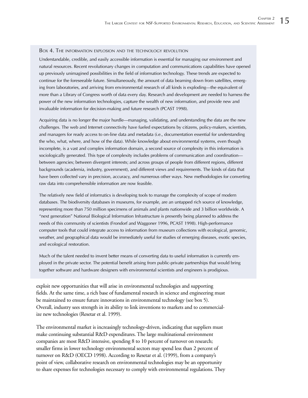#### BOX 4. THE INFORMATION EXPLOSION AND THE TECHNOLOGY REVOLUTION

Understandable, credible, and easily accessible information is essential for managing our environment and natural resources. Recent revolutionary changes in computation and communications capabilities have opened up previously unimagined possibilities in the field of information technology. These trends are expected to continue for the foreseeable future. Simultaneously, the amount of data beaming down from satellites, emerging from laboratories, and arriving from environmental research of all kinds is exploding—the equivalent of more than a Library of Congress worth of data every day. Research and development are needed to harness the power of the new information technologies, capture the wealth of new information, and provide new and invaluable information for decision-making and future research (PCAST 1998).

Acquiring data is no longer the major hurdle—managing, validating, and understanding the data are the new challenges. The web and Internet connectivity have fueled expectations by citizens, policy-makers, scientists, and managers for ready access to on-line data and metadata (i.e., documentation essential for understanding the who, what, where, and how of the data). While knowledge about environmental systems, even though incomplete, is a vast and complex information domain, a second source of complexity in this information is sociologically generated. This type of complexity includes problems of communication and coordination between agencies; between divergent interests; and across groups of people from different regions, different backgrounds (academia, industry, government), and different views and requirements. The kinds of data that have been collected vary in precision, accuracy, and numerous other ways. New methodologies for converting raw data into comprehensible information are now feasible.

The relatively new field of informatics is developing tools to manage the complexity of scope of modern databases. The biodiversity databases in museums, for example, are an untapped rich source of knowledge, representing more than 750 million specimens of animals and plants nationwide and 3 billion worldwide. A "next generation" National Biological Information Infrastructure is presently being planned to address the needs of this community of scientists (Frondorf and Waggoner 1996, PCAST 1998). High-performance computer tools that could integrate access to information from museum collections with ecological, genomic, weather, and geographical data would be immediately useful for studies of emerging diseases, exotic species, and ecological restoration.

Much of the talent needed to invent better means of converting data to useful information is currently employed in the private sector. The potential benefit arising from public-private partnerships that would bring together software and hardware designers with environmental scientists and engineers is prodigious.

exploit new opportunities that will arise in environmental technologies and supporting fields. At the same time, a rich base of fundamental research in science and engineering must be maintained to ensure future innovations in environmental technology (see box 5). Overall, industry sees strength in its ability to link inventions to markets and to commercialize new technologies (Resetar et al. 1999).

The environmental market is increasingly technology-driven, indicating that suppliers must make continuing substantial R&D expenditures. The large multinational environment companies are most R&D intensive, spending 8 to 10 percent of turnover on research; smaller firms in lower technology environmental sectors may spend less than 2 percent of turnover on R&D (OECD 1998). According to Resetar et al. (1999), from a company's point of view, collaborative research on environmental technologies may be an opportunity to share expenses for technologies necessary to comply with environmental regulations. They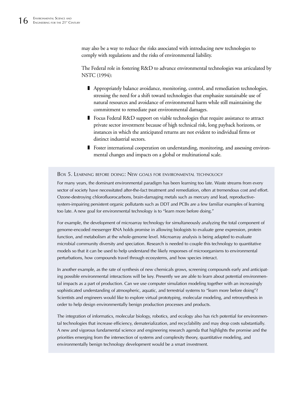may also be a way to reduce the risks associated with introducing new technologies to comply with regulations and the risks of environmental liability.

The Federal role in fostering R&D to advance environmental technologies was articulated by NSTC (1994):

- Appropriately balance avoidance, monitoring, control, and remediation technologies, stressing the need for a shift toward technologies that emphasize sustainable use of natural resources and avoidance of environmental harm while still maintaining the commitment to remediate past environmental damages.
- Focus Federal R&D support on viable technologies that require assistance to attract private sector investment because of high technical risk, long payback horizons, or instances in which the anticipated returns are not evident to individual firms or distinct industrial sectors.
- Foster international cooperation on understanding, monitoring, and assessing environmental changes and impacts on a global or multinational scale.

#### BOX 5. LEARNING BEFORE DOING: NEW GOALS FOR ENVIRONMENTAL TECHNOLOGY

For many years, the dominant environmental paradigm has been learning too late. Waste streams from every sector of society have necessitated after-the-fact treatment and remediation, often at tremendous cost and effort. Ozone-destroying chlorofluorocarbons, brain-damaging metals such as mercury and lead, reproductivesystem-impairing persistent organic pollutants such as DDT and PCBs are a few familiar examples of learning too late. A new goal for environmental technology is to "learn more before doing."

For example, the development of microarray technology for simultaneously analyzing the total component of genome-encoded messenger RNA holds promise in allowing biologists to evaluate gene expression, protein function, and metabolism at the whole-genome level. Microarray analysis is being adapted to evaluate microbial community diversity and speciation. Research is needed to couple this technology to quantitative models so that it can be used to help understand the likely responses of microorganisms to environmental perturbations, how compounds travel through ecosystems, and how species interact.

In another example, as the rate of synthesis of new chemicals grows, screening compounds early and anticipating possible environmental interactions will be key. Presently we are able to learn about potential environmental impacts as a part of production. Can we use computer simulation modeling together with an increasingly sophisticated understanding of atmospheric, aquatic, and terrestrial systems to "learn more before doing"? Scientists and engineers would like to explore virtual prototyping, molecular modeling, and retrosynthesis in order to help design environmentally benign production processes and products.

The integration of informatics, molecular biology, robotics, and ecology also has rich potential for environmental technologies that increase efficiency, dematerialization, and recyclability and may drop costs substantially. A new and vigorous fundamental science and engineering research agenda that highlights the promise and the priorities emerging from the intersection of systems and complexity theory, quantitative modeling, and environmentally benign technology development would be a smart investment.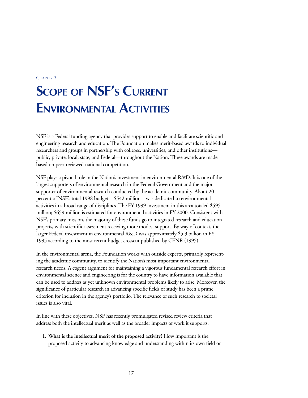#### <span id="page-35-0"></span>CHAPTER 3

# **SCOPE OF NSF'S CURRENT ENVIRONMENTAL ACTIVITIES**

NSF is a Federal funding agency that provides support to enable and facilitate scientific and engineering research and education. The Foundation makes merit-based awards to individual researchers and groups in partnership with colleges, universities, and other institutions public, private, local, state, and Federal—throughout the Nation. These awards are made based on peer-reviewed national competition.

NSF plays a pivotal role in the Nation's investment in environmental R&D. It is one of the largest supporters of environmental research in the Federal Government and the major supporter of environmental research conducted by the academic community. About 20 percent of NSF's total 1998 budget—\$542 million—was dedicated to environmental activities in a broad range of disciplines. The FY 1999 investment in this area totaled \$595 million; \$659 million is estimated for environmental activities in FY 2000. Consistent with NSF's primary mission, the majority of these funds go to integrated research and education projects, with scientific assessment receiving more modest support. By way of context, the larger Federal investment in environmental R&D was approximately \$5.3 billion in FY 1995 according to the most recent budget crosscut published by CENR (1995).

In the environmental arena, the Foundation works with outside experts, primarily representing the academic community, to identify the Nation's most important environmental research needs. A cogent argument for maintaining a vigorous fundamental research effort in environmental science and engineering is for the country to have information available that can be used to address as yet unknown environmental problems likely to arise. Moreover, the significance of particular research in advancing specific fields of study has been a prime criterion for inclusion in the agency's portfolio. The relevance of such research to societal issues is also vital.

In line with these objectives, NSF has recently promulgated revised review criteria that address both the intellectual merit as well as the broader impacts of work it supports:

**1. What is the intellectual merit of the proposed activity?** How important is the proposed activity to advancing knowledge and understanding within its own field or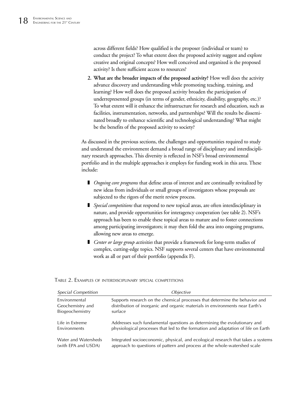across different fields? How qualified is the proposer (individual or team) to conduct the project? To what extent does the proposed activity suggest and explore creative and original concepts? How well conceived and organized is the proposed activity? Is there sufficient access to resources?

**2. What are the broader impacts of the proposed activity?** How well does the activity advance discovery and understanding while promoting teaching, training, and learning? How well does the proposed activity broaden the participation of underrepresented groups (in terms of gender, ethnicity, disability, geography, etc.)? To what extent will it enhance the infrastructure for research and education, such as facilities, instrumentation, networks, and partnerships? Will the results be disseminated broadly to enhance scientific and technological understanding? What might be the benefits of the proposed activity to society?

As discussed in the previous sections, the challenges and opportunities required to study and understand the environment demand a broad range of disciplinary and interdisciplinary research approaches. This diversity is reflected in NSF's broad environmental portfolio and in the multiple approaches it employs for funding work in this area. These include:

- *Ongoing core programs* that define areas of interest and are continually revitalized by new ideas from individuals or small groups of investigators whose proposals are subjected to the rigors of the merit review process.
- *Special competitions* that respond to new topical areas, are often interdisciplinary in nature, and provide opportunities for interagency cooperation (see table 2). NSF's approach has been to enable these topical areas to mature and to foster connections among participating investigators; it may then fold the area into ongoing programs, allowing new areas to emerge.
- *Center or large group activities* that provide a framework for long-term studies of complex, cutting-edge topics. NSF supports several centers that have environmental work as all or part of their portfolio (appendix F).

| <b>Special Competition</b> | <i>Objective</i>                                                                  |  |
|----------------------------|-----------------------------------------------------------------------------------|--|
| Environmental              | Supports research on the chemical processes that determine the behavior and       |  |
| Geochemistry and           | distribution of inorganic and organic materials in environments near Earth's      |  |
| Biogeochemistry            | surface                                                                           |  |
| Life in Extreme            | Addresses such fundamental questions as determining the evolutionary and          |  |
| Environments               | physiological processes that led to the formation and adaptation of life on Earth |  |
| Water and Watersheds       | Integrated socioeconomic, physical, and ecological research that takes a systems  |  |
| (with EPA and USDA)        | approach to questions of pattern and process at the whole-watershed scale         |  |

TABLE 2. EXAMPLES OF INTERDISCIPLINARY SPECIAL COMPETITIONS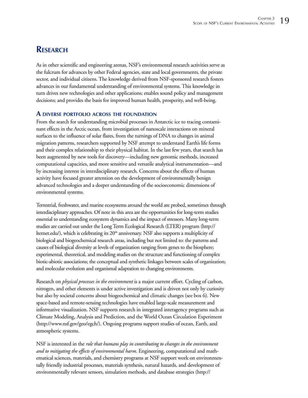# **RESEARCH**

As in other scientific and engineering arenas, NSF's environmental research activities serve as the fulcrum for advances by other Federal agencies, state and local governments, the private sector, and individual citizens. The knowledge derived from NSF-sponsored research fosters advances in our fundamental understanding of environmental systems. This knowledge in turn drives new technologies and other applications; enables sound policy and management decisions; and provides the basis for improved human health, prosperity, and well-being.

### **A DIVERSE PORTFOLIO ACROSS THE FOUNDATION**

From the search for understanding microbial processes in Antarctic ice to tracing contaminant effects in the Arctic ocean, from investigation of nanoscale interactions on mineral surfaces to the influence of solar flares, from the turnings of DNA to changes in animal migration patterns, researchers supported by NSF attempt to understand Earth's life forms and their complex relationship to their physical habitat. In the last few years, that search has been augmented by new tools for discovery—including new genomic methods, increased computational capacities, and more sensitive and versatile analytical instrumentation—and by increasing interest in interdisciplinary research. Concerns about the effects of human activity have focused greater attention on the development of environmentally benign advanced technologies and a deeper understanding of the socioeconomic dimensions of environmental systems.

Terrestrial, freshwater, and marine ecosystems around the world are probed, sometimes through interdisciplinary approaches. Of note in this area are the opportunities for long-term studies essential to understanding ecosystem dynamics and the impact of stressors. Many long-term studies are carried out under the Long Term Ecological Research (LTER) program [\(http://](http://) lternet.edu/), which is celebrating its  $20<sup>th</sup>$  anniversary. NSF also supports a multiplicity of biological and biogeochemical research areas, including but not limited to: the patterns and causes of biological diversity at levels of organization ranging from genes to the biosphere; experimental, theoretical, and modeling studies on the structure and functioning of complex biotic-abiotic associations; the conceptual and synthetic linkages between scales of organization; and molecular evolution and organismal adaptation to changing environments.

Research on *physical processes in the environment* is a major current effort. Cycling of carbon, nitrogen, and other elements is under active investigation and is driven not only by curiosity but also by societal concerns about biogeochemical and climatic changes (see box 6). New space-based and remote-sensing technologies have enabled large-scale measurement and informative visualization. NSF supports research in integrated interagency programs such as Climate Modeling, Analysis and Prediction, and the World Ocean Circulation Experiment [\(http://www.nsf.gov/geo/egch/\).](http://www.nsf.gov/geo/egch/) Ongoing programs support studies of ocean, Earth, and atmospheric systems.

NSF is interested in the *role that humans play in contributing to changes in the environment and to mitigating the effects of environmental harm*. Engineering, computational and mathematical sciences, materials, and chemistry programs at NSF support work on environmentally friendly industrial processes, materials synthesis, natural hazards, and development of environmentally relevant sensors, simulation methods, and database strategies [\(http://](http://)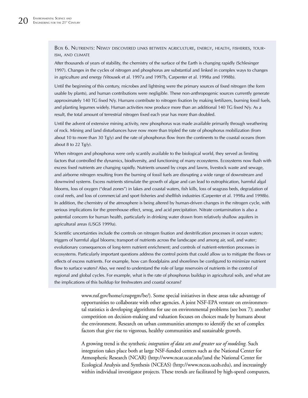BOX 6. NUTRIENTS: NEWLY DISCOVERED LINKS BETWEEN AGRICULTURE, ENERGY, HEALTH, FISHERIES, TOUR-ISM, AND CLIMATE

After thousands of years of stability, the chemistry of the surface of the Earth is changing rapidly (Schlesinger 1997). Changes in the cycles of nitrogen and phosphorus are substantial and linked in complex ways to changes in agriculture and energy (Vitousek et al. 1997a and 1997b, Carpenter et al. 1998a and 1998b).

Until the beginning of this century, microbes and lightning were the primary sources of fixed nitrogen (the form usable by plants), and human contributions were negligible. These non-anthropogenic sources currently generate approximately 140 TG fixed N/y. Humans contribute to nitrogen fixation by making fertilizers, burning fossil fuels, and planting legumes widely. Human activities now produce more than an additional 140 TG fixed N/y. As a result, the total amount of terrestrial nitrogen fixed each year has more than doubled.

Until the advent of extensive mining activity, new phosphorus was made available primarily through weathering of rock. Mining and land disturbances have now more than tripled the rate of phosphorus mobilization (from about 10 to more than 30 Tg/y) and the rate of phosphorus flow from the continents to the coastal oceans (from about 8 to 22 Tg/y).

When nitrogen and phosphorus were only scantily available to the biological world, they served as limiting factors that controlled the dynamics, biodiversity, and functioning of many ecosystems. Ecosystems now flush with excess fixed nutrients are changing rapidly. Nutrients unused by crops and lawns, livestock waste and sewage, and airborne nitrogen resulting from the burning of fossil fuels are disrupting a wide range of downstream and downwind systems. Excess nutrients stimulate the growth of algae and can lead to eutrophication, harmful algal blooms, loss of oxygen ("dead zones") in lakes and coastal waters, fish kills, loss of seagrass beds, degradation of coral reefs, and loss of commercial and sport fisheries and shellfish industries (Carpenter et al. 1998a and 1998b). In addition, the chemistry of the atmosphere is being altered by human-driven changes in the nitrogen cycle, with serious implications for the greenhouse effect, smog, and acid precipitation. Nitrate contamination is also a potential concern for human health, particularly in drinking water drawn from relatively shallow aquifers in agricultural areas (USGS 1999a).

Scientific uncertainties include the controls on nitrogen fixation and denitrification processes in ocean waters; triggers of harmful algal blooms; transport of nutrients across the landscape and among air, soil, and water; evolutionary consequences of long-term nutrient enrichment; and controls of nutrient-retention processes in ecosystems. Particularly important questions address the control points that could allow us to mitigate the flows or effects of excess nutrients. For example, how can floodplains and shorelines be configured to minimize nutrient flow to surface waters? Also, we need to understand the role of large reservoirs of nutrients in the control of regional and global cycles. For example, what is the rate of phosphorus buildup in agricultural soils, and what are the implications of this buildup for freshwaters and coastal oceans?

> www.nsf.gov/home/crssprgm/be/). Some special initiatives in these areas take advantage of opportunities to collaborate with other agencies. A joint NSF-EPA venture on environmental statistics is developing algorithms for use on environmental problems (see box 7); another competition on decision-making and valuation focuses on choices made by humans about the environment. Research on urban communities attempts to identify the set of complex factors that give rise to vigorous, healthy communities and sustainable growth.

> A growing trend is the synthetic *integration of data sets and greater use of modeling*. Such integration takes place both at large NSF-funded centers such as the National Center for Atmospheric Research (NCAR) [\(http://www.ncar.ucar.edu/\)and](http://www.ncar.ucar.edu/)and) the National Center for Ecological Analysis and Synthesis (NCEAS) [\(http://www.nceas.ucsb.edu\),](http://www.nceas.ucsb.edu) and increasingly within individual investigator projects. These trends are facilitated by high-speed computers,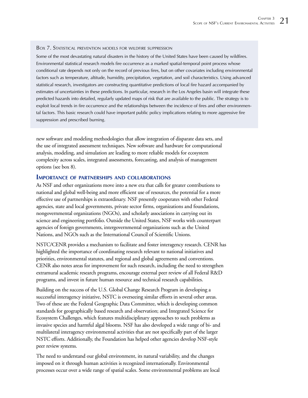#### BOX 7. STATISTICAL PREVENTION MODELS FOR WILDFIRE SUPPRESSION

Some of the most devastating natural disasters in the history of the United States have been caused by wildfires. Environmental statistical research models fire occurrence as a marked spatial-temporal point process whose conditional rate depends not only on the record of previous fires, but on other covariates including environmental factors such as temperature, altitude, humidity, precipitation, vegetation, and soil characteristics. Using advanced statistical research, investigators are constructing quantitative predictions of local fire hazard accompanied by estimates of uncertainties in these predictions. In particular, research in the Los Angeles basin will integrate these predicted hazards into detailed, regularly updated maps of risk that are available to the public. The strategy is to exploit local trends in fire occurrence and the relationships between the incidence of fires and other environmental factors. This basic research could have important public policy implications relating to more aggressive fire suppression and prescribed burning.

new software and modeling methodologies that allow integration of disparate data sets, and the use of integrated assessment techniques. New software and hardware for computational analysis, modeling, and simulation are leading to more reliable models for ecosystem complexity across scales, integrated assessments, forecasting, and analysis of management options (see box 8).

#### **IMPORTANCE OF PARTNERSHIPS AND COLLABORATIONS**

As NSF and other organizations move into a new era that calls for greater contributions to national and global well-being and more efficient use of resources, the potential for a more effective use of partnerships is extraordinary. NSF presently cooperates with other Federal agencies, state and local governments, private sector firms, organizations and foundations, nongovernmental organizations (NGOs), and scholarly associations in carrying out its science and engineering portfolio. Outside the United States, NSF works with counterpart agencies of foreign governments, intergovernmental organizations such as the United Nations, and NGOs such as the International Council of Scientific Unions.

NSTC/CENR provides a mechanism to facilitate and foster interagency research. CENR has highlighted the importance of coordinating research relevant to national initiatives and priorities, environmental statutes, and regional and global agreements and conventions. CENR also notes areas for improvement for such research, including the need to strengthen extramural academic research programs, encourage external peer review of all Federal R&D programs, and invest in future human resource and technical research capabilities.

Building on the success of the U.S. Global Change Research Program in developing a successful interagency initiative, NSTC is overseeing similar efforts in several other areas. Two of these are the Federal Geographic Data Committee, which is developing common standards for geographically based research and observation; and Integrated Science for Ecosystem Challenges, which features multidisciplinary approaches to such problems as invasive species and harmful algal blooms. NSF has also developed a wide range of bi- and multilateral interagency environmental activities that are not specifically part of the larger NSTC efforts. Additionally, the Foundation has helped other agencies develop NSF-style peer review systems.

The need to understand our global environment, its natural variability, and the changes imposed on it through human activities is recognized internationally. Environmental processes occur over a wide range of spatial scales. Some environmental problems are local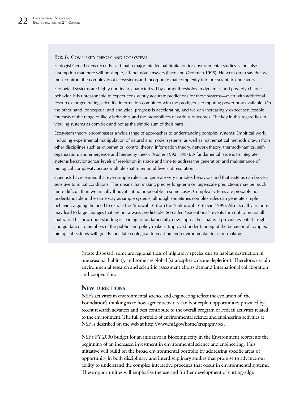#### BOX 8. COMPLEXITY THEORY AND ECOSYSTEMS

Ecologist Gene Likens recently said that a major intellectual limitation for environmental studies is the false assumption that there will be simple, all-inclusive answers (Pace and Groffman 1998). He went on to say that we must confront the complexity of ecosystems and incorporate that complexity into our scientific endeavors.

Ecological systems are highly nonlinear, characterized by abrupt thresholds in dynamics and possibly chaotic behavior. It is unreasonable to expect consistently accurate predictions for these systems—even with additional resources for generating scientific information combined with the prodigious computing power now available. On the other hand, conceptual and analytical progress is accelerating, and we can increasingly expect serviceable forecasts of the range of likely behaviors and the probabilities of various outcomes. The key in this regard lies in viewing systems as complex and not as the simple sum of their parts.

Ecosystem theory encompasses a wide range of approaches to understanding complex systems: Empirical work, including experimental manipulation of natural and model systems, as well as mathematical methods drawn from other disciplines such as cybernetics, control theory, information theory, network theory, thermodynamics, selforganization, and emergence and hierarchy theory (Muller 1992, 1997). A fundamental issue is to integrate systems behavior across levels of resolution in space and time to address the generation and maintenance of biological complexity across multiple spatio-temporal levels of resolution.

Scientists have learned that even simple rules can generate very complex behaviors and that systems can be very sensitive to initial conditions. This means that making precise long-term or large-scale predictions may be much more difficult than we initially thought—if not impossible in some cases. Complex systems are probably not understandable in the same way as simple systems, although sometimes complex rules can generate simple behavior, arguing the need to extract the "knowable" from the "unknowable" (Levin 1999). Also, small variations may lead to large changes that are not always predictable. So-called "exceptional" events turn out to be not all that rare. This new understanding is leading to fundamentally new approaches that will provide essential insight and guidance to members of the public and policy-makers. Improved understanding of the behavior of complex biological systems will greatly facilitate ecological forecasting and environmental decision-making.

> (waste disposal), some are regional (loss of migratory species due to habitat destruction in one seasonal habitat), and some are global (stratospheric ozone depletion). Therefore, certain environmental research and scientific assessment efforts demand international collaboration and cooperation.

#### **NEW DIRECTIONS**

NSF's activities in environmental science and engineering reflect the evolution of the Foundation's thinking as to how agency activities can best exploit opportunities provided by recent research advances and best contribute to the overall program of Federal activities related to the environment. The full portfolio of environmental science and engineering activities at NSF is described on the web at [http://www.nsf.gov/home/crssprgm/be/.](http://www.nsf.gov/home/crssprgm/be/)

NSF's FY 2000 budget for an initiative in Biocomplexity in the Environment represents the beginning of an increased investment in environmental science and engineering. This initiative will build on the broad environmental portfolio by addressing specific areas of opportunity in both disciplinary and interdisciplinary studies that promise to advance our ability to understand the complex interactive processes that occur in environmental systems. These opportunities will emphasize the use and further development of cutting-edge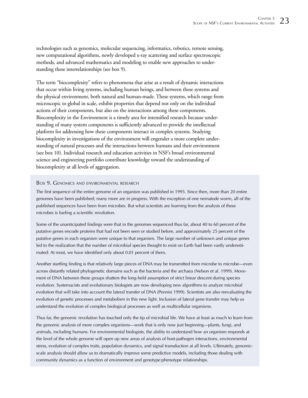technologies such as genomics, molecular sequencing, informatics, robotics, remote sensing, new computational algorithms, newly developed x-ray scattering and surface spectroscopic methods, and advanced mathematics and modeling to enable new approaches to understanding these interrelationships (see box 9).

The term "biocomplexity" refers to phenomena that arise as a result of dynamic interactions that occur within living systems, including human beings, and between these systems and the physical environment, both natural and human-made. These systems, which range from microscopic to global in scale, exhibit properties that depend not only on the individual actions of their components, but also on the interactions among these components. Biocomplexity in the Environment is a timely area for intensified research because understanding of many system components is sufficiently advanced to provide the intellectual platform for addressing how these components interact in complex systems. Studying biocomplexity in investigations of the environment will engender a more complete understanding of natural processes and the interactions between humans and their environment (see box 10). Individual research and education activities in NSF's broad environmental science and engineering portfolio contribute knowledge toward the understanding of biocomplexity at all levels of aggregation.

#### BOX 9. GENOMICS AND ENVIRONMENTAL RESEARCH

The first sequence of the entire genome of an organism was published in 1995. Since then, more than 20 entire genomes have been published; many more are in progress. With the exception of one nematode worm, all of the published sequences have been from microbes. But what scientists are learning from the analysis of these microbes is fueling a scientific revolution.

Some of the unanticipated findings were that in the genomes sequenced thus far, about 40 to 60 percent of the putative genes encode proteins that had not been seen or studied before, and approximately 25 percent of the putative genes in each organism were unique to that organism. The large number of unknown and unique genes led to the realization that the number of microbial species thought to exist on Earth had been vastly underestimated: At most, we have identified only about 0.01 percent of them.

Another startling finding is that relatively large pieces of DNA may be transmitted from microbe to microbe—even across distantly related phylogenetic domains such as the bacteria and the archaea (Nelson et al. 1999). Movement of DNA between these groups shatters the long-held assumption of strict linear descent during species evolution. Systemacists and evolutionary biologists are now developing new algorithms to analyze microbial evolution that will take into account the lateral transfer of DNA (Pennisi 1999). Scientists are also reevaluating the evolution of genetic processes and metabolism in this new light. Inclusion of lateral gene transfer may help us understand the evolution of complex biological processes as well as multicellular organisms.

Thus far, the genomic revolution has touched only the tip of microbial life. We have at least as much to learn from the genomic analysis of more complex organisms—work that is only now just beginning—plants, fungi, and animals, including humans. For environmental biologists, the ability to understand how an organism responds at the level of the whole genome will open up new areas of analysis of host-pathogen interactions, environmental stress, evolution of complex traits, population dynamics, and signal transduction at all levels. Ultimately, genomicscale analysis should allow us to dramatically improve some predictive models, including those dealing with community dynamics as a function of environment and genotype:phenotype relationships.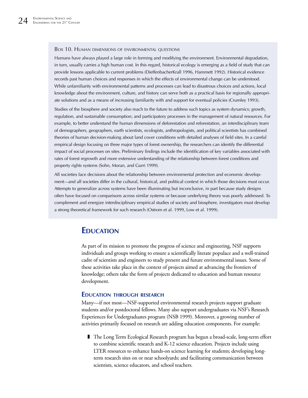#### BOX 10. HUMAN DIMENSIONS OF ENVIRONMENTAL QUESTIONS

Humans have always played a large role in forming and modifying the environment. Environmental degradation, in turn, usually carries a high human cost. In this regard, historical ecology is emerging as a field of study that can provide lessons applicable to current problems (DieffenbacherKrall 1996, Hammett 1992). Historical evidence records past human choices and responses in which the effects of environmental change can be understood. While unfamiliarity with environmental patterns and processes can lead to disastrous choices and actions, local knowledge about the environment, culture, and history can serve both as a practical basis for regionally appropriate solutions and as a means of increasing familiarity with and support for eventual policies (Crumley 1993).

Studies of the biosphere and society also reach to the future to address such topics as system dynamics; growth, regulation, and sustainable consumption; and participatory processes in the management of natural resources. For example, to better understand the human dimensions of deforestation and reforestation, an interdisciplinary team of demographers, geographers, earth scientists, ecologists, anthropologists, and political scientists has combined theories of human decision-making about land cover conditions with detailed analyses of field sites. In a careful empirical design focusing on three major types of forest ownership, the researchers can identify the differential impact of social processes on sites. Preliminary findings include the identification of key variables associated with rates of forest regrowth and more extensive understanding of the relationship between forest conditions and property rights systems (Sohn, Moran, and Gurri 1999).

All societies face decisions about the relationship between environmental protection and economic development—and all societies differ in the cultural, historical, and political context in which those decisions must occur. Attempts to generalize across systems have been illuminating but inconclusive, in part because study designs often have focused on comparisons across similar systems or because underlying theory was poorly addressed. To complement and energize interdisciplinary empirical studies of society and biosphere, investigators must develop a strong theoretical framework for such research (Ostrom et al. 1999, Low et al. 1999).

# **EDUCATION**

As part of its mission to promote the progress of science and engineering, NSF supports individuals and groups working to ensure a scientifically literate populace and a well-trained cadre of scientists and engineers to study present and future environmental issues. Some of these activities take place in the context of projects aimed at advancing the frontiers of knowledge; others take the form of projects dedicated to education and human resource development.

#### **EDUCATION THROUGH RESEARCH**

Many—if not most—NSF-supported environmental research projects support graduate students and/or postdoctoral fellows. Many also support undergraduates via NSF's Research Experiences for Undergraduates program (NSB 1999). Moreover, a growing number of activities primarily focused on research are adding education components. For example:

■ The Long Term Ecological Research program has begun a broad-scale, long-term effort to combine scientific research and K-12 science education. Projects include using LTER resources to enhance hands-on science learning for students; developing longterm research sites on or near schoolyards; and facilitating communication between scientists, science educators, and school teachers.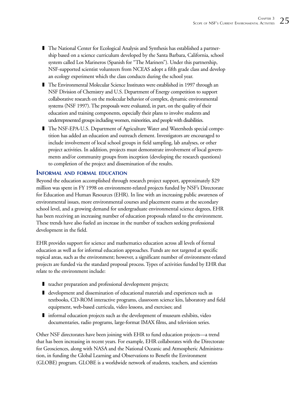- The National Center for Ecological Analysis and Synthesis has established a partnership based on a science curriculum developed by the Santa Barbara, California, school system called Los Marineros (Spanish for "The Mariners"). Under this partnership, NSF-supported scientist volunteers from NCEAS adopt a fifth grade class and develop an ecology experiment which the class conducts during the school year.
- The Environmental Molecular Science Institutes were established in 1997 through an NSF Division of Chemistry and U.S. Department of Energy competition to support collaborative research on the molecular behavior of complex, dynamic environmental systems (NSF 1997). The proposals were evaluated, in part, on the quality of their education and training components, especially their plans to involve students and underrepresented groups including women, minorities, and people with disabilities.
- The NSF-EPA-U.S. Department of Agriculture Water and Watersheds special competition has added an education and outreach element. Investigators are encouraged to include involvement of local school groups in field sampling, lab analyses, or other project activities. In addition, projects must demonstrate involvement of local governments and/or community groups from inception (developing the research questions) to completion of the project and dissemination of the results.

#### **INFORMAL AND FORMAL EDUCATION**

Beyond the education accomplished through research project support, approximately \$29 million was spent in FY 1998 on environment-related projects funded by NSF's Directorate for Education and Human Resources (EHR). In line with an increasing public awareness of environmental issues, more environmental courses and placement exams at the secondary school level, and a growing demand for undergraduate environmental science degrees, EHR has been receiving an increasing number of education proposals related to the environment. These trends have also fueled an increase in the number of teachers seeking professional development in the field.

EHR provides support for science and mathematics education across all levels of formal education as well as for informal education approaches. Funds are not targeted at specific topical areas, such as the environment; however, a significant number of environment-related projects are funded via the standard proposal process. Types of activities funded by EHR that relate to the environment include:

- teacher preparation and professional development projects;
- development and dissemination of educational materials and experiences such as textbooks, CD-ROM interactive programs, classroom science kits, laboratory and field equipment, web-based curricula, video lessons, and exercises; and
- informal education projects such as the development of museum exhibits, video documentaries, radio programs, large-format IMAX films, and television series.

Other NSF directorates have been joining with EHR to fund education projects—a trend that has been increasing in recent years. For example, EHR collaborates with the Directorate for Geosciences, along with NASA and the National Oceanic and Atmospheric Administration, in funding the Global Learning and Observations to Benefit the Environment (GLOBE) program. GLOBE is a worldwide network of students, teachers, and scientists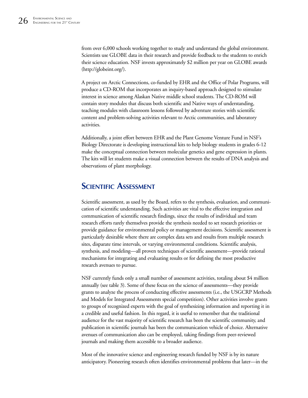from over 6,000 schools working together to study and understand the global environment. Scientists use GLOBE data in their research and provide feedback to the students to enrich their science education. NSF invests approximately \$2 million per year on GLOBE awards [\(http://globeint.org/\).](http://globeint.org/)

A project on Arctic Connections, co-funded by EHR and the Office of Polar Programs, will produce a CD-ROM that incorporates an inquiry-based approach designed to stimulate interest in science among Alaskan Native middle school students. The CD-ROM will contain story modules that discuss both scientific and Native ways of understanding, teaching modules with classroom lessons followed by adventure stories with scientific content and problem-solving activities relevant to Arctic communities, and laboratory activities.

Additionally, a joint effort between EHR and the Plant Genome Venture Fund in NSF's Biology Directorate is developing instructional kits to help biology students in grades 6-12 make the conceptual connection between molecular genetics and gene expression in plants. The kits will let students make a visual connection between the results of DNA analysis and observations of plant morphology.

# **SCIENTIFIC ASSESSMENT**

Scientific assessment, as used by the Board, refers to the synthesis, evaluation, and communication of scientific understanding. Such activities are vital to the effective integration and communication of scientific research findings, since the results of individual and team research efforts rarely themselves provide the synthesis needed to set research priorities or provide guidance for environmental policy or management decisions. Scientific assessment is particularly desirable where there are complex data sets and results from multiple research sites, disparate time intervals, or varying environmental conditions. Scientific analysis, synthesis, and modeling—all proven techniques of scientific assessment—provide rational mechanisms for integrating and evaluating results or for defining the most productive research avenues to pursue.

NSF currently funds only a small number of assessment activities, totaling about \$4 million annually (see table 3). Some of these focus on the science of assessments—they provide grants to analyze the process of conducting effective assessments (i.e., the USGCRP Methods and Models for Integrated Assessments special competition). Other activities involve grants to groups of recognized experts with the goal of synthesizing information and reporting it in a credible and useful fashion. In this regard, it is useful to remember that the traditional audience for the vast majority of scientific research has been the scientific community, and publication in scientific journals has been the communication vehicle of choice. Alternative avenues of communication also can be employed, taking findings from peer-reviewed journals and making them accessible to a broader audience.

Most of the innovative science and engineering research funded by NSF is by its nature anticipatory. Pioneering research often identifies environmental problems that later—in the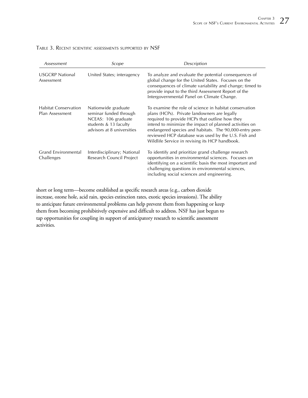| Assessment                                     | Scope                                                                                                                       | Description                                                                                                                                                                                                                                                                                                                                                                            |
|------------------------------------------------|-----------------------------------------------------------------------------------------------------------------------------|----------------------------------------------------------------------------------------------------------------------------------------------------------------------------------------------------------------------------------------------------------------------------------------------------------------------------------------------------------------------------------------|
| <b>USGCRP</b> National<br>Assessment           | United States; interagency                                                                                                  | To analyze and evaluate the potential consequences of<br>global change for the United States. Focuses on the<br>consequences of climate variability and change; timed to<br>provide input to the third Assessment Report of the<br>Intergovernmental Panel on Climate Change.                                                                                                          |
| <b>Habitat Conservation</b><br>Plan Assessment | Nationwide graduate<br>seminar funded through<br>NCEAS: 106 graduate<br>students & 13 faculty<br>advisors at 8 universities | To examine the role of science in habitat conservation<br>plans (HCPs). Private landowners are legally<br>required to provide HCPs that outline how they<br>intend to minimize the impact of planned activities on<br>endangered species and habitats. The 90,000-entry peer-<br>reviewed HCP database was used by the U.S. Fish and<br>Wildlife Service in revising its HCP handbook. |
| Grand Environmental<br>Challenges              | Interdisciplinary; National<br>Research Council Project                                                                     | To identify and prioritize grand challenge research<br>opportunities in environmental sciences. Focuses on<br>identifying on a scientific basis the most important and<br>challenging questions in environmental sciences,<br>including social sciences and engineering.                                                                                                               |

#### TABLE 3. RECENT SCIENTIFIC ASSESSMENTS SUPPORTED BY NSF

short or long term—become established as specific research areas (e.g., carbon dioxide increase, ozone hole, acid rain, species extinction rates, exotic species invasions). The ability to anticipate future environmental problems can help prevent them from happening or keep them from becoming prohibitively expensive and difficult to address. NSF has just begun to tap opportunities for coupling its support of anticipatory research to scientific assessment activities.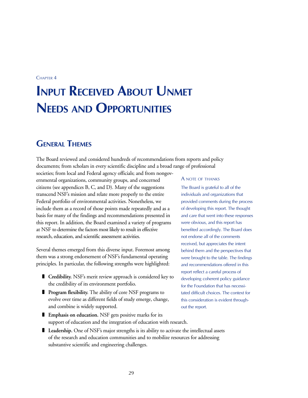#### CHAPTER 4

# **INPUT RECEIVED ABOUT UNMET NEEDS AND OPPORTUNITIES**

# **GENERAL THEMES**

The Board reviewed and considered hundreds of recommendations from reports and policy documents; from scholars in every scientific discipline and a broad range of professional

societies; from local and Federal agency officials; and from nongovernmental organizations, community groups, and concerned citizens (see appendices B, C, and D). Many of the suggestions transcend NSF's mission and relate more properly to the entire Federal portfolio of environmental activities. Nonetheless, we include them as a record of those points made repeatedly and as a basis for many of the findings and recommendations presented in this report. In addition, the Board examined a variety of programs at NSF to determine the factors most likely to result in effective research, education, and scientific assessment activities.

Several themes emerged from this diverse input. Foremost among them was a strong endorsement of NSF's fundamental operating principles. In particular, the following strengths were highlighted:

- **Credibility.** NSF's merit review approach is considered key to the credibility of its environment portfolio.
- **Program flexibility.** The ability of core NSF programs to evolve over time as different fields of study emerge, change, and combine is widely supported.
- **Emphasis on education.** NSF gets positive marks for its support of education and the integration of education with research.

#### ■ Leadership. One of NSF's major strengths is its ability to activate the intellectual assets of the research and education communities and to mobilize resources for addressing substantive scientific and engineering challenges.

#### A NOTE OF THANKS

The Board is grateful to all of the individuals and organizations that provided comments during the process of developing this report. The thought and care that went into these responses were obvious, and this report has benefited accordingly. The Board does not endorse all of the comments received, but appreciates the intent behind them and the perspectives that were brought to the table. The findings and recommendations offered in this report reflect a careful process of developing coherent policy guidance for the Foundation that has necessitated difficult choices. The context for this consideration is evident throughout the report.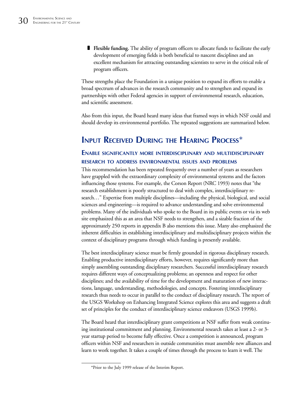■ Flexible funding. The ability of program officers to allocate funds to facilitate the early development of emerging fields is both beneficial to nascent disciplines and an excellent mechanism for attracting outstanding scientists to serve in the critical role of program officers.

These strengths place the Foundation in a unique position to expand its efforts to enable a broad spectrum of advances in the research community and to strengthen and expand its partnerships with other Federal agencies in support of environmental research, education, and scientific assessment.

Also from this input, the Board heard many ideas that framed ways in which NSF could and should develop its environmental portfolio. The repeated suggestions are summarized below.

# **INPUT RECEIVED DURING THE HEARING PROCESS**\*

## **ENABLE SIGNIFICANTLY MORE INTERDISCIPLINARY AND MULTIDISCIPLINARY RESEARCH TO ADDRESS ENVIRONMENTAL ISSUES AND PROBLEMS**

This recommendation has been repeated frequently over a number of years as researchers have grappled with the extraordinary complexity of environmental systems and the factors influencing those systems. For example, the Corson Report (NRC 1993) notes that "the research establishment is poorly structured to deal with complex, interdisciplinary research…" Expertise from multiple disciplines—including the physical, biological, and social sciences and engineering—is required to advance understanding and solve environmental problems. Many of the individuals who spoke to the Board in its public events or via its web site emphasized this as an area that NSF needs to strengthen, and a sizable fraction of the approximately 250 reports in appendix B also mentions this issue. Many also emphasized the inherent difficulties in establishing interdisciplinary and multidisciplinary projects within the context of disciplinary programs through which funding is presently available.

The best interdisciplinary science must be firmly grounded in rigorous disciplinary research. Enabling productive interdisciplinary efforts, however, requires significantly more than simply assembling outstanding disciplinary researchers. Successful interdisciplinary research requires different ways of conceptualizing problems; an openness and respect for other disciplines; and the availability of time for the development and maturation of new interactions, language, understanding, methodologies, and concepts. Fostering interdisciplinary research thus needs to occur in parallel to the conduct of disciplinary research. The report of the USGS Workshop on Enhancing Integrated Science explores this area and suggests a draft set of principles for the conduct of interdisciplinary science endeavors (USGS 1999b).

The Board heard that interdisciplinary grant competitions at NSF suffer from weak continuing institutional commitment and planning. Environmental research takes at least a 2- or 3 year startup period to become fully effective. Once a competition is announced, program officers within NSF and researchers in outside communities must assemble new alliances and learn to work together. It takes a couple of times through the process to learn it well. The

<sup>\*</sup>Prior to the July 1999 release of the Interim Report.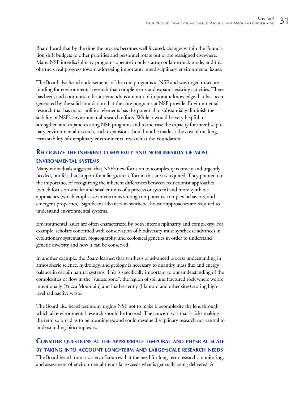Board heard that by the time the process becomes well focused, changes within the Foundation shift budgets to other priorities and personnel rotate out or are reassigned elsewhere. Many NSF interdisciplinary programs operate in only startup or lame duck mode, and this obstructs real progress toward addressing important, interdisciplinary environmental issues.

The Board also heard endorsements of the core programs at NSF and was urged to secure funding for environmental research that complements and expands existing activities. There has been, and continues to be, a tremendous amount of important knowledge that has been generated by the solid foundation that the core programs at NSF provide. Environmental research that has major political elements has the potential to substantially diminish the stability of NSF's environmental research efforts. While it would be very helpful to strengthen and expand existing NSF programs and to increase the capacity for interdisciplinary environmental research, such expansions should not be made at the cost of the longterm stability of disciplinary environmental research at the Foundation.

## **RECOGNIZE THE INHERENT COMPLEXITY AND NONLINEARITY OF MOST ENVIRONMENTAL SYSTEMS**

Many individuals suggested that NSF's new focus on biocomplexity is timely and urgently needed, but felt that support for a far greater effort in this area is required. They pointed out the importance of recognizing the inherent differences between reductionist approaches (which focus on smaller and smaller units of a process or system) and more synthetic approaches (which emphasize interactions among components, complex behaviors, and emergent properties). Significant advances in synthetic, holistic approaches are required to understand environmental systems.

Environmental issues are often characterized by both interdisciplinarity and complexity. For example, scholars concerned with conservation of biodiversity must synthesize advances in evolutionary systematics, biogeography, and ecological genetics in order to understand genetic diversity and how it can be conserved.

In another example, the Board learned that synthesis of advanced process understanding in atmospheric science, hydrology, and geology is necessary to quantify mass flux and energy balance in certain natural systems. This is specifically important to our understanding of the complexities of flow in the "vadose zone": the region of soil and fractured rock where we are intentionally (Yucca Mountain) and inadvertently (Hanford and other sites) storing highlevel radioactive waste.

The Board also heard testimony urging NSF not to make biocomplexity the lens through which all environmental research should be focused. The concern was that it risks making the term so broad as to be meaningless and could devalue disciplinary research not central to understanding biocomplexity.

**CONSIDER QUESTIONS AT THE APPROPRIATE TEMPORAL AND PHYSICAL SCALE BY TAKING INTO ACCOUNT LONG-TERM AND LARGE-SCALE RESEARCH NEEDS** The Board heard from a variety of sources that the need for long-term research, monitoring, and assessment of environmental trends far exceeds what is generally being delivered. A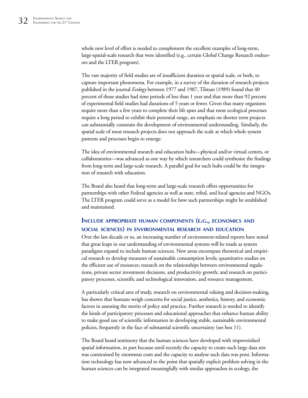whole new level of effort is needed to complement the excellent examples of long-term, large-spatial-scale research that were identified (e.g., certain Global Change Research endeavors and the LTER program).

The vast majority of field studies are of insufficient duration or spatial scale, or both, to capture important phenomena. For example, in a survey of the duration of research projects published in the journal *Ecology* between 1977 and 1987, Tilman (1989) found that 40 percent of those studies had time periods of less than 1 year and that more than 92 percent of experimental field studies had durations of 5 years or fewer. Given that many organisms require more than a few years to complete their life span and that most ecological processes require a long period to exhibit their potential range, an emphasis on shorter term projects can substantially constrain the development of environmental understanding. Similarly, the spatial scale of most research projects does not approach the scale at which whole system patterns and processes begin to emerge.

The idea of environmental research and education hubs—physical and/or virtual centers, or collaboratories—was advanced as one way by which researchers could synthesize the findings from long-term and large-scale research. A parallel goal for such hubs could be the integration of research with education.

The Board also heard that long-term and large-scale research offers opportunities for partnerships with other Federal agencies as well as state, tribal, and local agencies and NGOs. The LTER program could serve as a model for how such partnerships might be established and maintained.

## **INCLUDE APPROPRIATE HUMAN COMPONENTS (E.G., ECONOMICS AND SOCIAL SCIENCES) IN ENVIRONMENTAL RESEARCH AND EDUCATION**

Over the last decade or so, an increasing number of environment-related reports have noted that great leaps in our understanding of environmental systems will be made as system paradigms expand to include human sciences. New areas encompass theoretical and empirical research to develop measures of sustainable consumption levels; quantitative studies on the efficient use of resources; research on the relationships between environmental regulations, private sector investment decisions, and productivity growth; and research on participatory processes, scientific and technological innovation, and resource management.

A particularly critical area of study, research on environmental valuing and decision-making, has shown that humans weigh concerns for social justice, aesthetics, history, and economic factors in assessing the merits of policy and practice. Further research is needed to identify the kinds of participatory processes and educational approaches that enhance human ability to make good use of scientific information in developing stable, sustainable environmental policies, frequently in the face of substantial scientific uncertainty (see box 11).

The Board heard testimony that the human sciences have developed with impoverished spatial information, in part because until recently the capacity to create such large data sets was constrained by enormous costs and the capacity to analyze such data was poor. Information technology has now advanced to the point that spatially explicit problem solving in the human sciences can be integrated meaningfully with similar approaches in ecology, the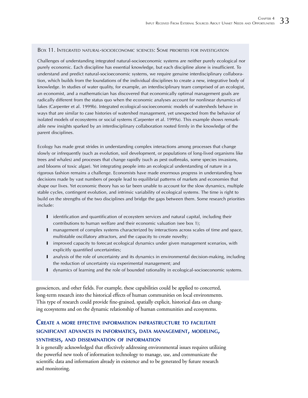#### BOX 11. INTEGRATED NATURAL-SOCIOECONOMIC SCIENCES: SOME PRIORITIES FOR INVESTIGATION

Challenges of understanding integrated natural-socioeconomic systems are neither purely ecological nor purely economic. Each discipline has essential knowledge, but each discipline alone is insufficient. To understand and predict natural-socioeconomic systems, we require genuine interdisciplinary collaboration, which builds from the foundations of the individual disciplines to create a new, integrative body of knowledge. In studies of water quality, for example, an interdisciplinary team comprised of an ecologist, an economist, and a mathematician has discovered that economically optimal management goals are radically different from the status quo when the economic analyses account for nonlinear dynamics of lakes (Carpenter et al. 1999b). Integrated ecological-socioeconomic models of watersheds behave in ways that are similar to case histories of watershed management, yet unexpected from the behavior of isolated models of ecosystems or social systems (Carpenter et al. 1999a). This example shows remarkable new insights sparked by an interdisciplinary collaboration rooted firmly in the knowledge of the parent disciplines.

Ecology has made great strides in understanding complex interactions among processes that change slowly or infrequently (such as evolution, soil development, or populations of long-lived organisms like trees and whales) and processes that change rapidly (such as pest outbreaks, some species invasions, and blooms of toxic algae). Yet integrating people into an ecological understanding of nature in a rigorous fashion remains a challenge. Economists have made enormous progress in understanding how decisions made by vast numbers of people lead to equilibrial patterns of markets and economies that shape our lives. Yet economic theory has so far been unable to account for the slow dynamics, multiple stable cycles, contingent evolution, and intrinsic variability of ecological systems. The time is right to build on the strengths of the two disciplines and bridge the gaps between them. Some research priorities include:

- identification and quantification of ecosystem services and natural capital, including their contributions to human welfare and their economic valuation (see box 1);
- management of complex systems characterized by interactions across scales of time and space, multistable oscillatory attractors, and the capacity to create novelty;
- **I** improved capacity to forecast ecological dynamics under given management scenarios, with explicitly quantified uncertainties;
- analysis of the role of uncertainty and its dynamics in environmental decision-making, including the reduction of uncertainty via experimental management; and
- dynamics of learning and the role of bounded rationality in ecological-socioeconomic systems.

geosciences, and other fields. For example, these capabilities could be applied to concerted, long-term research into the historical effects of human communities on local environments. This type of research could provide fine-grained, spatially explicit, historical data on changing ecosystems and on the dynamic relationship of human communities and ecosystems.

# **CREATE A MORE EFFECTIVE INFORMATION INFRASTRUCTURE TO FACILITATE SIGNIFICANT ADVANCES IN INFORMATICS, DATA MANAGEMENT, MODELING, SYNTHESIS, AND DISSEMINATION OF INFORMATION**

It is generally acknowledged that effectively addressing environmental issues requires utilizing the powerful new tools of information technology to manage, use, and communicate the scientific data and information already in existence and to be generated by future research and monitoring.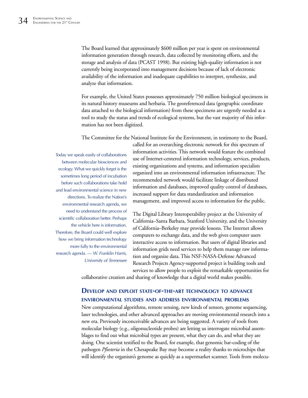The Board learned that approximately \$600 million per year is spent on environmental information generation through research, data collected by monitoring efforts, and the storage and analysis of data (PCAST 1998). But existing high-quality information is not currently being incorporated into management decisions because of lack of electronic availability of the information and inadequate capabilities to interpret, synthesize, and analyze that information.

For example, the United States possesses approximately 750 million biological specimens in its natural history museums and herbaria. The georeferenced data (geographic coordinate data attached to the biological information) from these specimens are urgently needed as a tool to study the status and trends of ecological systems, but the vast majority of this information has not been digitized.

The Committee for the National Institute for the Environment, in testimony to the Board,

Today we speak easily of collaborations between molecular biosciences and ecology. What we quickly forget is the sometimes long period of incubation before such collaborations take hold and lead environmental science in new directions. To realize the Nation's environmental research agenda, we need to understand the process of scientific collaboration better. Perhaps the vehicle here is information. Therefore, the Board could well explore how we bring information technology more fully to the environmental research agenda. — W. Franklin Harris, University of Tennessee called for an overarching electronic network for this spectrum of information activities. This network would feature the combined use of Internet-centered information technology, services, products, existing organizations and systems, and information specialists organized into an environmental information infrastructure. The recommended network would facilitate linkage of distributed information and databases, improved quality control of databases, increased support for data standardization and information management, and improved access to information for the public.

The Digital Library Interoperability project at the University of California–Santa Barbara, Stanford University, and the University of California–Berkeley may provide lessons. The Internet allows computers to exchange data, and the web gives computer users interactive access to information. But users of digital libraries and information grids need services to help them manage raw information and organize data. This NSF-NASA-Defense Advanced Research Projects Agency-supported project is building tools and services to allow people to exploit the remarkable opportunities for

collaborative creation and sharing of knowledge that a digital world makes possible.

### **DEVELOP AND EXPLOIT STATE-OF-THE-ART TECHNOLOGY TO ADVANCE ENVIRONMENTAL STUDIES AND ADDRESS ENVIRONMENTAL PROBLEMS**

New computational algorithms, remote sensing, new kinds of sensors, genome sequencing, laser technologies, and other advanced approaches are moving environmental research into a new era. Previously inconceivable advances are being suggested. A variety of tools from molecular biology (e.g., oligonucleotide probes) are letting us interrogate microbial assemblages to find out what microbial types are present, what they can do, and what they are doing. One scientist testified to the Board, for example, that genomic bar-coding of the pathogen *Pfiesteria* in the Chesapeake Bay may become a reality thanks to microchips that will identify the organism's genome as quickly as a supermarket scanner. Tools from molecu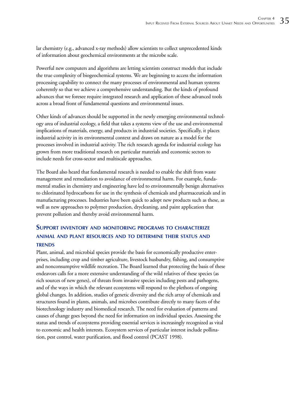lar chemistry (e.g., advanced x-ray methods) allow scientists to collect unprecedented kinds of information about geochemical environments at the microbe scale.

Powerful new computers and algorithms are letting scientists construct models that include the true complexity of biogeochemical systems. We are beginning to access the information processing capability to connect the many processes of environmental and human systems coherently so that we achieve a comprehensive understanding. But the kinds of profound advances that we foresee require integrated research and application of these advanced tools across a broad front of fundamental questions and environmental issues.

Other kinds of advances should be supported in the newly emerging environmental technology area of industrial ecology, a field that takes a systems view of the use and environmental implications of materials, energy, and products in industrial societies. Specifically, it places industrial activity in its environmental context and draws on nature as a model for the processes involved in industrial activity. The rich research agenda for industrial ecology has grown from more traditional research on particular materials and economic sectors to include needs for cross-sector and multiscale approaches.

The Board also heard that fundamental research is needed to enable the shift from waste management and remediation to avoidance of environmental harm. For example, fundamental studies in chemistry and engineering have led to environmentally benign alternatives to chlorinated hydrocarbons for use in the synthesis of chemicals and pharmaceuticals and in manufacturing processes. Industries have been quick to adopt new products such as these, as well as new approaches to polymer production, drycleaning, and paint application that prevent pollution and thereby avoid environmental harm.

# **SUPPORT INVENTORY AND MONITORING PROGRAMS TO CHARACTERIZE ANIMAL AND PLANT RESOURCES AND TO DETERMINE THEIR STATUS AND TRENDS**

Plant, animal, and microbial species provide the basis for economically productive enterprises, including crop and timber agriculture, livestock husbandry, fishing, and consumptive and nonconsumptive wildlife recreation. The Board learned that protecting the basis of these endeavors calls for a more extensive understanding of the wild relatives of these species (as rich sources of new genes), of threats from invasive species including pests and pathogens, and of the ways in which the relevant ecosystems will respond to the plethora of ongoing global changes. In addition, studies of genetic diversity and the rich array of chemicals and structures found in plants, animals, and microbes contribute directly to many facets of the biotechnology industry and biomedical research. The need for evaluation of patterns and causes of change goes beyond the need for information on individual species. Assessing the status and trends of ecosystems providing essential services is increasingly recognized as vital to economic and health interests. Ecosystem services of particular interest include pollination, pest control, water purification, and flood control (PCAST 1998).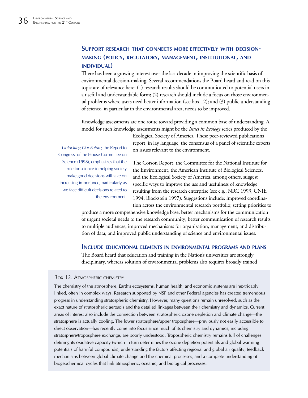# **SUPPORT RESEARCH THAT CONNECTS MORE EFFECTIVELY WITH DECISION-MAKING (POLICY, REGULATORY, MANAGEMENT, INSTITUTIONAL, AND INDIVIDUAL)**

There has been a growing interest over the last decade in improving the scientific basis of environmental decision-making. Several recommendations the Board heard and read on this topic are of relevance here: (1) research results should be communicated to potential users in a useful and understandable form; (2) research should include a focus on those environmental problems where users need better information (see box 12); and (3) public understanding of science, in particular in the environmental area, needs to be improved.

Knowledge assessments are one route toward providing a common base of understanding. A model for such knowledge assessments might be the *Issues in Ecology* series produced by the

> Ecological Society of America. These peer-reviewed publications report, in lay language, the consensus of a panel of scientific experts on issues relevant to the environment.

Unlocking Our Future, the Report to Congress of the House Committee on Science (1998), emphasizes that the role for science in helping society make good decisions will take on increasing importance, particularly as we face difficult decisions related to the environment.

The Corson Report, the Committee for the National Institute for the Environment, the American Institute of Biological Sciences, and the Ecological Society of America, among others, suggest specific ways to improve the use and usefulness of knowledge resulting from the research enterprise (see e.g., NRC 1993, CNIE 1994, Blockstein 1997). Suggestions include: improved coordination across the environmental research portfolio; setting priorities to

produce a more comprehensive knowledge base; better mechanisms for the communication of urgent societal needs to the research community; better communication of research results to multiple audiences; improved mechanisms for organization, management, and distribution of data; and improved public understanding of science and environmental issues.

#### **INCLUDE EDUCATIONAL ELEMENTS IN ENVIRONMENTAL PROGRAMS AND PLANS**

The Board heard that education and training in the Nation's universities are strongly disciplinary, whereas solution of environmental problems also requires broadly trained

#### BOX 12. ATMOSPHERIC CHEMISTRY

The chemistry of the atmosphere, Earth's ecosystems, human health, and economic systems are inextricably linked, often in complex ways. Research supported by NSF and other Federal agencies has created tremendous progress in understanding stratospheric chemistry. However, many questions remain unresolved, such as the exact nature of stratospheric aerosols and the detailed linkages between their chemistry and dynamics. Current areas of interest also include the connection between stratospheric ozone depletion and climate change—the stratosphere is actually cooling. The lower stratosphere/upper troposphere—previously not easily accessible to direct observation—has recently come into focus since much of its chemistry and dynamics, including stratosphere/troposphere exchange, are poorly understood. Tropospheric chemistry remains full of challenges: defining its oxidative capacity (which in turn determines the ozone depletion potentials and global warming potentials of harmful compounds); understanding the factors affecting regional and global air quality; feedback mechanisms between global climate change and the chemical processes; and a complete understanding of biogeochemical cycles that link atmospheric, oceanic, and biological processes.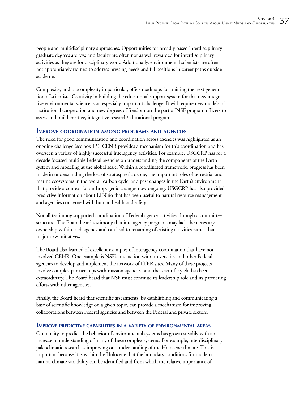people and multidisciplinary approaches. Opportunities for broadly based interdisciplinary graduate degrees are few, and faculty are often not as well rewarded for interdisciplinary activities as they are for disciplinary work. Additionally, environmental scientists are often not appropriately trained to address pressing needs and fill positions in career paths outside academe.

Complexity, and biocomplexity in particular, offers roadmaps for training the next generation of scientists. Creativity in building the educational support system for this new integrative environmental science is an especially important challenge. It will require new models of institutional cooperation and new degrees of freedom on the part of NSF program officers to assess and build creative, integrative research/educational programs.

#### **IMPROVE COORDINATION AMONG PROGRAMS AND AGENCIES**

The need for good communication and coordination across agencies was highlighted as an ongoing challenge (see box 13). CENR provides a mechanism for this coordination and has overseen a variety of highly successful interagency activities. For example, USGCRP has for a decade focused multiple Federal agencies on understanding the components of the Earth system and modeling at the global scale. Within a coordinated framework, progress has been made in understanding the loss of stratospheric ozone, the important roles of terrestrial and marine ecosystems in the overall carbon cycle, and past changes in the Earth's environment that provide a context for anthropogenic changes now ongoing. USGCRP has also provided predictive information about El Niño that has been useful to natural resource management and agencies concerned with human health and safety.

Not all testimony supported coordination of Federal agency activities through a committee structure. The Board heard testimony that interagency programs may lack the necessary ownership within each agency and can lead to renaming of existing activities rather than major new initiatives.

The Board also learned of excellent examples of interagency coordination that have not involved CENR. One example is NSF's interaction with universities and other Federal agencies to develop and implement the network of LTER sites. Many of these projects involve complex partnerships with mission agencies, and the scientific yield has been extraordinary. The Board heard that NSF must continue its leadership role and its partnering efforts with other agencies.

Finally, the Board heard that scientific assessments, by establishing and communicating a base of scientific knowledge on a given topic, can provide a mechanism for improving collaborations between Federal agencies and between the Federal and private sectors.

#### **IMPROVE PREDICTIVE CAPABILITIES IN A VARIETY OF ENVIRONMENTAL AREAS**

Our ability to predict the behavior of environmental systems has grown steadily with an increase in understanding of many of these complex systems. For example, interdisciplinary paleoclimatic research is improving our understanding of the Holocene climate. This is important because it is within the Holocene that the boundary conditions for modern natural climate variability can be identified and from which the relative importance of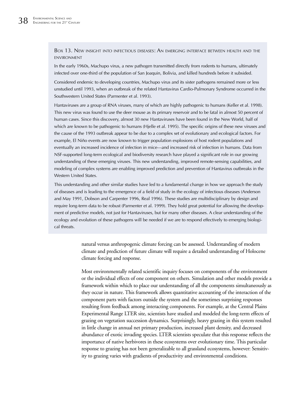BOX 13. NEW INSIGHT INTO INFECTIOUS DISEASES: AN EMERGING INTERFACE BETWEEN HEALTH AND THE ENVIRONMENT

In the early 1960s, Machupo virus, a new pathogen transmitted directly from rodents to humans, ultimately infected over one-third of the population of San Joaquin, Bolivia, and killed hundreds before it subsided.

Considered endemic to developing countries, Machupo virus and its sister pathogens remained more or less unstudied until 1993, when an outbreak of the related Hantavirus Cardio-Pulmonary Syndrome occurred in the Southwestern United States (Parmenter et al. 1993).

Hantaviruses are a group of RNA viruses, many of which are highly pathogenic to humans (Keller et al. 1998). This new virus was found to use the deer mouse as its primary reservoir and to be fatal in almost 50 percent of human cases. Since this discovery, almost 30 new Hantaviruses have been found in the New World, half of which are known to be pathogenic to humans (Hjelle et al. 1995). The specific origins of these new viruses and the cause of the 1993 outbreak appear to be due to a complex set of evolutionary and ecological factors. For example, El Niño events are now known to trigger population explosions of host rodent populations and eventually an increased incidence of infection in mice—and increased risk of infection in humans. Data from NSF-supported long-term ecological and biodiversity research have played a significant role in our growing understanding of these emerging viruses. This new understanding, improved remote-sensing capabilities, and modeling of complex systems are enabling improved prediction and prevention of Hantavirus outbreaks in the Western United States.

This understanding and other similar studies have led to a fundamental change in how we approach the study of diseases and is leading to the emergence of a field of study in the ecology of infectious diseases (Anderson and May 1991, Dobson and Carpenter 1996, Real 1996). These studies are multidisciplinary by design and require long-term data to be robust (Parmenter et al. 1999). They hold great potential for allowing the development of predictive models, not just for Hantaviruses, but for many other diseases. A clear understanding of the ecology and evolution of these pathogens will be needed if we are to respond effectively to emerging biological threats.

> natural versus anthropogenic climate forcing can be assessed. Understanding of modern climate and prediction of future climate will require a detailed understanding of Holocene climate forcing and response.

Most environmentally related scientific inquiry focuses on components of the environment or the individual effects of one component on others. Simulation and other models provide a framework within which to place our understanding of all the components simultaneously as they occur in nature. This framework allows quantitative accounting of the interaction of the component parts with factors outside the system and the sometimes surprising responses resulting from feedback among interacting components. For example, at the Central Plains Experimental Range LTER site, scientists have studied and modeled the long-term effects of grazing on vegetation succession dynamics. Surprisingly, heavy grazing in this system resulted in little change in annual net primary production, increased plant density, and decreased abundance of exotic invading species. LTER scientists speculate that this response reflects the importance of native herbivores in these ecosystems over evolutionary time. This particular response to grazing has not been generalizable to all grassland ecosystems, however: Sensitivity to grazing varies with gradients of productivity and environmental conditions.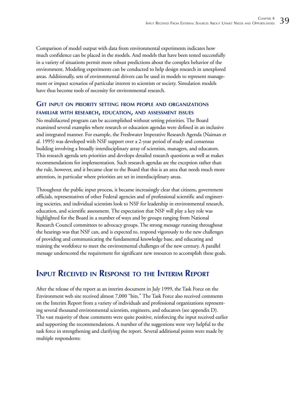Comparison of model output with data from environmental experiments indicates how much confidence can be placed in the models. And models that have been tested successfully in a variety of situations permit more robust predictions about the complex behavior of the environment. Modeling experiments can be conducted to help design research in unexplored areas. Additionally, sets of environmental drivers can be used in models to represent management or impact scenarios of particular interest to scientists or society. Simulation models have thus become tools of necessity for environmental research.

### **GET INPUT ON PRIORITY SETTING FROM PEOPLE AND ORGANIZATIONS FAMILIAR WITH RESEARCH, EDUCATION, AND ASSESSMENT ISSUES**

No multifaceted program can be accomplished without setting priorities. The Board examined several examples where research or education agendas were defined in an inclusive and integrated manner. For example, the Freshwater Imperative Research Agenda (Naiman et al. 1995) was developed with NSF support over a 2-year period of study and consensus building involving a broadly interdisciplinary array of scientists, managers, and educators. This research agenda sets priorities and develops detailed research questions as well as makes recommendations for implementation. Such research agendas are the exception rather than the rule, however, and it became clear to the Board that this is an area that needs much more attention, in particular where priorities are set in interdisciplinary areas.

Throughout the public input process, it became increasingly clear that citizens, government officials, representatives of other Federal agencies and of professional scientific and engineering societies, and individual scientists look to NSF for leadership in environmental research, education, and scientific assessment. The expectation that NSF will play a key role was highlighted for the Board in a number of ways and by groups ranging from National Research Council committees to advocacy groups. The strong message running throughout the hearings was that NSF can, and is expected to, respond vigorously to the new challenges of providing and communicating the fundamental knowledge base, and educating and training the workforce to meet the environmental challenges of the new century. A parallel message underscored the requirement for significant new resources to accomplish these goals.

# **INPUT RECEIVED IN RESPONSE TO THE INTERIM REPORT**

After the release of the report as an interim document in July 1999, the Task Force on the Environment web site received almost 7,000 "hits." The Task Force also received comments on the Interim Report from a variety of individuals and professional organizations representing several thousand environmental scientists, engineers, and educators (see appendix D). The vast majority of these comments were quite positive, reinforcing the input received earlier and supporting the recommendations. A number of the suggestions were very helpful to the task force in strengthening and clarifying the report. Several additional points were made by multiple respondents: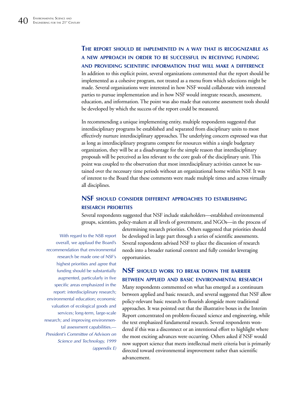# **THE REPORT SHOULD BE IMPLEMENTED IN <sup>A</sup> WAY THAT IS RECOGNIZABLE AS A NEW APPROACH IN ORDER TO BE SUCCESSFUL IN RECEIVING FUNDING AND PROVIDING SCIENTIFIC INFORMATION THAT WILL MAKE A DIFFERENCE**

In addition to this explicit point, several organizations commented that the report should be implemented as a cohesive program, not treated as a menu from which selections might be made. Several organizations were interested in how NSF would collaborate with interested parties to pursue implementation and in how NSF would integrate research, assessment, education, and information. The point was also made that outcome assessment tools should be developed by which the success of the report could be measured.

In recommending a unique implementing entity, multiple respondents suggested that interdisciplinary programs be established and separated from disciplinary units to most effectively nurture interdisciplinary approaches. The underlying concern expressed was that as long as interdisciplinary programs compete for resources within a single budgetary organization, they will be at a disadvantage for the simple reason that interdisciplinary proposals will be perceived as less relevant to the core goals of the disciplinary unit. This point was coupled to the observation that most interdisciplinary activities cannot be sustained over the necessary time periods without an organizational home within NSF. It was of interest to the Board that these comments were made multiple times and across virtually all disciplines.

### **NSF SHOULD CONSIDER DIFFERENT APPROACHES TO ESTABLISHING RESEARCH PRIORITIES**

Several respondents suggested that NSF include stakeholders—established environmental groups, scientists, policy-makers at all levels of government, and NGOs—in the process of

With regard to the NSB report overall, we applaud the Board's recommendation that environmental research be made one of NSF's highest priorities and agree that funding should be substantially augmented, particularly in five specific areas emphasized in the report: interdisciplinary research; environmental education; economic valuation of ecological goods and services; long-term, large-scale research; and improving environmental assessment capabilities.— President's Committee of Advisors on Science and Technology, 1999 (appendix E)

determining research priorities. Others suggested that priorities should be developed in large part through a series of scientific assessments. Several respondents advised NSF to place the discussion of research needs into a broader national context and fully consider leveraging opportunities.

### **NSF SHOULD WORK TO BREAK DOWN THE BARRIER BETWEEN APPLIED AND BASIC ENVIRONMENTAL RESEARCH**

Many respondents commented on what has emerged as a continuum between applied and basic research, and several suggested that NSF allow policy-relevant basic research to flourish alongside more traditional approaches. It was pointed out that the illustrative boxes in the Interim Report concentrated on problem-focused science and engineering, while the text emphasized fundamental research. Several respondents wondered if this was a disconnect or an intentional effort to highlight where the most exciting advances were occurring. Others asked if NSF would now support science that meets intellectual merit criteria but is primarily directed toward environmental improvement rather than scientific advancement.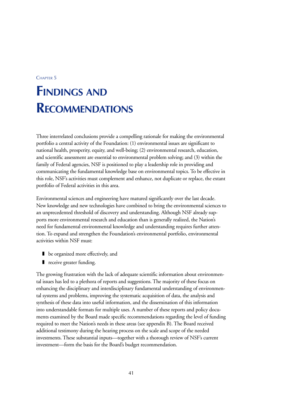#### CHAPTER 5

# **FINDINGS AND RECOMMENDATIONS**

Three interrelated conclusions provide a compelling rationale for making the environmental portfolio a central activity of the Foundation: (1) environmental issues are significant to national health, prosperity, equity, and well-being; (2) environmental research, education, and scientific assessment are essential to environmental problem solving; and (3) within the family of Federal agencies, NSF is positioned to play a leadership role in providing and communicating the fundamental knowledge base on environmental topics. To be effective in this role, NSF's activities must complement and enhance, not duplicate or replace, the extant portfolio of Federal activities in this area.

Environmental sciences and engineering have matured significantly over the last decade. New knowledge and new technologies have combined to bring the environmental sciences to an unprecedented threshold of discovery and understanding. Although NSF already supports more environmental research and education than is generally realized, the Nation's need for fundamental environmental knowledge and understanding requires further attention. To expand and strengthen the Foundation's environmental portfolio, environmental activities within NSF must:

- be organized more effectively, and
- receive greater funding.

The growing frustration with the lack of adequate scientific information about environmental issues has led to a plethora of reports and suggestions. The majority of these focus on enhancing the disciplinary and interdisciplinary fundamental understanding of environmental systems and problems, improving the systematic acquisition of data, the analysis and synthesis of these data into useful information, and the dissemination of this information into understandable formats for multiple uses. A number of these reports and policy documents examined by the Board made specific recommendations regarding the level of funding required to meet the Nation's needs in these areas (see appendix B). The Board received additional testimony during the hearing process on the scale and scope of the needed investments. These substantial inputs—together with a thorough review of NSF's current investment—form the basis for the Board's budget recommendation.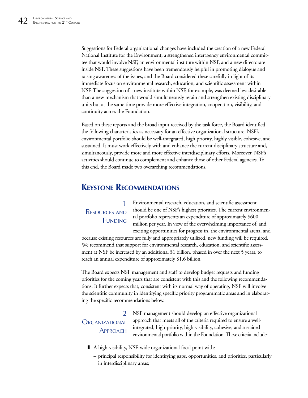Suggestions for Federal organizational changes have included the creation of a new Federal National Institute for the Environment, a strengthened interagency environmental committee that would involve NSF, an environmental institute within NSF, and a new directorate inside NSF. These suggestions have been tremendously helpful in promoting dialogue and raising awareness of the issues, and the Board considered these carefully in light of its immediate focus on environmental research, education, and scientific assessment within NSF. The suggestion of a new institute within NSF, for example, was deemed less desirable than a new mechanism that would simultaneously retain and strengthen existing disciplinary units but at the same time provide more effective integration, cooperation, visibility, and continuity across the Foundation.

Based on these reports and the broad input received by the task force, the Board identified the following characteristics as necessary for an effective organizational structure. NSF's environmental portfolio should be well-integrated, high priority, highly visible, cohesive, and sustained. It must work effectively with and enhance the current disciplinary structure and, simultaneously, provide more and more effective interdisciplinary efforts. Moreover, NSF's activities should continue to complement and enhance those of other Federal agencies. To this end, the Board made two overarching recommendations.

# **KEYSTONE RECOMMENDATIONS**

1

 $\mathcal{P}$ 

RESOURCES AND FUNDING

Environmental research, education, and scientific assessment should be one of NSF's highest priorities. The current environmental portfolio represents an expenditure of approximately \$600 million per year. In view of the overwhelming importance of, and exciting opportunities for progress in, the environmental arena, and

because existing resources are fully and appropriately utilized, new funding will be required. We recommend that support for environmental research, education, and scientific assessment at NSF be increased by an additional \$1 billion, phased in over the next 5 years, to reach an annual expenditure of approximately \$1.6 billion.

The Board expects NSF management and staff to develop budget requests and funding priorities for the coming years that are consistent with this and the following recommendations. It further expects that, consistent with its normal way of operating, NSF will involve the scientific community in identifying specific priority programmatic areas and in elaborating the specific recommendations below.

# **ORGANIZATIONAL** APPROACH

NSF management should develop an effective organizational approach that meets all of the criteria required to ensure a wellintegrated, high-priority, high-visibility, cohesive, and sustained environmental portfolio within the Foundation. These criteria include:

- A high-visibility, NSF-wide organizational focal point with:
	- principal responsibility for identifying gaps, opportunities, and priorities, particularly in interdisciplinary areas;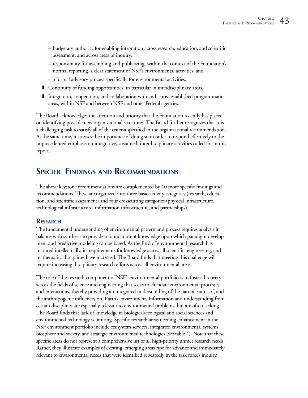- budgetary authority for enabling integration across research, education, and scientific assessment, and across areas of inquiry;
- responsibility for assembling and publicizing, within the context of the Foundation's normal reporting, a clear statement of NSF's environmental activities; and
- a formal advisory process specifically for environmental activities.
- Continuity of funding opportunities, in particular in interdisciplinary areas.
- Integration, cooperation, and collaboration with and across established programmatic areas, within NSF and between NSF and other Federal agencies.

The Board acknowledges the attention and priority that the Foundation recently has placed on identifying possible new organizational structures. The Board further recognizes that it is a challenging task to satisfy all of the criteria specified in the organizational recommendation. At the same time, it stresses the importance of doing so in order to respond effectively to the unprecedented emphasis on integrative, sustained, interdisciplinary activities called for in this report.

# **SPECIFIC FINDINGS AND RECOMMENDATIONS**

The above keystone recommendations are complemented by 10 more specific findings and recommendations. These are organized into three basic activity categories (research, education, and scientific assessment) and four crosscutting categories (physical infrastructure, technological infrastructure, information infrastructure, and partnerships).

### **RESEARCH**

The fundamental understanding of environmental pattern and process requires analysis in balance with synthesis to provide a foundation of knowledge upon which paradigm development and predictive modeling can be based. As the field of environmental research has matured intellectually, its requirements for knowledge across all scientific, engineering, and mathematics disciplines have increased. The Board finds that meeting this challenge will require increasing disciplinary research efforts across all environmental areas.

The role of the research component of NSF's environmental portfolio is to foster discovery across the fields of science and engineering that seeks to elucidate environmental processes and interactions, thereby providing an integrated understanding of the natural status of, and the anthropogenic influences on, Earth's environment. Information and understanding from certain disciplines are especially relevant to environmental problems, but are often lacking. The Board finds that lack of knowledge in biological/ecological and social sciences and environmental technology is limiting. Specific research areas needing enhancement in the NSF environment portfolio include ecosystem services, integrated environmental systems, biosphere and society, and strategic environmental technologies (see table 4). Note that these specific areas do not represent a comprehensive list of all high-priority unmet research needs. Rather, they illustrate examples of exciting, emerging areas ripe for advance and immediately relevant to environmental needs that were identified repeatedly in the task force's inquiry.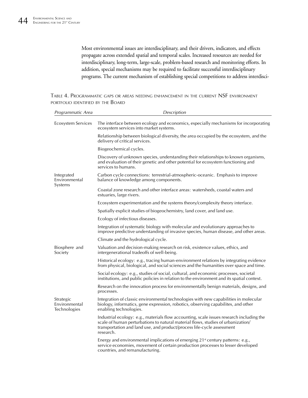Most environmental issues are interdisciplinary, and their drivers, indicators, and effects propagate across extended spatial and temporal scales. Increased resources are needed for interdisciplinary, long-term, large-scale, problem-based research and monitoring efforts. In addition, special mechanisms may be required to facilitate successful interdisciplinary programs. The current mechanism of establishing special competitions to address interdisci-

TABLE 4. PROGRAMMATIC GAPS OR AREAS NEEDING ENHANCEMENT IN THE CURRENT NSF ENVIRONMENT PORTFOLIO IDENTIFIED BY THE BOARD

| Programmatic Area                          | Description                                                                                                                                                                                                                                                         |
|--------------------------------------------|---------------------------------------------------------------------------------------------------------------------------------------------------------------------------------------------------------------------------------------------------------------------|
| <b>Ecosystem Services</b>                  | The interface between ecology and economics, especially mechanisms for incorporating<br>ecosystem services into market systems.                                                                                                                                     |
|                                            | Relationship between biological diversity, the area occupied by the ecosystem, and the<br>delivery of critical services.                                                                                                                                            |
|                                            | Biogeochemical cycles.                                                                                                                                                                                                                                              |
|                                            | Discovery of unknown species, understanding their relationships to known organisms,<br>and evaluation of their genetic and other potential for ecosystem functioning and<br>services to humans.                                                                     |
| Integrated<br>Environmental<br>Systems     | Carbon cycle connections: terrestrial-atmospheric-oceanic. Emphasis to improve<br>balance of knowledge among components.                                                                                                                                            |
|                                            | Coastal zone research and other interface areas: watersheds, coastal waters and<br>estuaries, large rivers.                                                                                                                                                         |
|                                            | Ecosystem experimentation and the systems theory/complexity theory interface.                                                                                                                                                                                       |
|                                            | Spatially explicit studies of biogeochemistry, land cover, and land use.                                                                                                                                                                                            |
|                                            | Ecology of infectious diseases.                                                                                                                                                                                                                                     |
|                                            | Integration of systematic biology with molecular and evolutionary approaches to<br>improve predictive understanding of invasive species, human disease, and other areas.                                                                                            |
|                                            | Climate and the hydrological cycle.                                                                                                                                                                                                                                 |
| Biosphere and<br>Society                   | Valuation and decision-making research on risk, existence values, ethics, and<br>intergenerational tradeoffs of well-being.                                                                                                                                         |
|                                            | Historical ecology: e.g., tracing human-environment relations by integrating evidence<br>from physical, biological, and social sciences and the humanities over space and time.                                                                                     |
|                                            | Social ecology: e.g., studies of social, cultural, and economic processes, societal<br>institutions, and public policies in relation to the environment and its spatial context.                                                                                    |
|                                            | Research on the innovation process for environmentally benign materials, designs, and<br>processes.                                                                                                                                                                 |
| Strategic<br>Environmental<br>Technologies | Integration of classic environmental technologies with new capabilities in molecular<br>biology, informatics, gene expression, robotics, observing capabilites, and other<br>enabling technologies.                                                                 |
|                                            | Industrial ecology: e.g., materials flow accounting, scale issues research including the<br>scale of human perturbations to natural material flows, studies of urbanization/<br>transportation and land use, and product/process life-cycle assessment<br>research. |
|                                            | Energy and environmental implications of emerging 21 <sup>st</sup> century patterns: e.g.,<br>service economies, movement of certain production processes to lesser developed<br>countries, and remanufacturing.                                                    |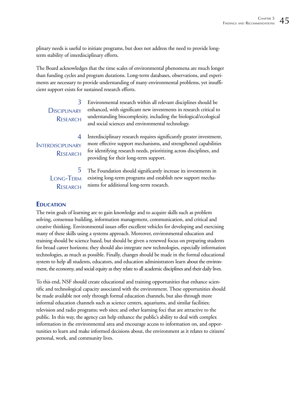plinary needs is useful to initiate programs, but does not address the need to provide longterm stability of interdisciplinary efforts.

The Board acknowledges that the time scales of environmental phenomena are much longer than funding cycles and program durations. Long-term databases, observations, and experiments are necessary to provide understanding of many environmental problems, yet insufficient support exists for sustained research efforts.

3 **DISCIPLINARY RESEARCH** 

4

Environmental research within all relevant disciplines should be enhanced, with significant new investments in research critical to understanding biocomplexity, including the biological/ecological and social sciences and environmental technology.

INTERDISCIPLINARY **RESEARCH**  Interdisciplinary research requires significantly greater investment, more effective support mechanisms, and strengthened capabilities for identifying research needs, prioritizing across disciplines, and providing for their long-term support.

5 LONG-TERM **RESEARCH** 

The Foundation should significantly increase its investments in existing long-term programs and establish new support mechanisms for additional long-term research.

## **EDUCATION**

The twin goals of learning are to gain knowledge and to acquire skills such as problem solving, consensus building, information management, communication, and critical and creative thinking. Environmental issues offer excellent vehicles for developing and exercising many of these skills using a systems approach. Moreover, environmental education and training should be science based, but should be given a renewed focus on preparing students for broad career horizons; they should also integrate new technologies, especially information technologies, as much as possible. Finally, changes should be made in the formal educational system to help all students, educators, and education administrators learn about the environment, the economy, and social equity as they relate to all academic disciplines and their daily lives.

To this end, NSF should create educational and training opportunities that enhance scientific and technological capacity associated with the environment. These opportunities should be made available not only through formal education channels, but also through more informal education channels such as science centers, aquariums, and similar facilities; television and radio programs; web sites; and other learning foci that are attractive to the public. In this way, the agency can help enhance the public's ability to deal with complex information in the environmental area and encourage access to information on, and opportunities to learn and make informed decisions about, the environment as it relates to citizens' personal, work, and community lives.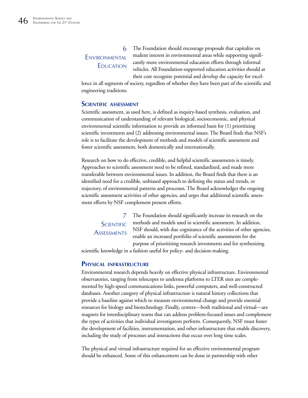# 6 ENVIRONMENTAL EDUCATION

The Foundation should encourage proposals that capitalize on student interest in environmental areas while supporting significantly more environmental education efforts through informal vehicles. All Foundation-supported education activities should at their core recognize potential and develop the capacity for excel-

lence in all segments of society, regardless of whether they have been part of the scientific and engineering traditions.

#### **SCIENTIFIC ASSESSMENT**

Scientific assessment, as used here, is defined as inquiry-based synthesis, evaluation, and communication of understanding of relevant biological, socioeconomic, and physical environmental scientific information to provide an informed basis for (1) prioritizing scientific investments and (2) addressing environmental issues. The Board finds that NSF's role is to facilitate the development of methods and models of scientific assessment and foster scientific assessment, both domestically and internationally.

Research on how to do effective, credible, and helpful scientific assessments is timely. Approaches to scientific assessment need to be refined, standardized, and made more transferable between environmental issues. In addition, the Board finds that there is an identified need for a credible, unbiased approach to defining the status and trends, or trajectory, of environmental patterns and processes. The Board acknowledges the ongoing scientific assessment activities of other agencies, and urges that additional scientific assessment efforts by NSF complement present efforts.

7 **SCIENTIFIC ASSESSMENTS** 

The Foundation should significantly increase its research on the methods and models used in scientific assessment. In addition, NSF should, with due cognizance of the activities of other agencies, enable an increased portfolio of scientific assessments for the purpose of prioritizing research investments and for synthesizing

scientific knowledge in a fashion useful for policy- and decision-making.

#### **PHYSICAL INFRASTRUCTURE**

Environmental research depends heavily on effective physical infrastructure. Environmental observatories, ranging from telescopes to undersea platforms to LTER sites are complemented by high-speed communications links, powerful computers, and well-constructed databases. Another category of physical infrastructure is natural history collections that provide a baseline against which to measure environmental change and provide essential resources for biology and biotechnology. Finally, centers—both traditional and virtual—are magnets for interdisciplinary teams that can address problem-focused issues and complement the types of activities that individual investigators perform. Consequently, NSF must foster the development of facilities, instrumentation, and other infrastructure that enable discovery, including the study of processes and interactions that occur over long time scales.

The physical and virtual infrastructure required for an effective environmental program should be enhanced. Some of this enhancement can be done in partnership with other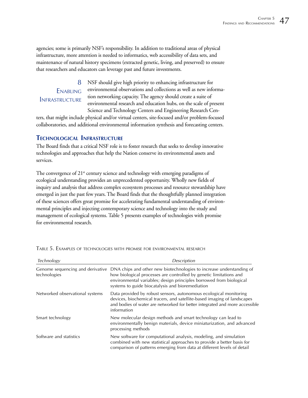agencies; some is primarily NSF's responsibility. In addition to traditional areas of physical infrastructure, more attention is needed to informatics, web accessibility of data sets, and maintenance of natural history specimens (extracted genetic, living, and preserved) to ensure that researchers and educators can leverage past and future investments.

# 8 **ENABLING INFRASTRUCTURE**

NSF should give high priority to enhancing infrastructure for environmental observations and collections as well as new information networking capacity. The agency should create a suite of environmental research and education hubs, on the scale of present Science and Technology Centers and Engineering Research Cen-

ters, that might include physical and/or virtual centers, site-focused and/or problem-focused collaboratories, and additional environmental information synthesis and forecasting centers.

### **TECHNOLOGICAL INFRASTRUCTURE**

The Board finds that a critical NSF role is to foster research that seeks to develop innovative technologies and approaches that help the Nation conserve its environmental assets and services.

The convergence of  $21<sup>st</sup>$  century science and technology with emerging paradigms of ecological understanding provides an unprecedented opportunity. Wholly new fields of inquiry and analysis that address complex ecosystem processes and resource stewardship have emerged in just the past few years. The Board finds that the thoughtfully planned integration of these sciences offers great promise for accelerating fundamental understanding of environmental principles and injecting contemporary science and technology into the study and management of ecological systems. Table 5 presents examples of technologies with promise for environmental research.

| Technology                                       | Description                                                                                                                                                                                                                                                           |
|--------------------------------------------------|-----------------------------------------------------------------------------------------------------------------------------------------------------------------------------------------------------------------------------------------------------------------------|
| Genome sequencing and derivative<br>technologies | DNA chips and other new biotechnologies to increase understanding of<br>how biological processes are controlled by genetic limitations and<br>environmental variables; design principles borrowed from biological<br>systems to guide biocatalysis and bioremediation |
| Networked observational systems                  | Data provided by robust sensors, autonomous ecological monitoring<br>devices, biochemical tracers, and satellite-based imaging of landscapes<br>and bodies of water are networked for better integrated and more accessible<br>information                            |
| Smart technology                                 | New molecular design methods and smart technology can lead to<br>environmentally benign materials, device miniaturization, and advanced<br>processing methods                                                                                                         |
| Software and statistics                          | New software for computational analysis, modeling, and simulation<br>combined with new statistical approaches to provide a better basis for<br>comparison of patterns emerging from data at different levels of detail                                                |

TABLE 5. EXAMPLES OF TECHNOLOGIES WITH PROMISE FOR ENVIRONMENTAL RESEARCH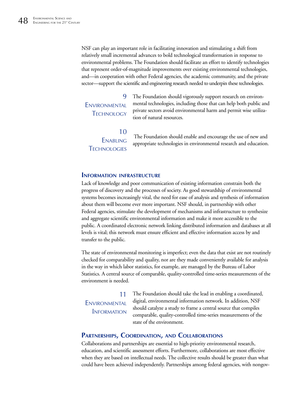NSF can play an important role in facilitating innovation and stimulating a shift from relatively small incremental advances to bold technological transformation in response to environmental problems. The Foundation should facilitate an effort to identify technologies that represent order-of-magnitude improvements over existing environmental technologies, and—in cooperation with other Federal agencies, the academic community, and the private sector—support the scientific and engineering research needed to underpin these technologies.

ENVIRONMENTAL **TECHNOLOGY**  The Foundation should vigorously support research on environmental technologies, including those that can help both public and private sectors avoid environmental harm and permit wise utilization of natural resources.

10 ENABLING T<sub>ECHNOLOGIES</sub>

 The Foundation should enable and encourage the use of new and appropriate technologies in environmental research and education.

#### **INFORMATION INFRASTRUCTURE**

9

Lack of knowledge and poor communication of existing information constrain both the progress of discovery and the processes of society. As good stewardship of environmental systems becomes increasingly vital, the need for ease of analysis and synthesis of information about them will become ever more important. NSF should, in partnership with other Federal agencies, stimulate the development of mechanisms and infrastructure to synthesize and aggregate scientific environmental information and make it more accessible to the public. A coordinated electronic network linking distributed information and databases at all levels is vital; this network must ensure efficient and effective information access by and transfer to the public.

The state of environmental monitoring is imperfect; even the data that exist are not routinely checked for comparability and quality, nor are they made conveniently available for analysis in the way in which labor statistics, for example, are managed by the Bureau of Labor Statistics. A central source of comparable, quality-controlled time-series measurements of the environment is needed.

ENVIRONMENTAL INFORMATION

11

The Foundation should take the lead in enabling a coordinated, digital, environmental information network. In addition, NSF should catalyze a study to frame a central source that compiles comparable, quality-controlled time-series measurements of the state of the environment.

#### **PARTNERSHIPS, COORDINATION, AND COLLABORATIONS**

Collaborations and partnerships are essential to high-priority environmental research, education, and scientific assessment efforts. Furthermore, collaborations are most effective when they are based on intellectual needs. The collective results should be greater than what could have been achieved independently. Partnerships among federal agencies, with nongov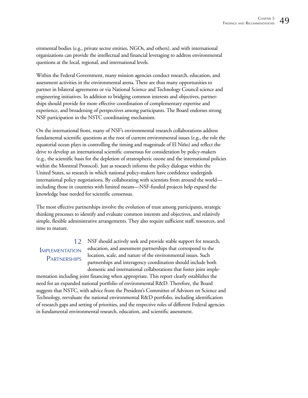ernmental bodies (e.g., private sector entities, NGOs, and others), and with international organizations can provide the intellectual and financial leveraging to address environmental questions at the local, regional, and international levels.

Within the Federal Government, many mission agencies conduct research, education, and assessment activities in the environmental arena. There are thus many opportunities to partner in bilateral agreements or via National Science and Technology Council science and engineering initiatives. In addition to bridging common interests and objectives, partnerships should provide for more effective coordination of complementary expertise and experience, and broadening of perspectives among participants. The Board endorses strong NSF participation in the NSTC coordinating mechanism.

On the international front, many of NSF's environmental research collaborations address fundamental scientific questions at the root of current environmental issues (e.g., the role the equatorial ocean plays in controlling the timing and magnitude of El Niño) and reflect the drive to develop an international scientific consensus for consideration by policy-makers (e.g., the scientific basis for the depletion of stratospheric ozone and the international policies within the Montreal Protocol). Just as research informs the policy dialogue within the United States, so research in which national policy-makers have confidence undergirds international policy negotiations. By collaborating with scientists from around the world including those in countries with limited means—NSF-funded projects help expand the knowledge base needed for scientific consensus.

The most effective partnerships involve the evolution of trust among participants, strategic thinking processes to identify and evaluate common interests and objectives, and relatively simple, flexible administrative arrangements. They also require sufficient staff, resources, and time to mature.

# 12 IMPLEMENTATION **PARTNERSHIPS**

NSF should actively seek and provide stable support for research, education, and assessment partnerships that correspond to the location, scale, and nature of the environmental issues. Such partnerships and interagency coordination should include both domestic and international collaborations that foster joint imple-

mentation including joint financing when appropriate. This report clearly establishes the need for an expanded national portfolio of environmental R&D. Therefore, the Board suggests that NSTC, with advice from the President's Committee of Advisors on Science and Technology, reevaluate the national environmental R&D portfolio, including identification of research gaps and setting of priorities, and the respective roles of different Federal agencies in fundamental environmental research, education, and scientific assessment.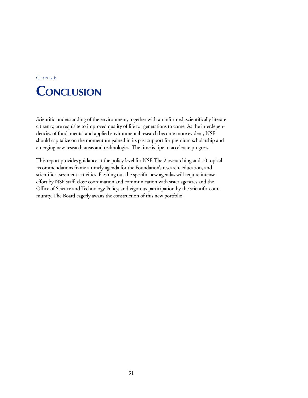# CHAPTER 6 **CONCLUSION**

Scientific understanding of the environment, together with an informed, scientifically literate citizenry, are requisite to improved quality of life for generations to come. As the interdependencies of fundamental and applied environmental research become more evident, NSF should capitalize on the momentum gained in its past support for premium scholarship and emerging new research areas and technologies. The time is ripe to accelerate progress.

This report provides guidance at the policy level for NSF. The 2 overarching and 10 topical recommendations frame a timely agenda for the Foundation's research, education, and scientific assessment activities. Fleshing out the specific new agendas will require intense effort by NSF staff, close coordination and communication with sister agencies and the Office of Science and Technology Policy, and vigorous participation by the scientific community. The Board eagerly awaits the construction of this new portfolio.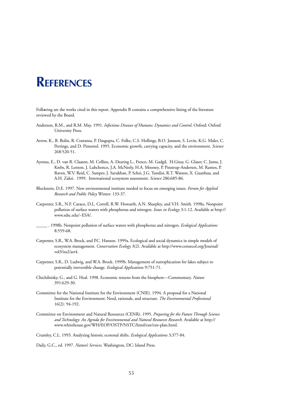# **REFERENCES**

Following are the works cited in this report. Appendix B contains a comprehensive listing of the literature reviewed by the Board.

- Anderson, R.M., and R.M. May. 1991. *Infectious Diseases of Humans: Dynamics and Control*. Oxford: Oxford University Press.
- Arrow, K., B. Bolin, R. Costanza, P. Dasgupta, C. Folke, C.S. Hollings, B.O. Jansson, S. Levin, K.G. Maler, C. Perrings, and D. Pimentel. 1995. Economic growth, carrying capacity, and the environment. *Science* 268:520-51.
- Ayensu, E., D. van R. Claasen, M. Collins, A. Dearing L., Fresco, M. Gadgil, H.Gitay, G. Glaser, C. Juma, J. Krebs, R. Lenton, J. Lubchenco, J.A. McNeely, H.A. Mooney, P. Pinstrup-Andersen, M. Ramos, P. Raven, W.V. Reid, C. Samper, J. Sarukhan, P. Schei, J.G. Tundisi, R.T. Watson, X. Guanhua, and A.H. Zakri. 1999. International ecosystem assessment. *Science* 286:685-86.
- Blockstein, D.E. 1997. New environmental institute needed to focus on emerging issues. *Forum for Applied Research and Public Policy* Winter: 133-37.
- Carpenter, S.R., N.F. Caraco, D.L. Correll, R.W. Howarth, A.N. Sharpley, and V.H. Smith. 1998a. Nonpoint pollution of surface waters with phosphorus and nitrogen. *Issues in Ecology* 3:1-12. Available at [http://](http://www.sdsc.edu/~ESA/) [www.sdsc.edu/~ESA/](http://www.sdsc.edu/~ESA/).
- \_\_\_\_\_ . 1998b. Nonpoint pollution of surface waters with phosphorus and nitrogen. *Ecological Applications* 8:559-68.
- Carpenter, S.R., W.A. Brock, and P.C. Hanson. 1999a. Ecological and social dynamics in simple models of ecosystem management. *Conservation Ecology* 3(2). Available a[t http://www.consecol.org/Journal/](http://www.consecol.org/Journal/vol3/iss2/art4) [vol3/iss2/art4](http://www.consecol.org/Journal/vol3/iss2/art4).
- Carpenter, S.R., D. Ludwig, and W.A. Brock. 1999b. Management of eutrophication for lakes subject to potentially irreversible change. *Ecological Applications* 9:751-71.
- Chichilnisky, G., and G. Heal. 1998. Economic returns from the biosphere—Commentary. *Nature* 391:629-30.
- Committee for the National Institute for the Environment (CNIE). 1994. A proposal for a National Institute for the Environment: Need, rationale, and structure. *The Environmental Professional* 16(2): 94-192.
- Committee on Environment and Natural Resources (CENR). 1995. *Preparing for the Future Through Science and Technology: An Agenda for Environmental and Natural Resources Research*. Available at [http://](http://www.whitehouse.gov/WH/EOP/OSTP/NSTC/html/enr/enr-plan.html) [www.whitehouse.gov/WH/EOP/OSTP/NSTC/html/enr/enr-plan.html](http://www.whitehouse.gov/WH/EOP/OSTP/NSTC/html/enr/enr-plan.html).
- Crumley, C.L. 1993. Analyzing historic ecotonal shifts. *Ecological Applications* 3:377-84.

Daily, G.C., ed. 1997. *Nature's Services*. Washington, DC: Island Press.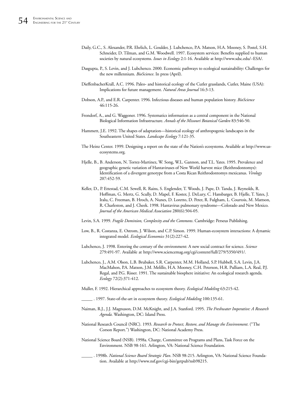- Daily, G.C., S. Alexander, P.R. Ehrlich, L. Goulder, J. Lubchenco, P.A. Matson, H.A. Mooney, S. Postel, S.H. Schneider, D. Tilman, and G.M. Woodwell. 1997. Ecosystem services: Benefits supplied to human societies by natural ecosystems. *Issues in Ecology* 2:1-16. Available at [http://www.sdsc.edu/~ESA/.](http://www.sdsc.edu/~ESA/)
- Dasgupta, P., S. Levin, and J. Lubchenco. 2000. Economic pathways to ecological sustainability: Challenges for the new millennium. *BioScience*. In press (April).
- DieffenbacherKrall, A.C. 1996. Paleo- and historical ecology of the Cutler grasslands, Cutler, Maine (USA): Implications for future management. *Natural Areas Journal* 16:3-13.
- Dobson, A.P., and E.R. Carpenter. 1996. Infectious diseases and human population history. *BioScience* 46:115-26.
- Frondorf, A., and G. Waggoner. 1996. Systematics information as a central component in the National Biological Information Infrastructure. *Annals of the Missouri Botanical Garden* 83:546-50.
- Hammett, J.E. 1992. The shapes of adaptation—historical ecology of anthropogenic landscapes in the Southeastern United States. *Landscape Ecology* 7:121-35.
- The Heinz Center. 1999. Designing a report on the state of the Nation's ecosystems. Available at [http://www.us](http://www.us-ecosystems.org)[ecosystems.org](http://www.us-ecosystems.org).
- Hjelle, B., B. Anderson, N. Torrez-Martinez, W. Song, W.L. Gannon, and T.L. Yates. 1995. Prevalence and geographic genetic variation of Hantaviruses of New World harvest mice (Reithrodontomys): Identification of a divergent genotype from a Costa Rican Reithrodontomys mexicanus. *Virology* 207:452-59.
- Keller, D., P. Ettestad, C.M. Sewell, R. Rains, S. Englender, T. Woods, J. Pape, D. Tanda, J. Reynolds, R. Hoffman, G. Mertz, G. Scully, D. Mapel, F. Koster, J. DeLury, C. Hansbarger, B. Hjelle, T. Yates, J. Iralu, C. Freeman, B. Hroch, A. Nunes, D. Loretto, D. Peter, R. Fulgham, L. Courtois, M. Mattson, R. Charleston, and J. Cheek. 1998. Hantavirus pulmonary syndrome—Colorado and New Mexico. *Journal of the American Medical Association* 280(6):504-05.
- Levin, S.A. 1999. *Fragile Dominion, Complexity and the Commons*. Cambridge: Perseus Publishing.
- Low, B., R. Costanza, E. Ostrom, J. Wilson, and C.P. Simon. 1999. Human-ecosystem interactions: A dynamic integrated model. *Ecological Economics* 31(2):227-42.
- Lubchenco, J. 1998. Entering the century of the environment: A new social contract for science. *Science* 279:491-97. Available a[t http://www.sciencemag.org/cgi/content/full/279/5350/491/.](http://www.sciencemag.org/cgi/content/full/279/5350/491/)
- Lubchenco, J., A.M. Olson, L.B. Brubaker, S.R. Carpenter, M.M. Holland, S.P. Hubbell, S.A. Levin, J.A. MacMahon, P.A. Matson, J.M. Melillo, H.A. Mooney, C.H. Peterson, H.R. Pulliam, L.A. Real, P.J. Regal, and P.G. Risser. 1991. The sustainable biosphere initiative: An ecological research agenda. *Ecology* 72(2):371-412.
- Muller, F. 1992. Hierarchical approaches to ecosystem theory. *Ecological Modeling* 63:215-42.
- \_\_\_\_\_ . 1997. State-of-the-art in ecosystem theory. *Ecological Modeling* 100:135-61.
- Naiman, R.J., J.J. Magnuson, D.M. McKnight, and J.A. Stanford. 1995. *The Freshwater Imperative: A Research Agenda*. Washington, DC: Island Press.
- National Research Council (NRC). 1993. *Research to Protect, Restore, and Manage the Environment*. ("The Corson Report.") Washington, DC: National Academy Press.
- National Science Board (NSB). 1998a. Charge, Committee on Programs and Plans, Task Force on the Environment. NSB 98-161. Arlington, VA: National Science Foundation.
	- \_\_\_\_\_ . 1998b. *National Science Board Strategic Plan*. NSB 98-215. Arlington, VA: National Science Foundation. Available at<http://www.nsf.gov/cgi-bin/getpub?nsb98215.>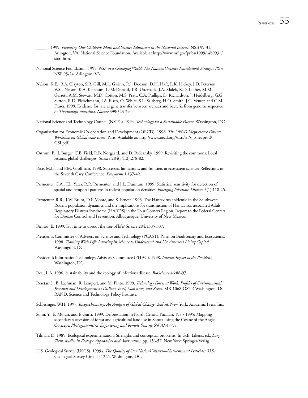- \_\_\_\_\_ . 1999. *Preparing Our Children: Math and Science Education in the National Interest*. NSB 99-31. Arlington, VA: National Science Foundation. Available [at http://www.nsf.gov/pubs/1999/nsb9931/](http://www.nsf.gov/cgi-bin/getpub?nsb9931a) [start.htm.](http://www.nsf.gov/cgi-bin/getpub?nsb9931a)
- National Science Foundation. 1995. *NSF in a Changing World: The National Science Foundation's Strategic Plan*. NSF 95-24. Arlington, VA.
- Nelson, K.E., R.A. Clayton, S.R. Gill, M.L. Gwinn, R.J. Dodson, D.H. Haft, E.K. Hickey, J.D. Peterson, W.C. Nelson, K.A. Ketchum, L. McDonald, T.R. Utterback, J.A. Malek, K.D. Linher, M.M. Garrett, A.M. Stewart, M.D. Cotton, M.S. Pratt, C.A. Phillips, D. Richardson, J. Heidelberg, G.G. Sutton, R.D. Fleischmann, J.A. Eisen, O. White, S.L. Salzberg, H.O. Smith, J.C. Venter, and C.M. Fraser. 1999. Evidence for lateral gene transfer between archaea and bacteria from genome sequence of *Thermotoga maritima*. *Nature* 399:323-29.
- National Science and Technology Council (NSTC). 1994. *Technology for a Sustainable Future*. Washington, DC.
- Organisation for Economic Co-operation and Development (OECD). 1998. *The OECD Megascience Forum: Workshop on Global-scale Issues*. Paris. Available at[: http://www.oecd.org//dsti/sti/s\\_t/ms/prod/](http://www.oecd.org//dsti/sti/s_t/ms/prod/GSI.pdf) [GSI.pdf.](http://www.oecd.org//dsti/sti/s_t/ms/prod/GSI.pdf)
- Ostrom, E., J. Burger, C.B. Field, R.B. Norgaard, and D. Policansky. 1999. Revisiting the commons: Local lessons, global challenges. *Science* 284(5412):278-82.
- Pace, M.L., and P.M. Groffman. 1998. Successes, limitations, and frontiers in ecosystem science: Reflections on the Seventh Cary Conference. *Ecosystems* 1:137-42.
- Parmenter, C.A., T.L. Yates, R.R. Parmenter, and J.L. Dunnum. 1999. Statistical sensitivity for detection of spatial and temporal patterns in rodent population densities. *Emerging Infectious Diseases* 5(1):118-25.
- Parmenter, R.R., J.W. Brunt, D.I. Moore, and S. Ernest. 1993. The Hantavirus epidemic in the Southwest: Rodent population dynamics and the implications for transmission of Hantavirus-associated Adult Respiratory Distress Syndrome (HARDS) in the Four Corners Region. Report to the Federal Centers for Disease Control and Prevention. Albuquerque: University of New Mexico.
- Pennisi, E. 1999. Is it time to uproot the tree of life? *Science* 284:1305-307.
- President's Committee of Advisers on Science and Technology (PCAST), Panel on Biodiversity and Ecosystems. 1998. *Teaming With Life: Investing in Science to Understand and Use America's Living Capital*. Washington, DC.
- President's Information Technology Advisory Committee (PITAC). 1998. *Interim Report to the President*. Washington, DC.
- Real, L.A. 1996. Sustainability and the ecology of infectious disease. *BioScience* 46:88-97.
- Resetar, S., B. Lachman, R. Lempert, and M. Pinto. 1999. *Technology Forces at Work: Profiles of Environmental Research and Development at DuPont, Intel, Monsanto, and Xerox*. MR-1068-OSTP. Washington, DC. RAND, Science and Technology Policy Institute.
- Schlesinger, W.H. 1997. *Biogeochemistry: An Analysis of Global Change, 2nd ed.* New York: Academic Press, Inc.
- Sohn, Y., E. Moran, and F. Gurri. 1999. Deforestation in North Central Yucatan, 1985-1995: Mapping secondary succession of forest and agricultural land use in Sotuta using the Cosine of the Angle Concept. *Photogrammetric Engineering and Remote Sensing* 65(8):947-58.
- Tilman, D. 1989. Ecological experimentation: Strengths and conceptual problems. In G.E. Likens, ed., *Long-Term Studies in Ecology: Approaches and Alternatives*, pp. 136-57. New York: Springer-Verlag.
- U.S. Geological Survey (USGS). 1999a. *The Quality of Our Nation's Waters—Nutrients and Pesticides*. U.S. Geological Survey Circular 1225. Washington, DC.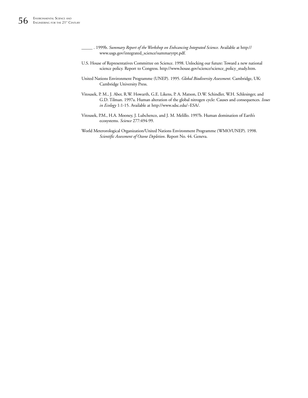- \_\_\_\_\_ . 1999b. *Summary Report of the Workshop on Enhcancing Integrated Science*. Available at [http://](http://www.usgs.gov/integrated_science/summaryrpt.pdf) [www.usgs.gov/integrated\\_science/summaryrpt.pdf](http://www.usgs.gov/integrated_science/summaryrpt.pdf).
- U.S. House of Representatives Committee on Science. 1998. Unlocking our future: Toward a new national science policy. Report to Congress. [http://www.house.gov/science/science\\_policy\\_study.htm.](http://www.house.gov/science/science_policy_study.htm)
- United Nations Environment Programme (UNEP). 1995. *Global Biodiversity Assessment*. Cambridge, UK: Cambridge University Press.
- Vitousek, P. M., J. Aber, R.W. Howarth, G.E. Likens, P. A. Matson, D.W. Schindler, W.H. Schlesinger, and G.D. Tilman. 1997a. Human alteration of the global nitrogen cycle: Causes and consequences. *Issues in Ecology* 1:1-15. Available a[t http://www.sdsc.edu/~ESA/.](http://www.sdsc.edu/~ESA/index.html)
- Vitousek, P.M., H.A. Mooney, J. Lubchenco, and J. M. Melillo. 1997b. Human domination of Earth's ecosystems. *Science* 277:494-99.
- World Meterorological Organization/United Nations Environment Programme (WMO/UNEP). 1998. *Scientific Assessment of Ozone Depletion*. Report No. 44. Geneva.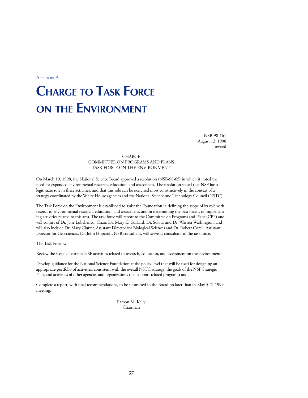APPENDIX A

# **CHARGE TO TASK FORCE ON THE ENVIRONMENT**

NSB-98-161 August 12, 1998 revised

#### **CHARGE** COMMITTEE ON PROGRAMS AND PLANS TASK FORCE ON THE ENVIRONMENT

On March 19, 1998, the National Science Board approved a resolution (NSB-98-65) in which it noted the need for expanded environmental research, education, and assessment. The resolution stated that NSF has a legitimate role in these activities, and that this role can be exercised most constructively in the context of a strategy coordinated by the White House agencies and the National Science and Technology Council (NSTC).

The Task Force on the Environment is established to assist the Foundation in defining the scope of its role with respect to environmental research, education, and assessment, and in determining the best means of implementing activities related to this area. The task force will report to the Committee on Programs and Plans (CPP) and will consist of Dr. Jane Lubchenco, Chair, Dr. Mary K. Gaillard, Dr. Solow, and Dr. Warren Washington, and will also include Dr. Mary Clutter, Assistant Director for Biological Sciences and Dr. Robert Corell, Assistant Director for Geosciences. Dr. John Hopcroft, NSB consultant, will serve as consultant to the task force.

The Task Force will:

Review the scope of current NSF activities related to research, education, and assessment on the environment;

Develop guidance for the National Science Foundation at the policy level that will be used for designing an appropriate portfolio of activities, consistent with the overall NSTC strategy, the goals of the NSF Strategic Plan, and activities of other agencies and organizations that support related programs; and

Complete a report, with final recommendations, to be submitted to the Board no later than its May 5–7, 1999 meeting.

> Eamon M. Kelly Chairman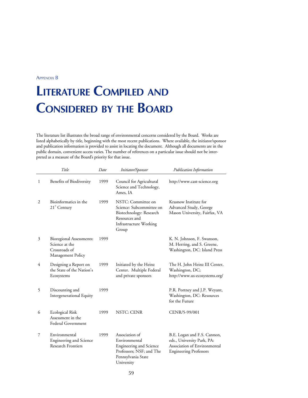APPENDIX B

# **LITERATURE COMPILED AND CONSIDERED BY THE BOARD**

The literature list illustrates the broad range of environmental concerns considered by the Board. Works are listed alphabetically by title, beginning with the most recent publications. Where available, the initiator/sponsor and publication information is provided to assist in locating the document. Although all documents are in the public domain, convenient access varies. The number of references on a particular issue should not be interpreted as a measure of the Board's priority for that issue.

|                | Title                                                                            | Date | Initiator/Sponsor                                                                                                                 | Publication Information                                                                                                    |
|----------------|----------------------------------------------------------------------------------|------|-----------------------------------------------------------------------------------------------------------------------------------|----------------------------------------------------------------------------------------------------------------------------|
| 1              | Benefits of Biodiversity                                                         | 1999 | Council for Agricultural<br>Science and Technology,<br>Ames, IA                                                                   | http://www.cast-science.org                                                                                                |
| $\overline{2}$ | Bioinformatics in the<br>$21st$ Century                                          | 1999 | NSTC: Committee on<br>Science: Subcommittee on<br>Biotechnology: Research<br>Resources and<br>Infrastructure Working<br>Group     | Krasnow Institute for<br>Advanced Study, George<br>Mason University, Fairfax, VA                                           |
| 3              | Bioregional Assessments:<br>Science at the<br>Crossroads of<br>Management Policy | 1999 |                                                                                                                                   | K. N. Johnson, F. Swanson,<br>M. Herring, and S. Greene,<br>Washington, DC: Island Press                                   |
| 4              | Designing a Report on<br>the State of the Nation's<br>Ecosystems                 | 1999 | Initiated by the Heinz<br>Center. Multiple Federal<br>and private sponsors                                                        | The H. John Heinz III Center,<br>Washington, DC;<br>http://www.us-ecosystems.org/                                          |
| 5              | Discounting and<br>Intergenerational Equity                                      | 1999 |                                                                                                                                   | P.R. Portney and J.P. Weyant,<br>Washington, DC: Resources<br>for the Future                                               |
| 6              | <b>Ecological Risk</b><br>Assessment in the<br>Federal Government                | 1999 | <b>NSTC: CENR</b>                                                                                                                 | CENR/5-99/001                                                                                                              |
| 7              | Environmental<br><b>Engineering and Science</b><br><b>Research Frontiers</b>     | 1999 | Association of<br>Environmental<br><b>Engineering and Science</b><br>Professors; NSF; and The<br>Pennsylvania State<br>University | B.E. Logan and F.S. Cannon,<br>eds., University Park, PA:<br>Association of Environmental<br><b>Engineering Professors</b> |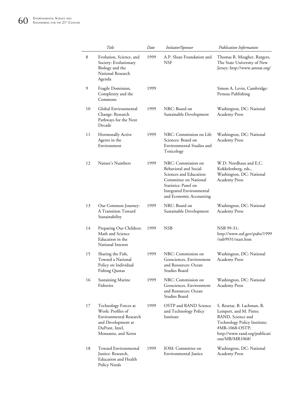|    | Title                                                                                                                              | Date | Initiator/Sponsor                                                                                                                                                              | Publication Information                                                                                                                                                        |
|----|------------------------------------------------------------------------------------------------------------------------------------|------|--------------------------------------------------------------------------------------------------------------------------------------------------------------------------------|--------------------------------------------------------------------------------------------------------------------------------------------------------------------------------|
| 8  | Evolution, Science, and<br>Society: Evolutionary<br>Biology and the<br>National Research<br>Agenda                                 | 1999 | A.P. Sloan Foundation and<br><b>NSF</b>                                                                                                                                        | Thomas R. Meagher, Rutgers,<br>The State University of New<br>Jersey; http://www.amnat.org/                                                                                    |
| 9  | Fragile Dominion,<br>Complexity and the<br>Commons                                                                                 | 1999 |                                                                                                                                                                                | Simon A. Levin, Cambridge:<br>Perseus Publishing                                                                                                                               |
| 10 | Global Environmental<br>Change: Research<br>Pathways for the Next<br>Decade                                                        | 1999 | NRC: Board on<br>Sustainable Development                                                                                                                                       | Washington, DC: National<br><b>Academy Press</b>                                                                                                                               |
| 11 | Hormonally Active<br>Agents in the<br>Environment                                                                                  | 1999 | NRC: Commission on Life<br>Sciences: Board on<br>Environmental Studies and<br>Toxicology                                                                                       | Washington, DC: National<br><b>Academy Press</b>                                                                                                                               |
| 12 | Nature's Numbers                                                                                                                   | 1999 | NRC: Commission on<br>Behavioral and Social<br>Sciences and Education:<br>Committee on National<br>Statistics: Panel on<br>Integrated Environmental<br>and Economic Accounting | W.D. Nordhaus and E.C.<br>Kokkelenberg, eds.,<br>Washington, DC: National<br><b>Academy Press</b>                                                                              |
| 13 | Our Common Journey:<br>A Transition Toward<br>Sustainability                                                                       | 1999 | NRC: Board on<br>Sustainable Development                                                                                                                                       | Washington, DC: National<br><b>Academy Press</b>                                                                                                                               |
| 14 | Preparing Our Children:<br>Math and Science<br>Education in the<br>National Interest                                               | 1999 | <b>NSB</b>                                                                                                                                                                     | NSB 99-31;<br>http://www.nsf.gov/pubs/1999<br>/nsb9931/start.htm                                                                                                               |
| 15 | Sharing the Fish,<br>Toward a National<br>Policy on Individual<br><b>Fishing Quotas</b>                                            | 1999 | NRC: Commission on<br>Geosciences, Environment<br>and Resources: Ocean<br>Studies Board                                                                                        | Washington, DC: National<br><b>Academy Press</b>                                                                                                                               |
| 16 | <b>Sustaining Marine</b><br>Fisheries                                                                                              | 1999 | NRC: Commission on<br>Geosciences, Environment<br>and Resources: Ocean<br>Studies Board                                                                                        | Washington, DC: National<br><b>Academy Press</b>                                                                                                                               |
| 17 | Technology Forces at<br>Work: Profiles of<br>Environmental Research<br>and Development at<br>DuPont, Intel,<br>Monsanto, and Xerox | 1999 | OSTP and RAND Science<br>and Technology Policy<br>Institute                                                                                                                    | S. Resetar, B. Lachman, R.<br>Lempert, and M. Pinto;<br>RAND, Science and<br>Technology Policy Institute;<br>#MR-1068-OSTP;<br>http://www.rand.org/publicati<br>ons/MR/MR1068/ |
| 18 | Toward Environmental<br>Justice: Research,<br><b>Education and Health</b><br>Policy Needs                                          | 1999 | IOM: Committee on<br>Environmental Justice                                                                                                                                     | Washington, DC: National<br><b>Academy Press</b>                                                                                                                               |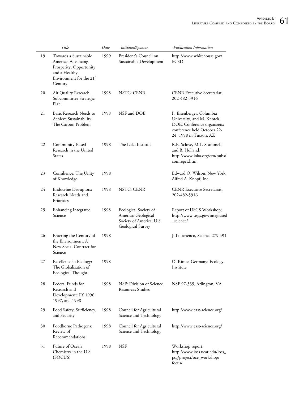|    | Title                                                                                                                                      | Date | Initiator/Sponsor                                                                             | Publication Information                                                                                                                        |
|----|--------------------------------------------------------------------------------------------------------------------------------------------|------|-----------------------------------------------------------------------------------------------|------------------------------------------------------------------------------------------------------------------------------------------------|
| 19 | Towards a Sustainable<br>America: Advancing<br>Prosperity, Opportunity<br>and a Healthy<br>Environment for the 21 <sup>st</sup><br>Century | 1999 | President's Council on<br>Sustainable Development                                             | http://www.whitehouse.gov/<br>PCSD                                                                                                             |
| 20 | Air Quality Research<br>Subcommittee Strategic<br>Plan                                                                                     | 1998 | NSTC: CENR                                                                                    | <b>CENR</b> Executive Secretariat,<br>202-482-5916                                                                                             |
| 21 | Basic Research Needs to<br>Achieve Sustainability:<br>The Carbon Problem                                                                   | 1998 | NSF and DOE                                                                                   | P. Eisenberger, Columbia<br>University, and M. Knotek,<br>DOE, Conference organizers;<br>conference held October 22-<br>24, 1998 in Tucson, AZ |
| 22 | Community-Based<br>Research in the United<br>States                                                                                        | 1998 | The Loka Institute                                                                            | R.E. Sclove, M.L. Scammell,<br>and B. Holland;<br>http://www.loka.org/crn/pubs/<br>comreprt.htm                                                |
| 23 | Consilience: The Unity<br>of Knowledge                                                                                                     | 1998 |                                                                                               | Edward O. Wilson, New York:<br>Alfred A. Knopf, Inc.                                                                                           |
| 24 | <b>Endocrine Disruptors:</b><br>Research Needs and<br>Priorities                                                                           | 1998 | NSTC: CENR                                                                                    | CENR Executive Secretariat,<br>202-482-5916                                                                                                    |
| 25 | Enhancing Integrated<br>Science                                                                                                            | 1998 | Ecological Society of<br>America; Geological<br>Society of America; U.S.<br>Geological Survey | Report of USGS Workshop;<br>http://www.usgs.gov/integrated<br>_science/                                                                        |
| 26 | Entering the Century of<br>the Environment: A<br>New Social Contract for<br>Science                                                        | 1998 |                                                                                               | J. Lubchenco, Science 279:491                                                                                                                  |
| 27 | Excellence in Ecology:<br>The Globalization of<br><b>Ecological Thought</b>                                                                | 1998 |                                                                                               | O. Kinne, Germany: Ecology<br>Institute                                                                                                        |
| 28 | Federal Funds for<br>Research and<br>Development: FY 1996,<br>1997, and 1998                                                               | 1998 | NSF: Division of Science<br><b>Resources Studies</b>                                          | NSF 97-335, Arlington, VA                                                                                                                      |
| 29 | Food Safety, Sufficiency,<br>and Security                                                                                                  | 1998 | Council for Agricultural<br>Science and Technology                                            | http://www.cast-science.org/                                                                                                                   |
| 30 | Foodborne Pathogens:<br>Review of<br>Recommendations                                                                                       | 1998 | Council for Agricultural<br>Science and Technology                                            | http://www.cast-science.org/                                                                                                                   |
| 31 | Future of Ocean<br>Chemistry in the U.S.<br>(FOCUS)                                                                                        | 1998 | NSF                                                                                           | Workshop report;<br>http://www.joss.ucar.edu/joss_<br>psg/project/oce_workshop/<br>focus/                                                      |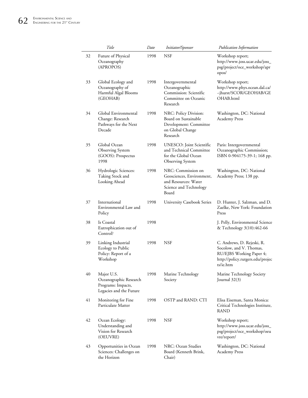|    | Title                                                                                 | Date | Initiator/Sponsor                                                                                          | Publication Information                                                                                                            |
|----|---------------------------------------------------------------------------------------|------|------------------------------------------------------------------------------------------------------------|------------------------------------------------------------------------------------------------------------------------------------|
| 32 | Future of Physical<br>Oceanography<br>(APROPOS)                                       | 1998 | NSF                                                                                                        | Workshop report;<br>http://www.joss.ucar.edu/joss_<br>psg/project/oce_workshop/apr<br>opos/                                        |
| 33 | Global Ecology and<br>Oceanography of<br>Harmful Algal Blooms<br>(GEOHAB)             | 1998 | Intergovernmental<br>Oceanographic<br>Commission: Scientific<br>Committee on Oceanic<br>Research           | Workshop report;<br>http://www.phys.ocean.dal.ca/<br>-jhurst/SCOR/GEOHAB/GE<br>OHAB.html                                           |
| 34 | Global Environmental<br>Change: Research<br>Pathways for the Next<br>Decade           | 1998 | NRC: Policy Division:<br>Board on Sustainable<br>Development: Committee<br>on Global Change<br>Research    | Washington, DC: National<br><b>Academy Press</b>                                                                                   |
| 35 | Global Ocean<br>Observing System<br>(GOOS): Prospectus<br>1998                        | 1998 | UNESCO: Joint Scientific<br>and Technical Committee<br>for the Global Ocean<br>Observing System            | Paris: Intergovernmental<br>Oceanographic Commission;<br>ISBN 0-904175-39-1; 168 pp.                                               |
| 36 | Hydrologic Sciences:<br>Taking Stock and<br>Looking Ahead                             | 1998 | NRC: Commission on<br>Geosciences, Environment,<br>and Resources: Water<br>Science and Technology<br>Board | Washington, DC: National<br>Academy Press; 138 pp.                                                                                 |
| 37 | International<br>Environmental Law and<br>Policy                                      | 1998 | <b>University Casebook Series</b>                                                                          | D. Hunter, J. Salzman, and D.<br>Zaelke, New York: Foundation<br>Press                                                             |
| 38 | Is Coastal<br>Eutrophication out of<br>Control?                                       | 1998 |                                                                                                            | J. Pelly, Environmental Science<br>& Technology 3(10):462-66                                                                       |
| 39 | Linking Industrial<br>Ecology to Public<br>Policy: Report of a<br>Workshop            | 1998 | NSF                                                                                                        | C. Andrews, D. Rejeski, R.<br>Socolow, and V. Thomas,<br>RU/EJBS Working Paper 4;<br>http://policy.rutgers.edu/projec<br>ts/ie.htm |
| 40 | Major U.S.<br>Oceanographic Research<br>Programs: Impacts,<br>Legacies and the Future | 1998 | Marine Technology<br>Society                                                                               | Marine Technology Society<br>Journal 32(3)                                                                                         |
| 41 | Monitoring for Fine<br>Particulate Matter                                             | 1998 | OSTP and RAND: CTI                                                                                         | Elisa Eiseman, Santa Monica:<br>Critical Technologies Institute,<br>RAND                                                           |
| 42 | Ocean Ecology:<br>Understanding and<br>Vision for Research<br>(OEUVRE)                | 1998 | NSF                                                                                                        | Workshop report;<br>http://www.joss.ucar.edu/joss_<br>psg/project/oce_workshop/oeu<br>vre/report/                                  |
| 43 | Opportunities in Ocean<br>Sciences: Challenges on<br>the Horizon                      | 1998 | NRC: Ocean Studies<br>Board (Kenneth Brink,<br>Chair)                                                      | Washington, DC: National<br><b>Academy Press</b>                                                                                   |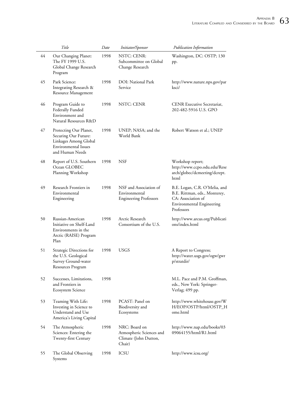|    | Title                                                                                                                     | Date | Initiator/Sponsor                                                            | Publication Information                                                                                                                |
|----|---------------------------------------------------------------------------------------------------------------------------|------|------------------------------------------------------------------------------|----------------------------------------------------------------------------------------------------------------------------------------|
| 44 | Our Changing Planet:<br>The FY 1999 U.S.<br>Global Change Research<br>Program                                             | 1998 | NSTC: CENR:<br>Subcommittee on Global<br>Change Research                     | Washington, DC: OSTP; 130<br>pp.                                                                                                       |
| 45 | Park Science:<br>Integrating Research &<br>Resource Management                                                            | 1998 | DOI: National Park<br>Service                                                | http://www.nature.nps.gov/par<br>ksci/                                                                                                 |
| 46 | Program Guide to<br>Federally Funded<br>Environment and<br>Natural Resources R&D                                          | 1998 | NSTC: CENR                                                                   | CENR Executive Secretariat,<br>202-482-5916 U.S. GPO                                                                                   |
| 47 | Protecting Our Planet,<br>Securing Our Future:<br>Linkages Among Global<br><b>Environmental Issues</b><br>and Human Needs | 1998 | UNEP; NASA; and the<br>World Bank                                            | Robert Watson et al.; UNEP                                                                                                             |
| 48 | Report of U.S. Southern<br>Ocean GLOBEC<br>Planning Workshop                                                              | 1998 | NSF                                                                          | Workshop report;<br>http://www.ccpo.odu.edu/Rese<br>arch/globec/dcmeeting/dcrept.<br>html                                              |
| 49 | Research Frontiers in<br>Environmental<br>Engineering                                                                     | 1998 | NSF and Association of<br>Environmental<br><b>Engineering Professors</b>     | B.E. Logan, C.R. O'Melia, and<br>B.E. Rittman, eds., Monterey,<br>CA: Association of<br><b>Environmental Engineering</b><br>Professors |
| 50 | Russian-American<br>Initiative on Shelf-Land<br>Environments in the<br>Arctic (RAISE) Program<br>Plan                     | 1998 | Arctic Research<br>Consortium of the U.S.                                    | http://www.arcus.org/Publicati<br>ons/index.html                                                                                       |
| 51 | Strategic Directions for<br>the U.S. Geological<br>Survey Ground-water<br>Resources Program                               | 1998 | USGS                                                                         | A Report to Congress;<br>http://water.usgs.gov/ogw/gwr<br>p/stratdir/                                                                  |
| 52 | Successes, Limitations,<br>and Frontiers in<br><b>Ecosystem Science</b>                                                   | 1998 |                                                                              | M.L. Pace and P.M. Groffman,<br>eds., New York: Springer-<br>Verlag; 499 pp.                                                           |
| 53 | Teaming With Life:<br>Investing in Science to<br>Understand and Use<br>America's Living Capital                           | 1998 | PCAST: Panel on<br>Biodiversity and<br>Ecosystems                            | http://www.whitehouse.gov/W<br>H/EOP/OSTP/html/OSTP_H<br>ome.html                                                                      |
| 54 | The Atmospheric<br>Sciences: Entering the<br>Twenty-first Century                                                         | 1998 | NRC: Board on<br>Atmospheric Sciences and<br>Climate (John Dutton,<br>Chair) | http://www.nap.edu/books/03<br>09064155/html/R1.html                                                                                   |
| 55 | The Global Observing<br>Systems                                                                                           | 1998 | <b>ICSU</b>                                                                  | http://www.icsu.org/                                                                                                                   |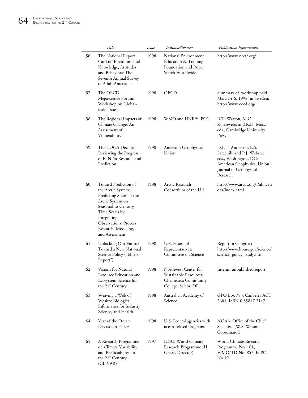|    | Title                                                                                                                                                                                                                | Date | Initiator/Sponsor                                                                           | <b>Publication Information</b>                                                                                                                     |
|----|----------------------------------------------------------------------------------------------------------------------------------------------------------------------------------------------------------------------|------|---------------------------------------------------------------------------------------------|----------------------------------------------------------------------------------------------------------------------------------------------------|
| 56 | The National Report<br>Card on Environmental<br>Knowledge, Attitudes<br>and Behaviors: The<br>Seventh Annual Survey<br>of Adult Americans                                                                            | 1998 | National Environment<br>Education & Training<br>Foundation and Roper<br>Starch Worldwide    | http://www.neetf.org/                                                                                                                              |
| 57 | The OECD<br>Megascience Forum:<br>Workshop on Global-<br>scale Issues                                                                                                                                                | 1998 | OECD                                                                                        | Summary of workshop held<br>March 4-6, 1998, in Sweden;<br>http://www.oecd.org/                                                                    |
| 58 | The Regional Impacts of<br>Climate Change: An<br>Assessment of<br>Vulnerability                                                                                                                                      | 1998 | WMO and UNEP: IPCC                                                                          | R.T. Watson, M.C.<br>Zinyowere, and R.H. Moss,<br>eds., Cambridge University<br>Press                                                              |
| 59 | The TOGA Decade:<br>Reviewing the Progress<br>of El Niño Research and<br>Prediction                                                                                                                                  | 1998 | American Geophysical<br>Union                                                               | D.L.T. Anderson, E.S.<br>Sarachik, and P.J. Webster,<br>eds., Washington, DC:<br>American Geophysical Union,<br>Journal of Geophysical<br>Research |
| 60 | Toward Prediction of<br>the Arctic System:<br>Predicting States of the<br>Arctic System on<br>Seasonal-to-Century<br>Time Scales by<br>Integrating<br>Observations, Process<br>Research, Modeling,<br>and Assessment | 1998 | Arctic Research<br>Consortium of the U.S.                                                   | http://www.arcus.org/Publicati<br>ons/index.html                                                                                                   |
| 61 | Unlocking Our Future:<br>Toward a New National<br>Science Policy ("Ehlers<br>Report")                                                                                                                                | 1998 | U.S. House of<br>Representatives:<br>Committee on Science                                   | Report to Congress;<br>http://www.house.gov/science/<br>science_policy_study.htm                                                                   |
| 62 | Visions for Natural<br>Resource Education and<br>Ecosystem Science for<br>the 21 <sup>st</sup> Century                                                                                                               | 1998 | Northwest Center for<br>Sustainable Resources;<br>Chemeketa Community<br>College, Salem, OR | Interim unpublished report                                                                                                                         |
| 63 | Weaving a Web of<br>Wealth: Biological<br>Informatics for Industry,<br>Science, and Health                                                                                                                           | 1998 | Australian Academy of<br>Science                                                            | GPO Box 783, Canberra ACT<br>2601; ISBN 0 85847 2147                                                                                               |
| 64 | Year of the Ocean:<br><b>Discussion Papers</b>                                                                                                                                                                       | 1998 | U.S. Federal agencies with<br>ocean-related programs                                        | NOAA: Office of the Chief<br>Scientist (W.S. Wilson,<br>Coordinator)                                                                               |
| 65 | A Research Programme<br>on Climate Variability<br>and Predictability for<br>the 21 <sup>st</sup> Century<br>(CLIVAR)                                                                                                 | 1997 | ICSU: World Climate<br>Research Programme (H.<br>Grassl, Director)                          | World Climate Research<br>Programme No. 101,<br>WMO/TD No. 853, ICPO<br>No.10                                                                      |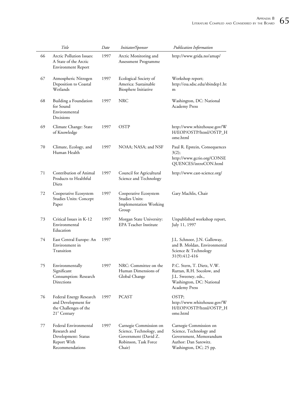|    | Title                                                                                               | Date | Initiator/Sponsor                                                                                            | Publication Information                                                                                                            |
|----|-----------------------------------------------------------------------------------------------------|------|--------------------------------------------------------------------------------------------------------------|------------------------------------------------------------------------------------------------------------------------------------|
| 66 | Arctic Pollution Issues:<br>A State of the Arctic<br><b>Environment Report</b>                      | 1997 | Arctic Monitoring and<br>Assessment Programme                                                                | http://www.grida.no/amap/                                                                                                          |
| 67 | Atmospheric Nitrogen<br>Deposition to Coastal<br>Wetlands                                           | 1997 | Ecological Society of<br>America: Sustainable<br><b>Biosphere Initiative</b>                                 | Workshop report;<br>http://esa.sdsc.edu/sbindep1.ht<br>m                                                                           |
| 68 | Building a Foundation<br>for Sound<br>Environmental<br>Decisions                                    | 1997 | NRC                                                                                                          | Washington, DC: National<br><b>Academy Press</b>                                                                                   |
| 69 | Climate Change: State<br>of Knowledge                                                               | 1997 | OSTP                                                                                                         | http://www.whitehouse.gov/W<br>H/EOP/OSTP/html/OSTP_H<br>ome.html                                                                  |
| 70 | Climate, Ecology, and<br>Human Health                                                               | 1997 | NOAA; NASA; and NSF                                                                                          | Paul R. Epstein, Consequences<br>3(2);<br>http://www.gcrio.org/CONSE<br>QUENCES/introCON.html                                      |
| 71 | Contribution of Animal<br>Products to Healthful<br>Diets                                            | 1997 | Council for Agricultural<br>Science and Technology                                                           | http://www.cast-science.org/                                                                                                       |
| 72 | Cooperative Ecosystem<br>Studies Units: Concept<br>Paper                                            | 1997 | Cooperative Ecosystem<br>Studies Units:<br><b>Implementation Working</b><br>Group                            | Gary Machlis, Chair                                                                                                                |
| 73 | Critical Issues in K-12<br>Environmental<br>Education                                               | 1997 | Morgan State University:<br>EPA Teacher Institute                                                            | Unpublished workshop report,<br>July 11, 1997                                                                                      |
| 74 | East Central Europe: An<br>Environment in<br>Transition                                             | 1997 |                                                                                                              | J.L. Schnoor, J.N. Galloway,<br>and B. Moldan, Environmental<br>Science & Technology<br>31(9):412-416                              |
| 75 | Environmentally<br>Significant<br>Consumption: Research<br>Directions                               | 1997 | NRC: Committee on the<br>Human Dimensions of<br>Global Change                                                | P.C. Stern, T. Dietz, V.W.<br>Ruttan, R.H. Socolow, and<br>J.L. Sweeney, eds.,<br>Washington, DC: National<br><b>Academy Press</b> |
| 76 | Federal Energy Research<br>and Development for<br>the Challenges of the<br>21 <sup>st</sup> Century | 1997 | <b>PCAST</b>                                                                                                 | OSTP;<br>http://www.whitehouse.gov/W<br>H/EOP/OSTP/html/OSTP_H<br>ome.html                                                         |
| 77 | Federal Environmental<br>Research and<br>Development: Status<br>Report With<br>Recommendations      | 1997 | Carnegie Commission on<br>Science, Technology, and<br>Government (David Z.<br>Robinson, Task Force<br>Chair) | Carnegie Commission on<br>Science, Technology and<br>Government, Memorandum<br>Author: Dan Sarewitz.<br>Washington, DC; 25 pp.     |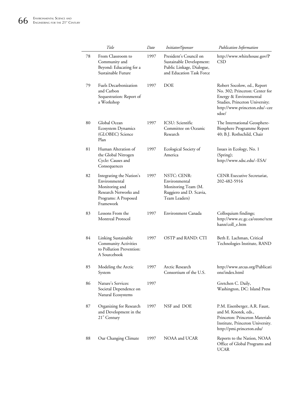|    | Title                                                                                                                     | Date | Initiator/Sponsor                                                                                           | Publication Information                                                                                                                                             |
|----|---------------------------------------------------------------------------------------------------------------------------|------|-------------------------------------------------------------------------------------------------------------|---------------------------------------------------------------------------------------------------------------------------------------------------------------------|
| 78 | From Classroom to<br>Community and<br>Beyond: Educating for a<br>Sustainable Future                                       | 1997 | President's Council on<br>Sustainable Development:<br>Public Linkage, Dialogue,<br>and Education Task Force | http://www.whitehouse.gov/P<br><b>CSD</b>                                                                                                                           |
| 79 | <b>Fuels Decarbonization</b><br>and Carbon<br>Sequestration: Report of<br>a Workshop                                      | 1997 | <b>DOE</b>                                                                                                  | Robert Socolow, ed., Report<br>No. 302; Princeton: Center for<br>Energy & Environmental<br>Studies, Princeton University;<br>http://www.princeton.edu/~cee<br>sdoe/ |
| 80 | Global Ocean<br>Ecosystem Dynamics<br>(GLOBEC) Science<br>Plan                                                            | 1997 | ICSU: Scientific<br>Committee on Oceanic<br>Research                                                        | The International Geosphere-<br>Biosphere Programme Report<br>40; B.J. Rothschild, Chair                                                                            |
| 81 | Human Alteration of<br>the Global Nitrogen<br>Cycle: Causes and<br>Consequences                                           | 1997 | Ecological Society of<br>America                                                                            | Issues in Ecology, No. 1<br>(Spring);<br>http://www.sdsc.edu/~ESA/                                                                                                  |
| 82 | Integrating the Nation's<br>Environmental<br>Monitoring and<br>Research Networks and<br>Programs: A Proposed<br>Framework | 1997 | NSTC: CENR:<br>Environmental<br>Monitoring Team (M.<br>Ruggiero and D. Scavia,<br>Team Leaders)             | <b>CENR</b> Executive Secretariat,<br>202-482-5916                                                                                                                  |
| 83 | Lessons From the<br>Montreal Protocol                                                                                     | 1997 | Environment Canada                                                                                          | Colloquium findings;<br>http://www.ec.gc.ca/ozone/tent<br>hann/coll_e.htm                                                                                           |
| 84 | Linking Sustainable<br><b>Community Activities</b><br>to Pollution Prevention:<br>A Sourcebook                            | 1997 | OSTP and RAND: CTI                                                                                          | Beth E. Lachman, Critical<br>Technologies Institute, RAND                                                                                                           |
| 85 | Modeling the Arctic<br>System                                                                                             | 1997 | Arctic Research<br>Consortium of the U.S.                                                                   | http://www.arcus.org/Publicati<br>ons/index.html                                                                                                                    |
| 86 | Nature's Services:<br>Societal Dependence on<br>Natural Ecosystems                                                        | 1997 |                                                                                                             | Gretchen C. Daily,<br>Washington, DC: Island Press                                                                                                                  |
| 87 | Organizing for Research<br>and Development in the<br>21 <sup>st</sup> Century                                             | 1997 | NSF and DOE                                                                                                 | P.M. Eisenberger, A.R. Faust,<br>and M. Knotek, eds.,<br>Princeton: Princeton Materials<br>Institute, Princeton University.<br>http://pmi.princeton.edu/            |
| 88 | Our Changing Climate                                                                                                      | 1997 | NOAA and UCAR                                                                                               | Reports to the Nation, NOAA<br>Office of Global Programs and<br><b>UCAR</b>                                                                                         |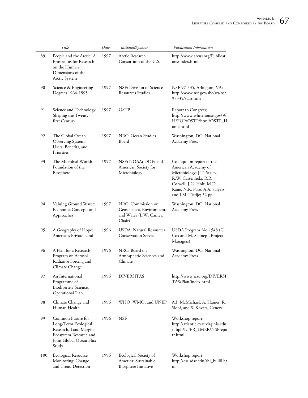|     | Title                                                                                                                            | Date | Initiator/Sponsor                                                                    | Publication Information                                                                                                                                                                         |
|-----|----------------------------------------------------------------------------------------------------------------------------------|------|--------------------------------------------------------------------------------------|-------------------------------------------------------------------------------------------------------------------------------------------------------------------------------------------------|
| 89  | People and the Arctic: A<br>Prospectus for Research<br>on the Human<br>Dimensions of the<br>Arctic System                        | 1997 | Arctic Research<br>Consortium of the U.S.                                            | http://www.arcus.org/Publicati<br>ons/index.html                                                                                                                                                |
| 90  | Science & Engineering<br>Degrees 1966-1995                                                                                       | 1997 | NSF: Division of Science<br><b>Resources Studies</b>                                 | NSF 97-335, Arlington, VA;<br>http://www.nsf.gov/sbe/srs/nsf<br>97335/start.htm                                                                                                                 |
| 91  | Science and Technology<br>Shaping the Twenty-<br>first Century                                                                   | 1997 | OSTP                                                                                 | Report to Congress;<br>http://www.whitehouse.gov/W<br>H/EOP/OSTP/html/OSTP_H<br>ome.html                                                                                                        |
| 92  | The Global Ocean<br>Observing System:<br>Users, Benefits, and<br>Priorities                                                      | 1997 | NRC: Ocean Studies<br>Board                                                          | Washington, DC: National<br><b>Academy Press</b>                                                                                                                                                |
| 93  | The Microbial World:<br>Foundation of the<br>Biosphere                                                                           | 1997 | NSF; NOAA; DOE; and<br>American Society for<br>Microbiology                          | Colloquium report of the<br>American Academy of<br>Microbiology; J.T. Staley,<br>R.W. Castenholz, R.R.<br>Colwell, J.G. Holt, M.D.<br>Kane, N.R. Pace, A.A. Salyers,<br>and J.M. Tiedje; 32 pp. |
| 94  | Valuing Ground Water:<br>Economic Concepts and<br>Approaches                                                                     | 1997 | NRC: Commission on<br>Geosciences, Environment,<br>and Water (L.W. Canter,<br>Chair) | Washington, DC: National<br><b>Academy Press</b>                                                                                                                                                |
| 95  | A Geography of Hope:<br>America's Private Land                                                                                   | 1996 | <b>USDA: Natural Resources</b><br>Conservation Service                               | USDA Program Aid 1548 (C.<br>Cox and M. Schnepf, Project<br>Managers)                                                                                                                           |
| 96  | A Plan for a Research<br>Program on Aerosol<br>Radiative Forcing and<br>Climate Change                                           | 1996 | NRC: Board on<br>Atmospheric Sciences and<br>Climate                                 | Washington, DC: National<br><b>Academy Press</b>                                                                                                                                                |
| 97  | An International<br>Programme of<br><b>Biodiversity Science:</b><br>Operational Plan                                             | 1996 | <b>DIVERSITAS</b>                                                                    | http://www.icsu.org/DIVERSI<br>TAS/Plan/index.html                                                                                                                                              |
| 98  | Climate Change and<br>Human Health                                                                                               | 1996 | WHO; WMO; and UNEP                                                                   | A.J. McMichael, A. Haines, R.<br>Sloof, and S. Kovats, Geneva                                                                                                                                   |
| 99  | Common Future for<br>Long-Term Ecological<br>Research, Land Margin<br>Ecosystem Research and<br>Joint Global Ocean Flux<br>Study | 1996 | NSF                                                                                  | Workshop report;<br>http://atlantic.evsc.virginia.edu<br>/-bph/LTER_LMER/NSFrepo<br>rt.html                                                                                                     |
| 100 | <b>Ecological Resource</b><br>Monitoring: Change<br>and Trend Detection                                                          | 1996 | Ecological Society of<br>America: Sustainable<br>Biosphere Initiative                | Workshop report;<br>http://esa.sdsc.edu/sbi_bull8.ht<br>m                                                                                                                                       |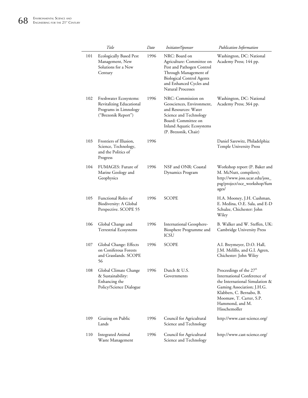|     | Title                                                                                              | Date | Initiator/Sponsor                                                                                                                                                                    | Publication Information                                                                                                                                                                                                    |
|-----|----------------------------------------------------------------------------------------------------|------|--------------------------------------------------------------------------------------------------------------------------------------------------------------------------------------|----------------------------------------------------------------------------------------------------------------------------------------------------------------------------------------------------------------------------|
| 101 | Ecologically Based Pest<br>Management, New<br>Solutions for a New<br>Century                       | 1996 | NRC: Board on<br>Agriculture: Committee on<br>Pest and Pathogen Control<br>Through Management of<br><b>Biological Control Agents</b><br>and Enhanced Cycles and<br>Natural Processes | Washington, DC: National<br>Academy Press; 144 pp.                                                                                                                                                                         |
| 102 | Freshwater Ecosystems:<br>Revitalizing Educational<br>Programs in Limnology<br>("Brezonik Report") | 1996 | NRC: Commission on<br>Geosciences, Environment,<br>and Resources: Water<br>Science and Technology<br>Board: Committee on<br><b>Inland Aquatic Ecosystems</b><br>(P. Brezonik, Chair) | Washington, DC: National<br>Academy Press; 364 pp.                                                                                                                                                                         |
| 103 | Frontiers of Illusion,<br>Science, Technology,<br>and the Politics of<br>Progress                  | 1996 |                                                                                                                                                                                      | Daniel Sarewitz, Philadelphia:<br><b>Temple University Press</b>                                                                                                                                                           |
| 104 | FUMAGES: Future of<br>Marine Geology and<br>Geophysics                                             | 1996 | NSF and ONR: Coastal<br>Dynamics Program                                                                                                                                             | Workshop report (P. Baker and<br>M. McNutt, compilers);<br>http://www.joss.ucar.edu/joss_<br>psg/project/oce_workshop/fum<br>ages/                                                                                         |
| 105 | Functional Roles of<br>Biodiversity: A Global<br>Perspective. SCOPE 55                             | 1996 | <b>SCOPE</b>                                                                                                                                                                         | H.A. Mooney, J.H. Cushman,<br>E. Medina, O.E. Sala, and E-D<br>Schulze, Chichester: John<br>Wiley                                                                                                                          |
| 106 | Global Change and<br><b>Terrestrial Ecosystems</b>                                                 | 1996 | International Geosphere-<br>Biosphere Programme and<br><b>ICSU</b>                                                                                                                   | B. Walker and W. Steffen, UK:<br>Cambridge University Press                                                                                                                                                                |
| 107 | Global Change: Effects<br>on Coniferous Forests<br>and Grasslands. SCOPE<br>56                     | 1996 | <b>SCOPE</b>                                                                                                                                                                         | A.I. Breymeyer, D.O. Hall,<br>J.M. Melillo, and G.I. Agren,<br>Chichester: John Wiley                                                                                                                                      |
| 108 | Global Climate Change<br>& Sustainability:<br>Enhancing the<br>Policy/Science Dialogue             | 1996 | Dutch & U.S.<br>Governments                                                                                                                                                          | Proceedings of the $27^{\rm th}$<br>International Conference of<br>the International Simulation &<br>Gaming Association; J.H.G.<br>Klabbers, C. Bernabo, B.<br>Moomaw, T. Carter, S.P.<br>Hammond, and M.<br>Hisschemoller |
| 109 | Grazing on Public<br>Lands                                                                         | 1996 | Council for Agricultural<br>Science and Technology                                                                                                                                   | http://www.cast-science.org/                                                                                                                                                                                               |
| 110 | <b>Integrated Animal</b><br>Waste Management                                                       | 1996 | Council for Agricultural<br>Science and Technology                                                                                                                                   | http://www.cast-science.org/                                                                                                                                                                                               |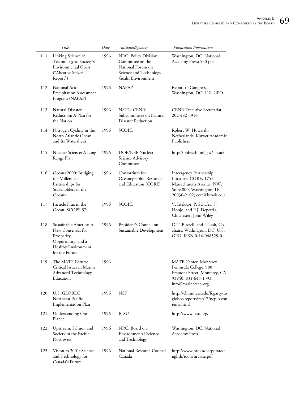|     | Title                                                                                                                     | Date<br>Initiator/Sponsor |                                                                                                                | Publication Information                                                                                                                   |  |
|-----|---------------------------------------------------------------------------------------------------------------------------|---------------------------|----------------------------------------------------------------------------------------------------------------|-------------------------------------------------------------------------------------------------------------------------------------------|--|
| 111 | Linking Science &<br>Technology to Society's<br><b>Environmental Goals</b><br>("Ahearne-Stever<br>Report")                | 1996                      | NRC: Policy Division:<br>Committee on the<br>National Forum on<br>Science and Technology<br>Goals: Environment | Washington, DC: National<br>Academy Press; 530 pp.                                                                                        |  |
| 112 | National Acid<br>Precipitation Assessment<br>Program (NAPAP)                                                              | 1996                      | <b>NAPAP</b>                                                                                                   | Report to Congress,<br>Washington, DC: U.S. GPO                                                                                           |  |
| 113 | Natural Disaster<br>Reduction: A Plan for<br>the Nation                                                                   | 1996                      | NSTC: CENR:<br>Subcommittee on Natural<br><b>Disaster Reduction</b>                                            | <b>CENR</b> Executive Secretariat,<br>202-482-5916                                                                                        |  |
| 114 | Nitrogen Cycling in the<br>North Atlantic Ocean<br>and Its Watersheds                                                     | 1996                      | <b>SCOPE</b>                                                                                                   | Robert W. Howarth,<br>Netherlands: Kluwer Academic<br>Publishers                                                                          |  |
| 115 | Nuclear Science: A Long<br>Range Plan                                                                                     | 1996                      | DOE/NSF Nuclear<br>Science Advisory<br>Committee                                                               | http://pubweb.bnl.gov/~nsac/                                                                                                              |  |
| 116 | Oceans 2000: Bridging<br>the Millennia:<br>Partnerships for<br>Stakeholders in the<br>Oceans                              | 1996                      | Consortium for<br>Oceanographic Research<br>and Education (CORE)                                               | Interagency Partnership<br>Initiative, CORE, 1755<br>Massachusetts Avenue, NW,<br>Suite 800, Washington, DC<br>20036-2102; core@brook.edu |  |
| 117 | Particle Flux in the<br>Ocean. SCOPE 57                                                                                   | 1996                      | SCOPE                                                                                                          | V. Ittekkot, P. Schafer, S.<br>Honjo, and P.J. Depetris,<br>Chichester: John Wiley                                                        |  |
| 118 | Sustainable America: A<br>New Consensus for<br>Prosperity,<br>Opportunity, and a<br>Healthy Environment<br>for the Future | 1996                      | President's Council on<br>Sustainable Development                                                              | D.T. Buzzelli and J. Lash, Co-<br>chairs; Washington, DC: U.S.<br>GPO; ISBN 0-16-048529-0                                                 |  |
| 119 | The MATE Forum:<br>Critical Issues in Marine<br>Advanced Technology<br>Education                                          | 1996                      |                                                                                                                | <b>MATE Center, Monterey</b><br>Peninsula College, 980<br>Fremont Street, Monterey, CA<br>93940; 831-645-1393;<br>info@marinetech.org     |  |
| 120 | U.S. GLOBEC<br>Northeast Pacific<br>Implementation Plan                                                                   | 1996                      | NSF                                                                                                            | http://cbl.umces.edu/fogarty/us<br>globec/reports/rep17/nepip.con<br>tents.html                                                           |  |
| 121 | Understanding Our<br>Planet                                                                                               | 1996                      | <b>ICSU</b>                                                                                                    | http://www.icsu.org/                                                                                                                      |  |
| 122 | Upstream: Salmon and<br>Society in the Pacific<br>Northwest                                                               | 1996                      | NRC: Board on<br><b>Environmental Science</b><br>and Technology                                                | Washington, DC: National<br><b>Academy Press</b>                                                                                          |  |
| 123 | Vision to 2001: Science<br>and Technology for<br>Canada's Future                                                          | 1996                      | National Research Council<br>Canada                                                                            | http://www.nrc.ca/corporate/e<br>nglish/tools/nrcvise.pdf                                                                                 |  |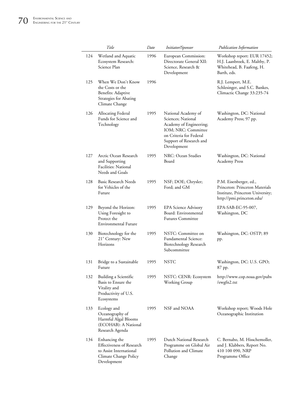|     | Title                                                                                                           | Date | Initiator/Sponsor                                                                                                                                                | Publication Information                                                                                                   |
|-----|-----------------------------------------------------------------------------------------------------------------|------|------------------------------------------------------------------------------------------------------------------------------------------------------------------|---------------------------------------------------------------------------------------------------------------------------|
| 124 | Wetland and Aquatic<br>Ecosystem Research:<br>Science Plan                                                      | 1996 | European Commission:<br>Directorate General XII:<br>Science, Research &<br>Development                                                                           | Workshop report: EUR 17452;<br>H.J. Laanbroek, E. Maltby, P.<br>Whitehead, B. Faafeng, H.<br>Barth, eds.                  |
| 125 | When We Don't Know<br>the Costs or the<br>Benefits: Adaptive<br><b>Strategies for Abating</b><br>Climate Change | 1996 |                                                                                                                                                                  | R.J. Lempert, M.E.<br>Schlesinger, and S.C. Bankes,<br>Climactic Change 33:235-74                                         |
| 126 | Allocating Federal<br>Funds for Science and<br>Technology                                                       | 1995 | National Academy of<br>Sciences; National<br>Academy of Engineering;<br>IOM; NRC: Committee<br>on Criteria for Federal<br>Support of Research and<br>Development | Washington, DC: National<br>Academy Press; 97 pp.                                                                         |
| 127 | Arctic Ocean Research<br>and Supporting<br>Facilities: National<br>Needs and Goals                              | 1995 | NRC: Ocean Studies<br>Board                                                                                                                                      | Washington, DC: National<br><b>Academy Press</b>                                                                          |
| 128 | Basic Research Needs<br>for Vehicles of the<br>Future                                                           | 1995 | NSF; DOE; Chrysler;<br>Ford; and GM                                                                                                                              | P.M. Eisenberger, ed.,<br>Princeton: Princeton Materials<br>Institute, Princeton University;<br>http://pmi.princeton.edu/ |
| 129 | Beyond the Horizon:<br>Using Foresight to<br>Protect the<br><b>Environmental Future</b>                         | 1995 | <b>EPA Science Advisory</b><br>Board: Environmental<br><b>Futures Committee</b>                                                                                  | EPA-SAB-EC-95-007,<br>Washington, DC                                                                                      |
| 130 | Biotechnology for the<br>21 <sup>st</sup> Century: New<br>Horizons                                              | 1995 | NSTC: Committee on<br>Fundamental Science:<br><b>Biotechnology Research</b><br>Subcommittee                                                                      | Washington, DC: OSTP; 89<br>pp.                                                                                           |
| 131 | Bridge to a Sustainable<br>Future                                                                               | 1995 | <b>NSTC</b>                                                                                                                                                      | Washington, DC: U.S. GPO;<br>87 pp.                                                                                       |
| 132 | Building a Scientific<br>Basis to Ensure the<br>Vitality and<br>Productivity of U.S.<br>Ecosystems              | 1995 | NSTC: CENR: Ecosystem<br>Working Group                                                                                                                           | http://www.cop.noaa.gov/pubs<br>/ewgfn2.txt                                                                               |
| 133 | Ecology and<br>Oceanography of<br>Harmful Algal Blooms<br>(ECOHAB): A National<br>Research Agenda               | 1995 | NSF and NOAA                                                                                                                                                     | Workshop report; Woods Hole<br>Oceanographic Institution                                                                  |
| 134 | Enhancing the<br>Effectiveness of Research<br>to Assist International<br>Climate Change Policy<br>Development   | 1995 | Dutch National Research<br>Programme on Global Air<br>Pollution and Climate<br>Change                                                                            | C. Bernabo, M. Hisschemoller,<br>and J. Klabbers, Report No.<br>410 100 090, NRP<br>Programme Office                      |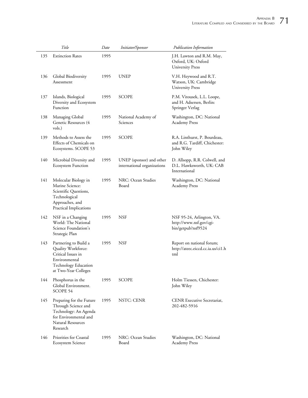|     | Title                                                                                                                              | Date | Initiator/Sponsor                                       | <b>Publication Information</b>                                              |
|-----|------------------------------------------------------------------------------------------------------------------------------------|------|---------------------------------------------------------|-----------------------------------------------------------------------------|
| 135 | <b>Extinction Rates</b>                                                                                                            | 1995 |                                                         | J.H. Lawton and R.M. May,<br>Oxford, UK: Oxford<br><b>University Press</b>  |
| 136 | Global Biodiversity<br>Assessment                                                                                                  | 1995 | <b>UNEP</b>                                             | V.H. Heywood and R.T.<br>Watson, UK: Cambridge<br><b>University Press</b>   |
| 137 | Islands, Biological<br>Diversity and Ecosystem<br>Function                                                                         | 1995 | <b>SCOPE</b>                                            | P.M. Vitousek, L.L. Loope,<br>and H. Adsersen, Berlin:<br>Springer Verlag   |
| 138 | Managing Global<br>Genetic Resources (4<br>vols.)                                                                                  | 1995 | National Academy of<br>Sciences                         | Washington, DC: National<br><b>Academy Press</b>                            |
| 139 | Methods to Assess the<br>Effects of Chemicals on<br>Ecosystems. SCOPE 53                                                           | 1995 | SCOPE                                                   | R.A. Linthurst, P. Bourdeau,<br>and R.G. Tardiff, Chichester:<br>John Wiley |
| 140 | Microbial Diversity and<br><b>Ecosystem Function</b>                                                                               | 1995 | UNEP (sponsor) and other<br>international organizations | D. Allsopp, R.R. Colwell, and<br>D.L. Hawksworth, UK: CAB<br>International  |
| 141 | Molecular Biology in<br>Marine Science:<br>Scientific Questions,<br>Technological<br>Approaches, and<br>Practical Implications     | 1995 | NRC: Ocean Studies<br>Board                             | Washington, DC: National<br><b>Academy Press</b>                            |
| 142 | NSF in a Changing<br>World: The National<br>Science Foundation's<br>Strategic Plan                                                 | 1995 | NSF                                                     | NSF 95-24, Arlington, VA.<br>http://www.nsf.gov/cgi-<br>bin/getpub?nsf9524  |
| 143 | Partnering to Build a<br>Quality Workforce:<br>Critical Issues in<br>Environmental<br>Technology Education<br>at Two-Year Colleges | 1995 | NSF                                                     | Report on national forum;<br>http://ateec.eiccd.cc.ia.us/ci1.h<br>tml       |
| 144 | Phosphorus in the<br>Global Environment.<br><b>SCOPE 54</b>                                                                        | 1995 | SCOPE                                                   | Holm Tiessen, Chichester:<br>John Wiley                                     |
| 145 | Preparing for the Future<br>Through Science and<br>Technology: An Agenda<br>for Environmental and<br>Natural Resources<br>Research | 1995 | NSTC: CENR                                              | <b>CENR</b> Executive Secretariat,<br>202-482-5916                          |
| 146 | Priorities for Coastal<br>Ecosystem Science                                                                                        | 1995 | NRC: Ocean Studies<br>Board                             | Washington, DC: National<br><b>Academy Press</b>                            |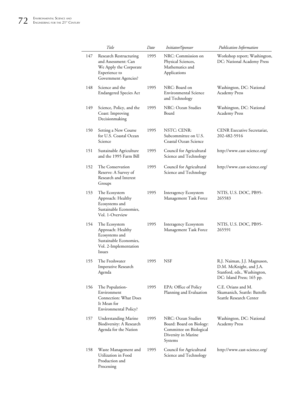| Title |                                                                                                                         | Date | Initiator/Sponsor                                                                                           | Publication Information                                                                                            |  |
|-------|-------------------------------------------------------------------------------------------------------------------------|------|-------------------------------------------------------------------------------------------------------------|--------------------------------------------------------------------------------------------------------------------|--|
| 147   | Research Restructuring<br>and Assessment: Can<br>We Apply the Corporate<br>Experience to<br><b>Government Agencies?</b> | 1995 | NRC: Commission on<br>Physical Sciences,<br>Mathematics and<br>Applications                                 | Workshop report; Washington,<br>DC: National Academy Press                                                         |  |
| 148   | Science and the<br><b>Endangered Species Act</b>                                                                        | 1995 | NRC: Board on<br><b>Environmental Science</b><br>and Technology                                             | Washington, DC: National<br><b>Academy Press</b>                                                                   |  |
| 149   | Science, Policy, and the<br>Coast: Improving<br>Decisionmaking                                                          | 1995 | NRC: Ocean Studies<br>Board                                                                                 | Washington, DC: National<br><b>Academy Press</b>                                                                   |  |
| 150   | Setting a New Course<br>for U.S. Coastal Ocean<br>Science                                                               | 1995 | NSTC: CENR:<br>Subcommittee on U.S.<br>Coastal Ocean Science                                                | CENR Executive Secretariat,<br>202-482-5916                                                                        |  |
| 151   | Sustainable Agriculture<br>and the 1995 Farm Bill                                                                       | 1995 | Council for Agricultural<br>Science and Technology                                                          | http://www.cast-science.org/                                                                                       |  |
| 152   | The Conservation<br>Reserve: A Survey of<br>Research and Interest<br>Groups                                             | 1995 | Council for Agricultural<br>Science and Technology                                                          | http://www.cast-science.org/                                                                                       |  |
| 153   | The Ecosystem<br>Approach: Healthy<br>Ecosystems and<br>Sustainable Economies,<br>Vol. 1-Overview                       | 1995 | Interagency Ecosystem<br>Management Task Force                                                              | NTIS, U.S. DOC, PB95-<br>265583                                                                                    |  |
| 154   | The Ecosystem<br>Approach: Healthy<br>Ecosystems and<br>Sustainable Economies,<br>Vol. 2-Implementation<br>Issues       | 1995 | Interagency Ecosystem<br>Management Task Force                                                              | NTIS, U.S. DOC, PB95-<br>265591                                                                                    |  |
| 155   | The Freshwater<br>Imperative Research<br>Agenda                                                                         | 1995 | NSF                                                                                                         | R.J. Naiman, J.J. Magnuson,<br>D.M. McKnight, and J.A.<br>Stanford, eds., Washington,<br>DC: Island Press; 165 pp. |  |
| 156   | The Population-<br>Environment<br>Connection: What Does<br>It Mean for<br><b>Environmental Policy?</b>                  | 1995 | EPA: Office of Policy<br>Planning and Evaluation                                                            | C.E. Orians and M.<br>Skumanich, Seattle: Battelle<br>Seattle Research Center                                      |  |
| 157   | <b>Understanding Marine</b><br>Biodiversity: A Research<br>Agenda for the Nation                                        | 1995 | NRC: Ocean Studies<br>Board: Board on Biology:<br>Committee on Biological<br>Diversity in Marine<br>Systems | Washington, DC: National<br><b>Academy Press</b>                                                                   |  |
| 158   | Waste Management and<br>Utilization in Food<br>Production and<br>Processing                                             | 1995 | Council for Agricultural<br>Science and Technology                                                          | http://www.cast-science.org/                                                                                       |  |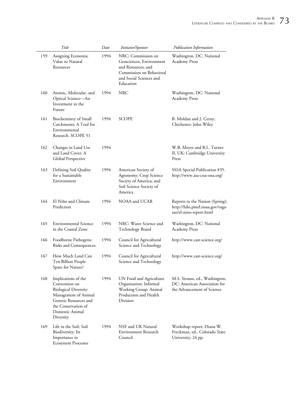| Title |                                                                                                                                                                              | Date | Initiator/Sponsor                                                                                                                        | Publication Information                                                                       |  |
|-------|------------------------------------------------------------------------------------------------------------------------------------------------------------------------------|------|------------------------------------------------------------------------------------------------------------------------------------------|-----------------------------------------------------------------------------------------------|--|
| 159   | Assigning Economic<br>Value to Natural<br>Resources                                                                                                                          | 1994 | NRC: Commission on<br>Geosciences, Environment<br>and Resources; and<br>Commission on Behavioral<br>and Social Sciences and<br>Education | Washington, DC: National<br><b>Academy Press</b>                                              |  |
| 160   | Atomic, Molecular, and<br>Optical Science-An<br>Investment in the<br>Future                                                                                                  | 1994 | <b>NRC</b>                                                                                                                               | Washington, DC: National<br><b>Academy Press</b>                                              |  |
| 161   | Biochemistry of Small<br>Catchments: A Tool for<br>Environmental<br>Research. SCOPE 51                                                                                       | 1994 | <b>SCOPE</b>                                                                                                                             | B. Moldan and J. Cerny,<br>Chichester: John Wiley                                             |  |
| 162   | Changes in Land Use<br>and Land Cover: A<br>Global Perspective                                                                                                               | 1994 |                                                                                                                                          | W.B. Meyer and B.L. Turner<br>II, UK: Cambridge University<br>Press                           |  |
| 163   | Defining Soil Quality<br>for a Sustainable<br>Environment                                                                                                                    | 1994 | American Society of<br>Agronomy; Crop Science<br>Society of America; and<br>Soil Science Society of<br>America                           | SSSA Special Publication #35.<br>http://www.asa-cssa-sssa.org/                                |  |
| 164   | El Niño and Climate<br>Prediction                                                                                                                                            | 1994 | NOAA and UCAR                                                                                                                            | Reports to the Nation (Spring);<br>http://hilo.pmel.noaa.gov/toga-<br>tao/el-nino-report.html |  |
| 165   | <b>Environmental Science</b><br>in the Coastal Zone                                                                                                                          | 1994 | NRC: Water Science and<br>Technology Board                                                                                               | Washington, DC: National<br><b>Academy Press</b>                                              |  |
| 166   | Foodborne Pathogens:<br>Risks and Consequences                                                                                                                               | 1994 | Council for Agricultural<br>Science and Technology                                                                                       | http://www.cast-science.org/                                                                  |  |
| 167   | How Much Land Can<br>Ten Billion People<br>Spare for Nature?                                                                                                                 | 1994 | Council for Agricultural<br>Science and Technology                                                                                       | http://www.cast-science.org/                                                                  |  |
| 168   | Implications of the<br>Convention on<br><b>Biological Diversity:</b><br>Management of Animal<br>Genetic Resources and<br>the Conservation of<br>Domestic Animal<br>Diversity | 1994 | UN Food and Agriculture<br>Organization: Informal<br>Working Group: Animal<br>Production and Health<br>Division                          | M.S. Strauss, ed., Washington,<br>DC: American Association for<br>the Advancement of Science  |  |
| 169   | Life in the Soil: Soil<br>Biodiversity: Its<br>Importance to<br><b>Ecosystem Processes</b>                                                                                   | 1994 | NSF and UK Natural<br>Environment Research<br>Council                                                                                    | Workshop report; Diana W.<br>Freckman, ed., Colorado State<br>University; 24 pp.              |  |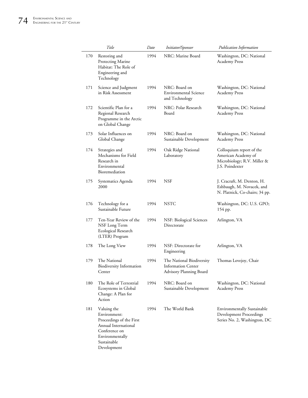|     | Title                                                                                                                                             | Date | Initiator/Sponsor                                                                 | Publication Information                                                                           |
|-----|---------------------------------------------------------------------------------------------------------------------------------------------------|------|-----------------------------------------------------------------------------------|---------------------------------------------------------------------------------------------------|
| 170 | Restoring and<br>Protecting Marine<br>Habitat: The Role of<br>Engineering and<br>Technology                                                       | 1994 | NRC: Marine Board                                                                 | Washington, DC: National<br><b>Academy Press</b>                                                  |
| 171 | Science and Judgment<br>in Risk Assessment                                                                                                        | 1994 | NRC: Board on<br><b>Environmental Science</b><br>and Technology                   | Washington, DC: National<br><b>Academy Press</b>                                                  |
| 172 | Scientific Plan for a<br>Regional Research<br>Programme in the Arctic<br>on Global Change                                                         | 1994 | NRC: Polar Research<br>Board                                                      | Washington, DC: National<br><b>Academy Press</b>                                                  |
| 173 | Solar Influences on<br>Global Change                                                                                                              | 1994 | NRC: Board on<br>Sustainable Development                                          | Washington, DC: National<br><b>Academy Press</b>                                                  |
| 174 | Strategies and<br>Mechanisms for Field<br>Research in<br>Environmental<br>Bioremediation                                                          | 1994 | Oak Ridge National<br>Laboratory                                                  | Colloquium report of the<br>American Academy of<br>Microbiology; R.V. Miller &<br>J.S. Poindexter |
| 175 | Systematics Agenda<br>2000                                                                                                                        | 1994 | NSF                                                                               | J. Cracraft, M. Denton, H.<br>Eshbaugh, M. Novacek, and<br>N. Platnick, Co-chairs; 34 pp.         |
| 176 | Technology for a<br>Sustainable Future                                                                                                            | 1994 | <b>NSTC</b>                                                                       | Washington, DC: U.S. GPO;<br>154 pp.                                                              |
| 177 | Ten-Year Review of the<br>NSF Long Term<br>Ecological Research<br>(LTER) Program                                                                  | 1994 | NSF: Biological Sciences<br>Directorate                                           | Arlington, VA                                                                                     |
| 178 | The Long View                                                                                                                                     | 1994 | NSF: Directorate for<br>Engineering                                               | Arlington, VA                                                                                     |
| 179 | The National<br><b>Biodiversity Information</b><br>Center                                                                                         | 1994 | The National Biodiversity<br><b>Information Center</b><br>Advisory Planning Board | Thomas Lovejoy, Chair                                                                             |
| 180 | The Role of Terrestrial<br>Ecosystems in Global<br>Change: A Plan for<br>Action                                                                   | 1994 | NRC: Board on<br>Sustainable Development                                          | Washington, DC: National<br><b>Academy Press</b>                                                  |
| 181 | Valuing the<br>Environment:<br>Proceedings of the First<br>Annual International<br>Conference on<br>Environmentally<br>Sustainable<br>Development | 1994 | The World Bank                                                                    | Environmentally Sustainable<br>Development Proceedings<br>Series No. 2, Washington, DC            |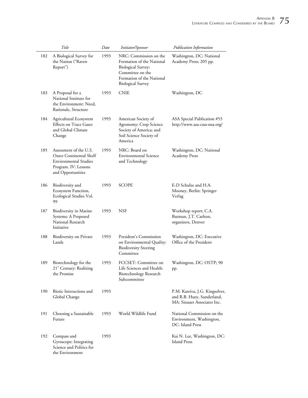|     | Title                                                                                                                                 |      | Initiator/Sponsor                                                                                                                                             | Publication Information                                                                     |  |
|-----|---------------------------------------------------------------------------------------------------------------------------------------|------|---------------------------------------------------------------------------------------------------------------------------------------------------------------|---------------------------------------------------------------------------------------------|--|
| 182 | A Biological Survey for<br>the Nation ("Raven<br>Report")                                                                             | 1993 | NRC: Commission on the<br>Formation of the National<br><b>Biological Survey:</b><br>Committee on the<br>Formation of the National<br><b>Biological Survey</b> | Washington, DC: National<br>Academy Press; 205 pp.                                          |  |
| 183 | A Proposal for a<br>National Institute for<br>the Environment: Need,<br>Rationale, Structure                                          | 1993 | <b>CNIE</b>                                                                                                                                                   | Washington, DC                                                                              |  |
| 184 | Agricultural Ecosystem<br><b>Effects on Trace Gases</b><br>and Global Climate<br>Change                                               | 1993 | American Society of<br>Agronomy; Crop Science<br>Society of America; and<br>Soil Science Society of<br>America                                                | ASA Special Publication #55<br>http://www.asa-cssa-sssa.org/                                |  |
| 185 | Assessment of the U.S.<br><b>Outer Continental Shelf</b><br><b>Environmental Studies</b><br>Program. IV: Lessons<br>and Opportunities | 1993 | NRC: Board on<br><b>Environmental Science</b><br>and Technology                                                                                               | Washington, DC: National<br><b>Academy Press</b>                                            |  |
| 186 | Biodiversity and<br>Ecosystem Function,<br>Ecological Studies Vol.<br>99                                                              | 1993 | <b>SCOPE</b>                                                                                                                                                  | E-D Schulze and H.A.<br>Mooney, Berlin: Springer<br>Verlag                                  |  |
| 187 | Biodiversity in Marine<br>Systems: A Proposed<br>National Research<br>Initiative                                                      | 1993 | NSF                                                                                                                                                           | Workshop report; C.A.<br>Butman, J.T. Carlton,<br>organizers, Denver                        |  |
| 188 | Biodiversity on Private<br>Lands                                                                                                      | 1993 | President's Commission<br>on Environmental Quality:<br><b>Biodiversity Steering</b><br>Committee                                                              | Washington, DC: Executive<br>Office of the President                                        |  |
| 189 | Biotechnology for the<br>21 <sup>st</sup> Century: Realizing<br>the Promise                                                           | 1993 | FCCSET: Committee on<br>Life Sciences and Health:<br><b>Biotechnology Research</b><br>Subcommittee                                                            | Washington, DC: OSTP; 90<br>pp.                                                             |  |
| 190 | Biotic Interactions and<br>Global Change                                                                                              | 1993 |                                                                                                                                                               | P.M. Kareiva, J.G. Kingsolver,<br>and R.B. Huey, Sunderland,<br>MA: Sinauer Associates Inc. |  |
| 191 | Choosing a Sustainable<br>Future                                                                                                      | 1993 | World Wildlife Fund                                                                                                                                           | National Commission on the<br>Environment, Washington,<br>DC: Island Press                  |  |
| 192 | Compass and<br>Gyroscope: Integrating<br>Science and Politics for<br>the Environment                                                  | 1993 |                                                                                                                                                               | Kai N. Lee, Washington, DC:<br>Island Press                                                 |  |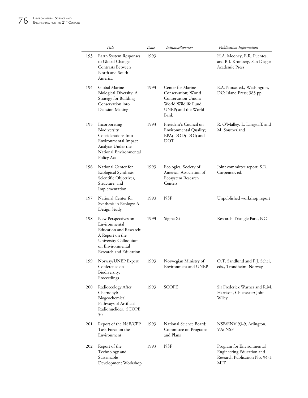|     | Title                                                                                                                                                            | Date | Initiator/Sponsor                                                                                                      | <b>Publication Information</b>                                                                  |
|-----|------------------------------------------------------------------------------------------------------------------------------------------------------------------|------|------------------------------------------------------------------------------------------------------------------------|-------------------------------------------------------------------------------------------------|
| 193 | Earth System Responses<br>to Global Change:<br>Contrasts Between<br>North and South<br>America                                                                   | 1993 |                                                                                                                        | H.A. Mooney, E.R. Fuentes,<br>and B.I. Kronberg, San Diego:<br>Academic Press                   |
| 194 | Global Marine<br><b>Biological Diversity: A</b><br><b>Strategy for Building</b><br>Conservation into<br>Decision Making                                          | 1993 | Center for Marine<br>Conservation; World<br>Conservation Union;<br>World Wildlife Fund;<br>UNEP; and the World<br>Bank | E.A. Norse, ed., Washington,<br>DC: Island Press; 383 pp.                                       |
| 195 | Incorporating<br>Biodiversity<br>Considerations Into<br>Environmental Impact<br>Analysis Under the<br>National Environmental<br>Policy Act                       | 1993 | President's Council on<br>Environmental Quality;<br>EPA; DOD; DOI; and<br>DOT                                          | R. O'Malley, L. Langstaff, and<br>M. Southerland                                                |
| 196 | National Center for<br>Ecological Synthesis:<br>Scientific Objectives,<br>Structure, and<br>Implementation                                                       | 1993 | Ecological Society of<br>America; Association of<br>Ecosystem Research<br>Centers                                      | Joint committee report; S.R.<br>Carpenter, ed.                                                  |
| 197 | National Center for<br>Synthesis in Ecology: A<br>Design Study                                                                                                   | 1993 | <b>NSF</b>                                                                                                             | Unpublished workshop report                                                                     |
| 198 | New Perspectives on<br>Environmental<br><b>Education and Research:</b><br>A Report on the<br>University Colloquium<br>on Environmental<br>Research and Education | 1993 | Sigma Xi                                                                                                               | Research Triangle Park, NC                                                                      |
| 199 | Norway/UNEP Expert<br>Conference on<br>Biodiversity:<br>Proceedings                                                                                              | 1993 | Norwegian Ministry of<br><b>Environment and UNEP</b>                                                                   | O.T. Sandlund and P.J. Schei,<br>eds., Trondheim, Norway                                        |
| 200 | Radioecology After<br>Chernobyl:<br>Biogeochemical<br>Pathways of Artificial<br>Radionuclides. SCOPE<br>50                                                       | 1993 | <b>SCOPE</b>                                                                                                           | Sir Frederick Warner and R.M.<br>Harrison, Chichester: John<br>Wiley                            |
| 201 | Report of the NSB/CPP<br>Task Force on the<br>Environment                                                                                                        | 1993 | National Science Board:<br>Committee on Programs<br>and Plans                                                          | NSB/ENV 93-9, Arlington,<br>VA: NSF                                                             |
| 202 | Report of the<br>Technology and<br>Sustainable<br>Development Workshop                                                                                           | 1993 | NSF                                                                                                                    | Program for Environmental<br>Engineering Education and<br>Research Publication No. 94-1:<br>МIТ |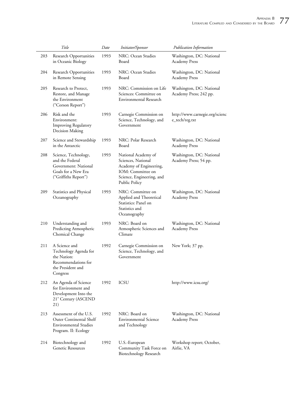|     | Title                                                                                                          | Date | Initiator/Sponsor                                                                                                                       | Publication Information                            |
|-----|----------------------------------------------------------------------------------------------------------------|------|-----------------------------------------------------------------------------------------------------------------------------------------|----------------------------------------------------|
| 203 | Research Opportunities<br>in Oceanic Biology                                                                   | 1993 | NRC: Ocean Studies<br>Board                                                                                                             | Washington, DC: National<br><b>Academy Press</b>   |
| 204 | Research Opportunities<br>in Remote Sensing                                                                    | 1993 | NRC: Ocean Studies<br>Board                                                                                                             | Washington, DC: National<br><b>Academy Press</b>   |
| 205 | Research to Protect,<br>Restore, and Manage<br>the Environment<br>("Corson Report")                            | 1993 | NRC: Commission on Life<br>Sciences: Committee on<br>Environmental Research                                                             | Washington, DC: National<br>Academy Press; 242 pp. |
| 206 | Risk and the<br>Environment:<br><b>Improving Regulatory</b><br>Decision Making                                 | 1993 | Carnegie Commission on<br>Science, Technology, and<br>Government                                                                        | http://www.carnegie.org/scienc<br>e_tech/reg.txt   |
| 207 | Science and Stewardship<br>in the Antarctic                                                                    | 1993 | NRC: Polar Research<br>Board                                                                                                            | Washington, DC: National<br><b>Academy Press</b>   |
| 208 | Science, Technology,<br>and the Federal<br>Government: National<br>Goals for a New Era<br>("Griffiths Report") | 1993 | National Academy of<br>Sciences, National<br>Academy of Engineering,<br>IOM: Committee on<br>Science, Engineering, and<br>Public Policy | Washington, DC: National<br>Academy Press; 54 pp.  |
| 209 | Statistics and Physical<br>Oceanography                                                                        | 1993 | NRC: Committee on<br>Applied and Theoretical<br>Statistics: Panel on<br>Statistics and<br>Oceanography                                  | Washington, DC: National<br><b>Academy Press</b>   |
| 210 | Understanding and<br>Predicting Atmospheric<br>Chemical Change                                                 | 1993 | NRC: Board on<br>Atmospheric Sciences and<br>Climate                                                                                    | Washington, DC: National<br><b>Academy Press</b>   |
| 211 | A Science and<br>Technology Agenda for<br>the Nation:<br>Recommendations for<br>the President and<br>Congress  | 1992 | Carnegie Commission on<br>Science, Technology, and<br>Government                                                                        | New York; 37 pp.                                   |
| 212 | An Agenda of Science<br>for Environment and<br>Development Into the<br>21 <sup>st</sup> Century (ASCEND<br>21) | 1992 | <b>ICSU</b>                                                                                                                             | http://www.icsu.org/                               |
| 213 | Assessment of the U.S.<br>Outer Continental Shelf<br><b>Environmental Studies</b><br>Program. II: Ecology      | 1992 | NRC: Board on<br><b>Environmental Science</b><br>and Technology                                                                         | Washington, DC: National<br><b>Academy Press</b>   |
| 214 | Biotechnology and<br>Genetic Resources                                                                         | 1992 | U.S.-European<br>Community Task Force on<br><b>Biotechnology Research</b>                                                               | Workshop report; October,<br>Airlie, VA            |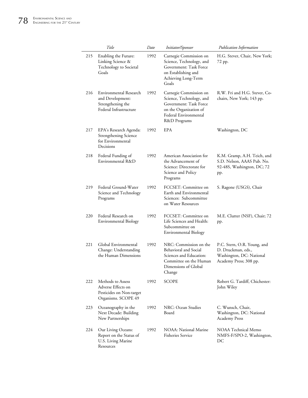|     | Title                                                                                      | Date | Initiator/Sponsor                                                                                                                               | Publication Information                                                                                 |
|-----|--------------------------------------------------------------------------------------------|------|-------------------------------------------------------------------------------------------------------------------------------------------------|---------------------------------------------------------------------------------------------------------|
| 215 | Enabling the Future:<br>Linking Science &<br>Technology to Societal<br>Goals               | 1992 | Carnegie Commission on<br>Science, Technology, and<br>Government: Task Force<br>on Establishing and<br>Achieving Long-Term<br>Goals             | H.G. Stever, Chair, New York;<br>72 pp.                                                                 |
| 216 | Environmental Research<br>and Development:<br>Strengthening the<br>Federal Infrastructure  | 1992 | Carnegie Commission on<br>Science, Technology, and<br>Government: Task Force<br>on the Organization of<br>Federal Environmental<br>R&D Programs | R.W. Fri and H.G. Stever, Co-<br>chairs, New York; 143 pp.                                              |
| 217 | EPA's Research Agenda:<br>Strengthening Science<br>for Environmental<br>Decisions          | 1992 | <b>EPA</b>                                                                                                                                      | Washington, DC                                                                                          |
| 218 | Federal Funding of<br>Environmental R&D                                                    | 1992 | American Association for<br>the Advancement of<br>Science: Directorate for<br>Science and Policy<br>Programs                                    | K.M. Gramp, A.H. Teich, and<br>S.D. Nelson, AAAS Pub. No.<br>92-48S, Washington, DC; 72<br>pp.          |
| 219 | Federal Ground-Water<br>Science and Technology<br>Programs                                 | 1992 | FCCSET: Committee on<br>Earth and Environmental<br>Sciences: Subcommittee<br>on Water Resources                                                 | S. Ragone (USGS), Chair                                                                                 |
| 220 | Federal Research on<br><b>Environmental Biology</b>                                        | 1992 | FCCSET: Committee on<br>Life Sciences and Health:<br>Subcommittee on<br><b>Environmental Biology</b>                                            | M.E. Clutter (NSF), Chair; 72<br>pp.                                                                    |
| 221 | Global Environmental<br>Change: Understanding<br>the Human Dimensions                      | 1992 | NRC: Commission on the<br>Behavioral and Social<br>Sciences and Education:<br>Committee on the Human<br>Dimensions of Global<br>Change          | P.C. Stern, O.R. Young, and<br>D. Druckman, eds.,<br>Washington, DC: National<br>Academy Press; 308 pp. |
| 222 | Methods to Assess<br>Adverse Effects on<br>Pesticides on Non-target<br>Organisms. SCOPE 49 | 1992 | <b>SCOPE</b>                                                                                                                                    | Robert G. Tardiff, Chichester:<br>John Wiley                                                            |
| 223 | Oceanography in the<br>Next Decade: Building<br>New Partnerships                           | 1992 | NRC: Ocean Studies<br>Board                                                                                                                     | C. Wunsch, Chair,<br>Washington, DC: National<br><b>Academy Press</b>                                   |
| 224 | Our Living Oceans:<br>Report on the Status of<br>U.S. Living Marine<br>Resources           | 1992 | NOAA: National Marine<br><b>Fisheries Service</b>                                                                                               | NOAA Technical Memo<br>NMFS-F/SPO-2, Washington,<br>DC                                                  |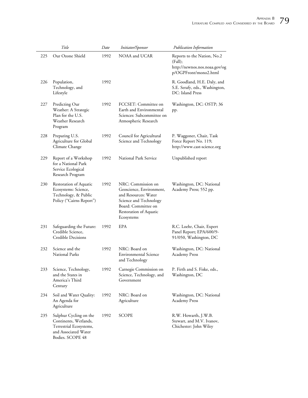| Title |                                                                                                                        | Date<br>Initiator/Sponsor |                                                                                                                                                                 | Publication Information                                                                          |  |
|-------|------------------------------------------------------------------------------------------------------------------------|---------------------------|-----------------------------------------------------------------------------------------------------------------------------------------------------------------|--------------------------------------------------------------------------------------------------|--|
| 225   | Our Ozone Shield                                                                                                       | 1992                      | NOAA and UCAR                                                                                                                                                   | Reports to the Nation, No.2<br>(Fall);<br>http://newnos.nos.noaa.gov/og<br>p/OGPFront/mono2.html |  |
| 226   | Population,<br>Technology, and<br>Lifestyle                                                                            | 1992                      |                                                                                                                                                                 | R. Goodland, H.E. Daly, and<br>S.E. Serafy, eds., Washington,<br>DC: Island Press                |  |
| 227   | Predicting Our<br>Weather: A Strategic<br>Plan for the U.S.<br>Weather Research<br>Program                             | 1992                      | FCCSET: Committee on<br>Earth and Environmental<br>Sciences: Subcommittee on<br>Atmospheric Research                                                            | Washington, DC: OSTP; 36<br>pp.                                                                  |  |
| 228   | Preparing U.S.<br>Agriculture for Global<br>Climate Change                                                             | 1992                      | Council for Agricultural<br>Science and Technology                                                                                                              | P. Waggoner, Chair, Task<br>Force Report No. 119;<br>http://www.cast-science.org                 |  |
| 229   | Report of a Workshop<br>for a National Park<br>Service Ecological<br>Research Program                                  | 1992                      | National Park Service                                                                                                                                           | Unpublished report                                                                               |  |
| 230   | Restoration of Aquatic<br>Ecosystems: Science,<br>Technology, & Public<br>Policy ("Cairns Report")                     | 1992                      | NRC: Commission on<br>Geoscience, Environment,<br>and Resources: Water<br>Science and Technology<br>Board: Committee on<br>Restoration of Aquatic<br>Ecosystems | Washington, DC: National<br>Academy Press; 552 pp.                                               |  |
| 231   | Safeguarding the Future:<br>Credible Science,<br>Credible Decisions                                                    | 1992                      | EPA                                                                                                                                                             | R.C. Loehr, Chair, Expert<br>Panel Report; EPA/600/9-<br>91/050, Washington, DC                  |  |
| 232   | Science and the<br><b>National Parks</b>                                                                               | 1992                      | NRC: Board on<br><b>Environmental Science</b><br>and Technology                                                                                                 | Washington, DC: National<br><b>Academy Press</b>                                                 |  |
| 233   | Science, Technology,<br>and the States in<br>America's Third<br>Century                                                | 1992                      | Carnegie Commission on<br>Science, Technology, and<br>Government                                                                                                | P. Firth and S. Fiske, eds.,<br>Washington, DC                                                   |  |
| 234   | Soil and Water Quality:<br>An Agenda for<br>Agriculture                                                                | 1992                      | NRC: Board on<br>Agriculture                                                                                                                                    | Washington, DC: National<br><b>Academy Press</b>                                                 |  |
| 235   | Sulphur Cycling on the<br>Continents, Wetlands,<br>Terrestrial Ecosystems,<br>and Associated Water<br>Bodies. SCOPE 48 | 1992                      | <b>SCOPE</b>                                                                                                                                                    | R.W. Howarth, J.W.B.<br>Stewart, and M.V. Ivanov,<br>Chichester: John Wiley                      |  |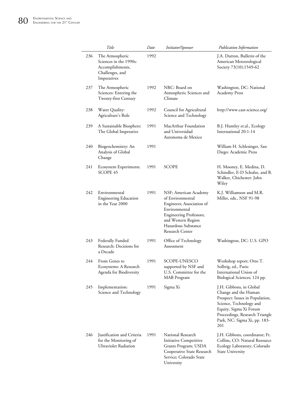|     | Title                                                                                           | Date | Initiator/Sponsor                                                                                                                                                                  | Publication Information                                                                                                                                                                                          |
|-----|-------------------------------------------------------------------------------------------------|------|------------------------------------------------------------------------------------------------------------------------------------------------------------------------------------|------------------------------------------------------------------------------------------------------------------------------------------------------------------------------------------------------------------|
| 236 | The Atmospheric<br>Sciences in the 1990s:<br>Accomplishments,<br>Challenges, and<br>Imperatives | 1992 |                                                                                                                                                                                    | J.A. Dutton, Bulletin of the<br>American Meteorological<br>Society 73(10):1549-62                                                                                                                                |
| 237 | The Atmospheric<br>Sciences: Entering the<br>Twenty-first Century                               | 1992 | NRC: Board on<br>Atmospheric Sciences and<br>Climate                                                                                                                               | Washington, DC: National<br><b>Academy Press</b>                                                                                                                                                                 |
| 238 | Water Quality:<br>Agriculture's Role                                                            | 1992 | Council for Agricultural<br>Science and Technology                                                                                                                                 | http://www.cast-science.org/                                                                                                                                                                                     |
| 239 | A Sustainable Biosphere:<br>The Global Imperative                                               | 1991 | MacArthur Foundation<br>and Universidad<br>Autonoma de Mexico                                                                                                                      | B.J. Huntley et.al., Ecology<br>International 20:1-14                                                                                                                                                            |
| 240 | Biogeochemistry: An<br>Analysis of Global<br>Change                                             | 1991 |                                                                                                                                                                                    | William H. Schlesinger, San<br>Diego: Academic Press                                                                                                                                                             |
| 241 | Ecosystem Experiments.<br>SCOPE 45                                                              | 1991 | SCOPE                                                                                                                                                                              | H. Mooney, E. Medina, D.<br>Schindler, E-D Schulze, and B.<br>Walker, Chichester: John<br>Wiley                                                                                                                  |
| 242 | Environmental<br><b>Engineering Education</b><br>in the Year 2000                               | 1991 | NSF; American Academy<br>of Environmental<br>Engineers; Association of<br>Environmental<br>Engineering Professors;<br>and Western Region<br>Hazardous Substance<br>Research Center | K.J. Williamson and M.R.<br>Miller, eds., NSF 91-98                                                                                                                                                              |
| 243 | Federally Funded<br>Research: Decisions for<br>a Decade                                         | 1991 | Office of Technology<br>Assessment                                                                                                                                                 | Washington, DC: U.S. GPO                                                                                                                                                                                         |
| 244 | From Genes to<br>Ecosystems: A Research<br>Agenda for Biodiversity                              | 1991 | SCOPE-UNESCO<br>supported by NSF and<br>U.S. Committee for the<br>MAB Program                                                                                                      | Workshop report; Otto T.<br>Solbrig, ed., Paris:<br>International Union of<br>Biological Sciences; 124 pp.                                                                                                       |
| 245 | Implementation:<br>Science and Technology                                                       | 1991 | Sigma Xi                                                                                                                                                                           | J.H. Gibbons, in Global<br>Change and the Human<br>Prospect: Issues in Population,<br>Science, Technology and<br>Equity, Sigma Xi Forum<br>Proceedings, Research Triangle<br>Park, NC: Sigma Xi, pp. 183-<br>201 |
| 246 | Justification and Criteria<br>for the Monitoring of<br>Ultraviolet Radiation                    | 1991 | National Research<br>Initiative Competitive<br>Grants Program; USDA<br>Cooperative State Research<br>Service; Colorado State<br>University                                         | J.H. Gibbons, coordinator; Ft.<br>Collins, CO: Natural Resource<br>Ecology Laboratory, Colorado<br><b>State University</b>                                                                                       |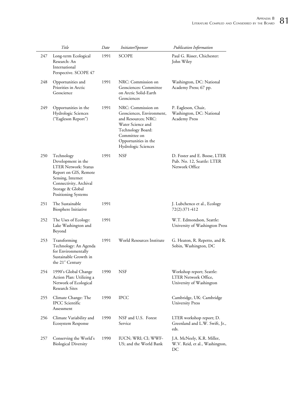|     | Title                                                                                                                                                                                     | Date | Initiator/Sponsor                                                                                                                                                               | Publication Information                                                       |
|-----|-------------------------------------------------------------------------------------------------------------------------------------------------------------------------------------------|------|---------------------------------------------------------------------------------------------------------------------------------------------------------------------------------|-------------------------------------------------------------------------------|
| 247 | Long-term Ecological<br>Research: An<br>International<br>Perspective. SCOPE 47                                                                                                            | 1991 | SCOPE                                                                                                                                                                           | Paul G. Risser, Chichester:<br>John Wiley                                     |
| 248 | Opportunities and<br>Priorities in Arctic<br>Geoscience                                                                                                                                   | 1991 | NRC: Commission on<br>Geosciences: Committee<br>on Arctic Solid-Earth<br>Geosciences                                                                                            | Washington, DC: National<br>Academy Press; 67 pp.                             |
| 249 | Opportunities in the<br>Hydrologic Sciences<br>("Eagleson Report")                                                                                                                        | 1991 | NRC: Commission on<br>Geosciences, Environment,<br>and Resources; NRC:<br>Water Science and<br>Technology Board:<br>Committee on<br>Opportunities in the<br>Hydrologic Sciences | P. Eagleson, Chair,<br>Washington, DC: National<br><b>Academy Press</b>       |
| 250 | Technology<br>Development in the<br><b>LTER Network: Status</b><br>Report on GIS, Remote<br>Sensing, Internet<br>Connectivity, Archival<br>Storage & Global<br><b>Positioning Systems</b> | 1991 | NSF                                                                                                                                                                             | D. Foster and E. Boose, LTER<br>Pub. No. 12, Seattle: LTER<br>Network Office  |
| 251 | The Sustainable<br><b>Biosphere Initiative</b>                                                                                                                                            | 1991 |                                                                                                                                                                                 | J. Lubchenco et al., Ecology<br>72(2):371-412                                 |
| 252 | The Uses of Ecology:<br>Lake Washington and<br>Beyond                                                                                                                                     | 1991 |                                                                                                                                                                                 | W.T. Edmondson, Seattle:<br>University of Washington Press                    |
| 253 | Transforming<br>Technology: An Agenda<br>for Environmentally<br>Sustainable Growth in<br>the 21 <sup>st</sup> Century                                                                     | 1991 | World Resources Institute                                                                                                                                                       | G. Heaton, R. Repetto, and R.<br>Sobin, Washington, DC                        |
| 254 | 1990's Global Change<br>Action Plan: Utilizing a<br>Network of Ecological<br><b>Research Sites</b>                                                                                        | 1990 | <b>NSF</b>                                                                                                                                                                      | Workshop report; Seattle:<br>LTER Network Office,<br>University of Washington |
| 255 | Climate Change: The<br><b>IPCC</b> Scientific<br>Assessment                                                                                                                               | 1990 | <b>IPCC</b>                                                                                                                                                                     | Cambridge, UK: Cambridge<br><b>University Press</b>                           |
| 256 | Climate Variability and<br>Ecosystem Response                                                                                                                                             | 1990 | NSF and U.S. Forest<br>Service                                                                                                                                                  | LTER workshop report; D.<br>Greenland and L.W. Swift, Jr.,<br>eds.            |
| 257 | Conserving the World's<br><b>Biological Diversity</b>                                                                                                                                     | 1990 | IUCN; WRI; CI; WWF-<br>US; and the World Bank                                                                                                                                   | J.A. McNeely, K.R. Miller,<br>W.V. Reid, et al., Washington,<br>DC            |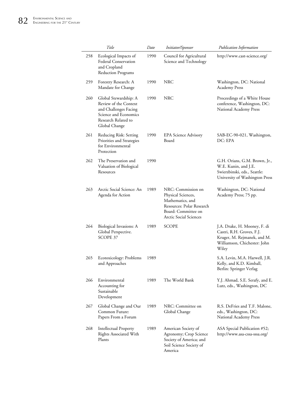|     | Title                                                                                                                                    | Date | Initiator/Sponsor                                                                                                                          | <b>Publication Information</b>                                                                                                    |
|-----|------------------------------------------------------------------------------------------------------------------------------------------|------|--------------------------------------------------------------------------------------------------------------------------------------------|-----------------------------------------------------------------------------------------------------------------------------------|
| 258 | Ecological Impacts of<br><b>Federal Conservation</b><br>and Cropland<br><b>Reduction Programs</b>                                        | 1990 | Council for Agricultural<br>Science and Technology                                                                                         | http://www.cast-science.org/                                                                                                      |
| 259 | Forestry Research: A<br>Mandate for Change                                                                                               | 1990 | <b>NRC</b>                                                                                                                                 | Washington, DC: National<br><b>Academy Press</b>                                                                                  |
| 260 | Global Stewardship: A<br>Review of the Context<br>and Challenges Facing<br>Science and Economics<br>Research Related to<br>Global Change | 1990 | <b>NRC</b>                                                                                                                                 | Proceedings of a White House<br>conference, Washington, DC:<br>National Academy Press                                             |
| 261 | Reducing Risk: Setting<br>Priorities and Strategies<br>for Environmental<br>Protection                                                   | 1990 | <b>EPA Science Advisory</b><br>Board                                                                                                       | SAB-EC-90-021, Washington,<br>DC: EPA                                                                                             |
| 262 | The Preservation and<br>Valuation of Biological<br>Resources                                                                             | 1990 |                                                                                                                                            | G.H. Orians, G.M. Brown, Jr.,<br>W.E. Kunin, and J.E.<br>Swierzbinski, eds., Seattle:<br>University of Washington Press           |
| 263 | Arctic Social Science: An<br>Agenda for Action                                                                                           | 1989 | NRC: Commission on<br>Physical Sciences,<br>Mathematics, and<br>Resources: Polar Research<br>Board: Committee on<br>Arctic Social Sciences | Washington, DC: National<br>Academy Press; 75 pp.                                                                                 |
| 264 | Biological Invasions: A<br>Global Perspective.<br>SCOPE 37                                                                               | 1989 | <b>SCOPE</b>                                                                                                                               | J.A. Drake, H. Mooney, F. di<br>Castri, R.H. Groves, F.J.<br>Kruger, M. Rejmanek, and M.<br>Williamson, Chichester: John<br>Wiley |
| 265 | Ecotoxicology: Problems<br>and Approaches                                                                                                | 1989 |                                                                                                                                            | S.A. Levin, M.A. Harwell, J.R.<br>Kelly, and K.D. Kimball,<br>Berlin: Springer Verlag                                             |
| 266 | Environmental<br>Accounting for<br>Sustainable<br>Development                                                                            | 1989 | The World Bank                                                                                                                             | Y.J. Ahmad, S.E. Serafy, and E.<br>Lutz, eds., Washington, DC                                                                     |
| 267 | Global Change and Our<br>Common Future:<br>Papers From a Forum                                                                           | 1989 | NRC: Committee on<br>Global Change                                                                                                         | R.S. DeFries and T.F. Malone,<br>eds., Washington, DC:<br>National Academy Press                                                  |
| 268 | <b>Intellectual Property</b><br><b>Rights Associated With</b><br>Plants                                                                  | 1989 | American Society of<br>Agronomy; Crop Science<br>Society of America; and<br>Soil Science Society of<br>America                             | ASA Special Publication #52;<br>http://www.asa-cssa-sssa.org/                                                                     |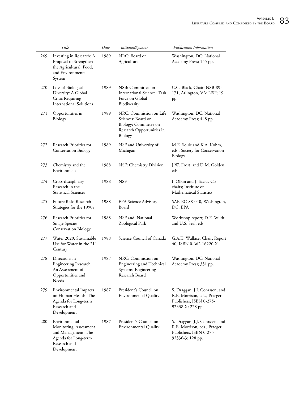|     | Title                                                                                                                 | Date | Initiator/Sponsor                                                                                              | Publication Information                                                                                       |
|-----|-----------------------------------------------------------------------------------------------------------------------|------|----------------------------------------------------------------------------------------------------------------|---------------------------------------------------------------------------------------------------------------|
| 269 | Investing in Research: A<br>Proposal to Strengthen<br>the Agricultural, Food,<br>and Environmental<br>System          | 1989 | NRC: Board on<br>Agriculture                                                                                   | Washington, DC: National<br>Academy Press; 155 pp.                                                            |
| 270 | Loss of Biological<br>Diversity: A Global<br>Crisis Requiring<br><b>International Solutions</b>                       | 1989 | NSB: Committee on<br><b>International Science: Task</b><br>Force on Global<br>Biodiversity                     | C.C. Black, Chair; NSB-89-<br>171, Arlington, VA: NSF; 19<br>pp.                                              |
| 271 | Opportunities in<br>Biology                                                                                           | 1989 | NRC: Commission on Life<br>Sciences: Board on<br>Biology: Committee on<br>Research Opportunities in<br>Biology | Washington, DC: National<br>Academy Press; 448 pp.                                                            |
| 272 | Research Priorities for<br><b>Conservation Biology</b>                                                                | 1989 | NSF and University of<br>Michigan                                                                              | M.E. Soule and K.A. Kohm,<br>eds.; Society for Conservation<br>Biology                                        |
| 273 | Chemistry and the<br>Environment                                                                                      | 1988 | NSF: Chemistry Division                                                                                        | J.W. Frost, and D.M. Golden,<br>eds.                                                                          |
| 274 | Cross-disciplinary<br>Research in the<br><b>Statistical Sciences</b>                                                  | 1988 | NSF                                                                                                            | I. Olkin and J. Sacks, Co-<br>chairs; Institute of<br><b>Mathematical Statistics</b>                          |
| 275 | Future Risk: Research<br>Strategies for the 1990s                                                                     | 1988 | <b>EPA Science Advisory</b><br>Board                                                                           | SAB-EC-88-040, Washington,<br>DC: EPA                                                                         |
| 276 | Research Priorities for<br>Single Species<br><b>Conservation Biology</b>                                              | 1988 | NSF and National<br>Zoological Park                                                                            | Workshop report; D.E. Wildt<br>and U.S. Seal, eds.                                                            |
| 277 | Water 2020: Sustainable<br>Use for Water in the $21*$<br>Century                                                      | 1988 | Science Council of Canada                                                                                      | G.A.K. Wallace, Chair; Report<br>40; ISBN 0-662-16220-X                                                       |
| 278 | Directions in<br>Engineering Research:<br>An Assessment of<br>Opportunities and<br>Needs                              | 1987 | NRC: Commission on<br>Engineering and Technical<br>Systems: Engineering<br>Research Board                      | Washington, DC: National<br>Academy Press; 331 pp.                                                            |
| 279 | Environmental Impacts<br>on Human Health: The<br>Agenda for Long-term<br>Research and<br>Development                  | 1987 | President's Council on<br>Environmental Quality                                                                | S. Draggan, J.J. Cohrssen, and<br>R.E. Morrison, eds., Praeger<br>Publishers, ISBN 0-275-<br>92338-X; 228 pp. |
| 280 | Environmental<br>Monitoring, Assessment<br>and Management: The<br>Agenda for Long-term<br>Research and<br>Development | 1987 | President's Council on<br><b>Environmental Quality</b>                                                         | S. Draggan, J.J. Cohrssen, and<br>R.E. Morrison, eds., Praeger<br>Publishers, ISBN 0-275-<br>92336-3; 128 pp. |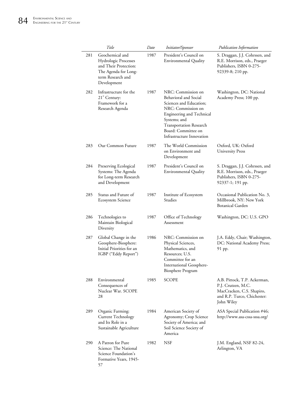|     | Title                                                                                                                        | Date | Initiator/Sponsor                                                                                                                                                                                                               | Publication Information                                                                                                      |
|-----|------------------------------------------------------------------------------------------------------------------------------|------|---------------------------------------------------------------------------------------------------------------------------------------------------------------------------------------------------------------------------------|------------------------------------------------------------------------------------------------------------------------------|
| 281 | Geochemical and<br>Hydrologic Processes<br>and Their Protection:<br>The Agenda for Long-<br>term Research and<br>Development | 1987 | President's Council on<br><b>Environmental Quality</b>                                                                                                                                                                          | S. Draggan, J.J. Cohrssen, and<br>R.E. Morrison, eds., Praeger<br>Publishers, ISBN 0-275-<br>92339-8; 210 pp.                |
| 282 | Infrastructure for the<br>21 <sup>st</sup> Century:<br>Framework for a<br>Research Agenda                                    | 1987 | NRC: Commission on<br>Behavioral and Social<br>Sciences and Education;<br>NRC: Commission on<br>Engineering and Technical<br>Systems; and<br><b>Transportation Research</b><br>Board: Committee on<br>Infrastructure Innovation | Washington, DC: National<br>Academy Press; 100 pp.                                                                           |
| 283 | Our Common Future                                                                                                            | 1987 | The World Commission<br>on Environment and<br>Development                                                                                                                                                                       | Oxford, UK: Oxford<br><b>University Press</b>                                                                                |
| 284 | Preserving Ecological<br>Systems: The Agenda<br>for Long-term Research<br>and Development                                    | 1987 | President's Council on<br><b>Environmental Quality</b>                                                                                                                                                                          | S. Draggan, J.J. Cohrssen, and<br>R.E. Morrison, eds., Praeger<br>Publishers, ISBN 0-275-<br>92337-1; 191 pp.                |
| 285 | Status and Future of<br>Ecosystem Science                                                                                    | 1987 | Institute of Ecosystem<br>Studies                                                                                                                                                                                               | Occasional Publication No. 3,<br>Millbrook, NY: New York<br><b>Botanical Garden</b>                                          |
| 286 | Technologies to<br>Maintain Biological<br>Diversity                                                                          | 1987 | Office of Technology<br>Assessment                                                                                                                                                                                              | Washington, DC: U.S. GPO                                                                                                     |
| 287 | Global Change in the<br>Geosphere-Biosphere:<br>Initial Priorities for an<br>IGBP ("Eddy Report")                            | 1986 | NRC: Commission on<br>Physical Sciences,<br>Mathematics, and<br>Resources; U.S.<br>Committee for an<br>International Geosphere-<br><b>Biosphere Program</b>                                                                     | J.A. Eddy, Chair; Washington,<br>DC: National Academy Press;<br>91 pp.                                                       |
| 288 | Environmental<br>Consequences of<br>Nuclear War. SCOPE<br>28                                                                 | 1985 | SCOPE                                                                                                                                                                                                                           | A.B. Pittock, T.P. Ackerman,<br>P.J. Crutzen, M.C.<br>MacCracken, C.S. Shapiro,<br>and R.P. Turco, Chichester:<br>John Wiley |
| 289 | Organic Farming:<br>Current Technology<br>and Its Role in a<br>Sustainable Agriculture                                       | 1984 | American Society of<br>Agronomy; Crop Science<br>Society of America; and<br>Soil Science Society of<br>America                                                                                                                  | ASA Special Publication #46;<br>http://www.asa-cssa-sssa.org/                                                                |
| 290 | A Patron for Pure<br>Science: The National<br>Science Foundation's<br>Formative Years, 1945-<br>57                           | 1982 | NSF                                                                                                                                                                                                                             | J.M. England, NSF 82-24,<br>Arlington, VA                                                                                    |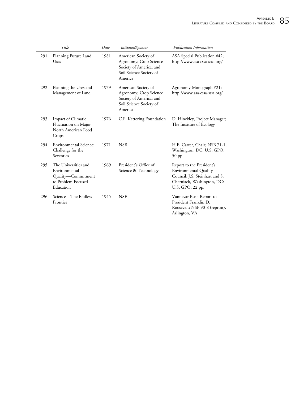|     | Title                                                                                          | Date | Initiator/Sponsor                                                                                              | Publication Information                                                                                                                       |
|-----|------------------------------------------------------------------------------------------------|------|----------------------------------------------------------------------------------------------------------------|-----------------------------------------------------------------------------------------------------------------------------------------------|
| 291 | Planning Future Land<br>Uses                                                                   | 1981 | American Society of<br>Agronomy; Crop Science<br>Society of America; and<br>Soil Science Society of<br>America | ASA Special Publication #42;<br>http://www.asa-cssa-sssa.org/                                                                                 |
| 292 | Planning the Uses and<br>Management of Land                                                    | 1979 | American Society of<br>Agronomy; Crop Science<br>Society of America; and<br>Soil Science Society of<br>America | Agronomy Monograph #21;<br>http://www.asa-cssa-sssa.org/                                                                                      |
| 293 | Impact of Climatic<br>Fluctuation on Major<br>North American Food<br>Crops                     | 1976 | C.F. Kettering Foundation                                                                                      | D. Hinckley, Project Manager;<br>The Institute of Ecology                                                                                     |
| 294 | Environmental Science:<br>Challenge for the<br>Seventies                                       | 1971 | <b>NSB</b>                                                                                                     | H.E. Carter, Chair; NSB 71-1,<br>Washington, DC: U.S. GPO,<br>50 pp.                                                                          |
| 295 | The Universities and<br>Environmental<br>Quality-Commitment<br>to Problem Focused<br>Education | 1969 | President's Office of<br>Science & Technology                                                                  | Report to the President's<br><b>Environmental Quality</b><br>Council; J.S. Steinhart and S.<br>Cherniack, Washington, DC:<br>U.S. GPO; 22 pp. |
| 296 | Science—The Endless<br>Frontier                                                                | 1945 | <b>NSF</b>                                                                                                     | Vannevar Bush Report to<br>President Franklin D.<br>Roosevelt; NSF 90-8 (reprint),<br>Arlington, VA                                           |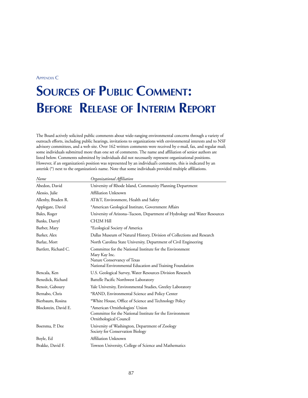### APPENDIX C

# **SOURCES OF PUBLIC COMMENT: BEFORE RELEASE OF INTERIM REPORT**

The Board actively solicited public comments about wide-ranging environmental concerns through a variety of outreach efforts, including public hearings, invitations to organizations with environmental interests and to NSF advisory committees, and a web site. Over 162 written comments were received by e-mail, fax, and regular mail; some individuals submitted more than one set of comments. The name and affiliation of senior authors are listed below. Comments submitted by individuals did not necessarily represent organizational positions. However, if an organization's position was represented by an individual's comments, this is indicated by an asterisk (\*) next to the organization's name. Note that some individuals provided multiple affiliations.

| Name                 | Organizational Affiliation                                                                                                                                           |
|----------------------|----------------------------------------------------------------------------------------------------------------------------------------------------------------------|
| Abedon, David        | University of Rhode Island, Community Planning Department                                                                                                            |
| Alessio, Julie       | Affiliation Unknown                                                                                                                                                  |
| Allenby, Braden R.   | AT&T, Environment, Health and Safety                                                                                                                                 |
| Applegate, David     | *American Geological Institute, Government Affairs                                                                                                                   |
| Bales, Roger         | University of Arizona–Tucson, Department of Hydrology and Water Resources                                                                                            |
| Banks, Darryl        | CH <sub>2</sub> M Hill                                                                                                                                               |
| Barber, Mary         | *Ecological Society of America                                                                                                                                       |
| Barker, Alex         | Dallas Museum of Natural History, Division of Collections and Research                                                                                               |
| Barlaz, Mort         | North Carolina State University, Department of Civil Engineering                                                                                                     |
| Bartlett, Richard C. | Committee for the National Institute for the Environment<br>Mary Kay Inc.<br>Nature Conservancy of Texas<br>National Environmental Education and Training Foundation |
| Bencala, Ken         | U.S. Geological Survey, Water Resources Division Research                                                                                                            |
| Benedick, Richard    | Battelle Pacific Northwest Laboratory                                                                                                                                |
| Benoit, Gaboury      | Yale University, Environmental Studies, Greeley Laboratory                                                                                                           |
| Bernabo, Chris       | *RAND, Environmental Science and Policy Center                                                                                                                       |
| Bierbaum, Rosina     | *White House, Office of Science and Technology Policy                                                                                                                |
| Blockstein, David E. | *American Ornithologists' Union<br>Committee for the National Institute for the Environment<br>Ornithological Council                                                |
| Boersma, P. Dee      | University of Washington, Department of Zoology<br>Society for Conservation Biology                                                                                  |
| Boyle, Ed            | Affiliation Unknown                                                                                                                                                  |
| Brakke, David F.     | Towson University, College of Science and Mathematics                                                                                                                |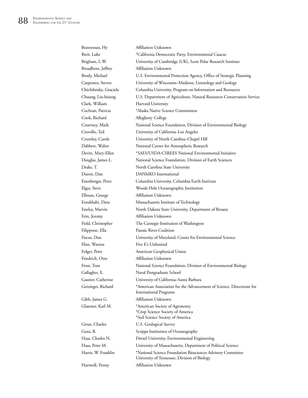Braverman, Hy Affiliation Unknown Breit, Luke \*California Democratic Party, Environmental Caucus Brigham, L.W. University of Cambridge (UK), Scott Polar Research Institute Broadbent, Jeffrey Affiliation Unknown Brody, Michael U.S. Environmental Protection Agency, Office of Strategic Planning Carpenter, Steven University of Wisconsin–Madison, Limnology and Geology Chichilnisky, Graciela Columbia University, Program on Information and Resources Chuang, Liu-hsiung U.S. Department of Agriculture, Natural Resources Conservation Service Clark, William Harvard University Cochran, Patricia \*Alaska Native Science Commission Cook, Richard Allegheny College Courtney, Mark National Science Foundation, Division of Environmental Biology Crovello, Ted University of California–Los Angeles Crumley, Carole University of North Carolina–Chapel Hill Dabbert, Walter National Center for Atmospheric Research Devitt, Mary-Ellen \*SAES/USDA-CSREES National Environmental Initiative Douglas, James L. National Science Foundation, Division of Earth Sciences Drake, T. North Carolina State University Durett, Dan DANhIKO International Eisenberger, Peter Columbia University, Columbia Earth Institute Elgar, Steve Woods Hole Oceanographic Institution Ellman, George Affiliation Unknown Entekhabi, Dara Massachusetts Institute of Technology Fawley, Marvin North Dakota State University, Department of Botany Fein, Jeremy **Affiliation Unknown** Field, Christopher The Carnegie Institution of Washington Filippone, Ella Passaic River Coalition Fiscus, Dan University of Maryland, Center for Environmental Science Flint, Warren Five E's Unlimited Folger, Peter **American Geophysical Union** Friedrich, Otto Affiliation Unknown Frost, Tom National Science Foundation, Division of Environmental Biology Gallagher, E. Naval Postgraduate School Gautier, Catherine University of California–Santa Barbara Getzinger, Richard \*American Association for the Advancement of Science, Directorate for International Programs Gibb, James G. Affiliation Unknown Glasener, Karl M. \*\* American Society of Agronomy \*Crop Science Society of America \*Soil Science Society of America Groat, Charles U.S. Geological Survey Guza, R. Scripps Institution of Oceanography Haas, Charles N. Drexel University, Environmental Engineering Haas, Peter M. University of Massachusetts, Department of Political Science Harris, W. Franklin \*National Science Foundation Biosciences Advisory Committee University of Tennessee, Division of Biology Hartwell, Penny Affiliation Unknown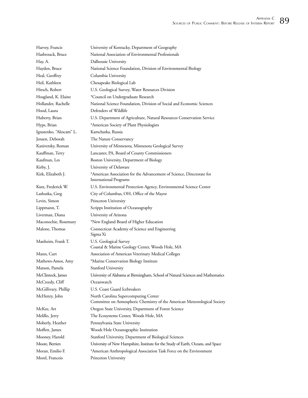| Harvey, Francis         | University of Kentucky, Department of Geography                                                                   |
|-------------------------|-------------------------------------------------------------------------------------------------------------------|
| Hasbrouck, Bruce        | National Association of Environmental Professionals                                                               |
| Hay, A.                 | Dalhousie University                                                                                              |
| Hayden, Bruce           | National Science Foundation, Division of Environmental Biology                                                    |
| Heal, Geoffrey          | Columbia University                                                                                               |
| Heil, Kathleen          | Chesapeake Biological Lab                                                                                         |
| Hirsch, Robert          | U.S. Geological Survey, Water Resources Division                                                                  |
| Hoagland, K. Elaine     | *Council on Undergraduate Research                                                                                |
| Hollander, Rachelle     | National Science Foundation, Division of Social and Economic Sciences                                             |
| Hood, Laura             | Defenders of Wildlife                                                                                             |
| Huberty, Brian          | U.S. Department of Agriculture, Natural Resources Conservation Service                                            |
| Hyps, Brian             | *American Society of Plant Physiologists                                                                          |
| Ignatenko, "Alescam" L. | Kamchatka, Russia                                                                                                 |
| Jensen, Deborah         | The Nature Conservancy                                                                                            |
| Kanivetsky, Roman       | University of Minnesota, Minnesota Geological Survey                                                              |
| Kauffman, Terry         | Lancaster, PA, Board of County Commissioners                                                                      |
| Kaufman, Les            | Boston University, Department of Biology                                                                          |
| Kirby, J.               | University of Delaware                                                                                            |
| Kirk, Elizabeth J.      | *American Association for the Advancement of Science, Directorate for<br><b>International Programs</b>            |
| Kutz, Frederick W.      | U.S. Environmental Protection Agency, Environmental Science Center                                                |
| Lashutka, Greg          | City of Columbus, OH, Office of the Mayor                                                                         |
| Levin, Simon            | Princeton University                                                                                              |
| Lippmann, T.            | Scripps Institution of Oceanography                                                                               |
| Liverman, Diana         | University of Arizona                                                                                             |
| Maconochie, Rosemary    | *New England Board of Higher Education                                                                            |
| Malone, Thomas          | Connecticut Academy of Science and Engineering<br>Sigma Xi                                                        |
| Manheim, Frank T.       | U.S. Geological Survey<br>Coastal & Marine Geology Center, Woods Hole, MA                                         |
| Mann, Curt              | Association of American Veterinary Medical Colleges                                                               |
| Mathews-Amos, Amy       | *Marine Conservation Biology Institute                                                                            |
| Matson, Pamela          | Stanford University                                                                                               |
| McClintock, James       | University of Alabama at Birmingham, School of Natural Sciences and Mathematics                                   |
| McCreedy, Cliff         | Oceanwatch                                                                                                        |
| McGillivary, Phillip    | U.S. Coast Guard Icebreakers                                                                                      |
| McHenry, John           | North Carolina Supercomputing Center<br>Committee on Atmospheric Chemistry of the American Meteorological Society |
| McKee, Art              | Oregon State University, Department of Forest Science                                                             |
| Melillo, Jerry          | The Ecosystems Center, Woods Hole, MA                                                                             |
| Moberly, Heather        | Pennsylvania State University                                                                                     |
| Moffett, James          | Woods Hole Oceanographic Institution                                                                              |
| Mooney, Harold          | Stanford University, Department of Biological Sciences                                                            |
| Moore, Berrien          | University of New Hampshire, Institute for the Study of Earth, Oceans, and Space                                  |
| Moran, Emilio F.        | *American Anthropological Association Task Force on the Environment                                               |
| Morel, Francois         | Princeton University                                                                                              |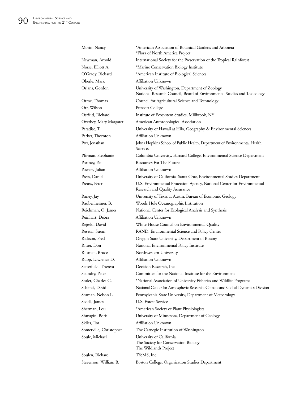| Morin, Nancy            | *American Association of Botanical Gardens and Arboreta<br>*Flora of North America Project                                  |
|-------------------------|-----------------------------------------------------------------------------------------------------------------------------|
| Newman, Arnold          | International Society for the Preservation of the Tropical Rainforest                                                       |
| Norse, Elliott A.       | *Marine Conservation Biology Institute                                                                                      |
| O'Grady, Richard        | *American Institute of Biological Sciences                                                                                  |
| Oberle, Mark            | Affiliation Unknown                                                                                                         |
| Orians, Gordon          | University of Washington, Department of Zoology<br>National Research Council, Board of Environmental Studies and Toxicology |
| Orme, Thomas            | Council for Agricultural Science and Technology                                                                             |
| Orr, Wilson             | Prescott College                                                                                                            |
| Ostfeld, Richard        | Institute of Ecosystem Studies, Millbrook, NY                                                                               |
| Overbey, Mary Margaret  | American Anthropological Association                                                                                        |
| Paradise, T.            | University of Hawaii at Hilo, Geography & Environmental Sciences                                                            |
| Parker, Thornton        | Affiliation Unknown                                                                                                         |
| Patz, Jonathan          | Johns Hopkins School of Public Health, Department of Environmental Health<br>Sciences                                       |
| Pfirman, Stephanie      | Columbia University, Barnard College, Environmental Science Department                                                      |
| Portney, Paul           | Resources For The Future                                                                                                    |
| Powers, Julian          | Affiliation Unknown                                                                                                         |
| Press, Daniel           | University of California–Santa Cruz, Environmental Studies Department                                                       |
| Preuss, Peter           | U.S. Environmental Protection Agency, National Center for Environmental<br>Research and Quality Assurance                   |
| Raney, Jay              | University of Texas at Austin, Bureau of Economic Geology                                                                   |
| Raubenheimer, B.        | Woods Hole Oceanographic Institution                                                                                        |
| Reichman, O. James      | National Center for Ecological Analysis and Synthesis                                                                       |
| Reinhart, Debra         | Affiliation Unknown                                                                                                         |
| Rejeski, David          | White House Council on Environmental Quality                                                                                |
| Resetar, Susan          | RAND, Environmental Science and Policy Center                                                                               |
| Rickson, Fred           | Oregon State University, Department of Botany                                                                               |
| Ritter, Don             | National Environmental Policy Institute                                                                                     |
| Rittman, Bruce          | Northwestern University                                                                                                     |
| Rupp, Lawrence D.       | Affiliation Unknown                                                                                                         |
| Satterfield, Theresa    | Decision Research, Inc.                                                                                                     |
| Saundry, Peter          | Committee for the National Institute for the Environment                                                                    |
| Scalet, Charles G.      | *National Association of University Fisheries and Wildlife Programs                                                         |
| Schimel, David          | National Center for Atmospheric Research, Climate and Global Dynamics Division                                              |
| Seaman, Nelson L.       | Pennsylvania State University, Department of Meteorology                                                                    |
| Sedell, James           | U.S. Forest Service                                                                                                         |
| Sherman, Lou            | *American Society of Plant Physiologists                                                                                    |
| Shmagin, Boris          | University of Minnesota, Department of Geology                                                                              |
| Skiles, Jim             | Affiliation Unknown                                                                                                         |
| Somerville, Christopher | The Carnegie Institution of Washington                                                                                      |
| Soule, Michael          | University of California<br>The Society for Conservation Biology<br>The Wildlands Project                                   |
| Soulen, Richard         | T&MS, Inc.                                                                                                                  |
| Stevenson, William B.   | Boston College, Organization Studies Department                                                                             |
|                         |                                                                                                                             |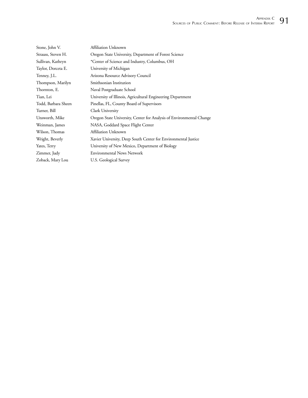| Stone, John V.      | Affiliation Unknown                                                  |
|---------------------|----------------------------------------------------------------------|
| Strauss, Steven H.  | Oregon State University, Department of Forest Science                |
| Sullivan, Kathryn   | *Center of Science and Industry, Columbus, OH                        |
| Taylor, Dorceta E.  | University of Michigan                                               |
| Tenney, J.L.        | Arizona Resource Advisory Council                                    |
| Thompson, Marilyn   | Smithsonian Institution                                              |
| Thornton, E.        | Naval Postgraduate School                                            |
| Tian, Lei           | University of Illinois, Agricultural Engineering Department          |
| Todd, Barbara Sheen | Pinellas, FL, County Board of Supervisors                            |
| Turner, Bill        | Clark University                                                     |
| Unsworth, Mike      | Oregon State University, Center for Analysis of Environmental Change |
| Weinman, James      | NASA, Goddard Space Flight Center                                    |
| Wilson, Thomas      | Affiliation Unknown                                                  |
| Wright, Beverly     | Xavier University, Deep South Center for Environmental Justice       |
| Yates, Terry        | University of New Mexico, Department of Biology                      |
| Zimmer, Judy        | <b>Environmental News Network</b>                                    |
| Zoback, Mary Lou    | U.S. Geological Survey                                               |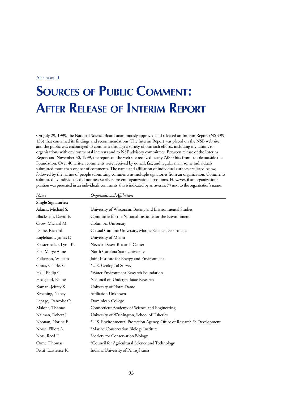## APPENDIX D

## **SOURCES OF PUBLIC COMMENT: AFTER RELEASE OF INTERIM REPORT**

On July 29, 1999, the National Science Board unanimously approved and released an Interim Report (NSB 99- 133) that contained its findings and recommendations. The Interim Report was placed on the NSB web site, and the public was encouraged to comment through a variety of outreach efforts, including invitations to organizations with environmental interests and to NSF advisory committees. Between release of the Interim Report and November 30, 1999, the report on the web site received nearly 7,000 hits from people outside the Foundation. Over 40 written comments were received by e-mail, fax, and regular mail; some individuals submitted more than one set of comments. The name and affiliation of individual authors are listed below, followed by the names of people submitting comments as multiple signatories from an organization. Comments submitted by individuals did not necessarily represent organizational positions. However, if an organization's position was presented in an individual's comments, this is indicated by an asterisk (\*) next to the organization's name.

| Name                  | Organizational Affiliation                                              |
|-----------------------|-------------------------------------------------------------------------|
| Single Signatories:   |                                                                         |
| Adams, Michael S.     | University of Wisconsin, Botany and Environmental Studies               |
| Blockstein, David E.  | Committee for the National Institute for the Environment                |
| Crow, Michael M.      | Columbia University                                                     |
| Dame, Richard         | Coastal Carolina University, Marine Science Department                  |
| Englehardt, James D.  | University of Miami                                                     |
| Fenstermaker, Lynn K. | Nevada Desert Research Center                                           |
| Fox, Marye Anne       | North Carolina State University                                         |
| Fulkerson, William    | Joint Institute for Energy and Environment                              |
| Groat, Charles G.     | *U.S. Geological Survey                                                 |
| Hall, Philip G.       | *Water Environment Research Foundation                                  |
| Hoagland, Elaine      | *Council on Undergraduate Research                                      |
| Kaman, Jeffrey S.     | University of Notre Dame                                                |
| Kroening, Nancy       | Affiliation Unknown                                                     |
| Lepage, Francoise O.  | Dominican College                                                       |
| Malone, Thomas        | Connecticut Academy of Science and Engineering                          |
| Naiman, Robert J.     | University of Washington, School of Fisheries                           |
| Noonan, Norine E.     | *U.S. Environmental Protection Agency, Office of Research & Development |
| Norse, Elliott A.     | *Marine Conservation Biology Institute                                  |
| Noss, Reed F.         | *Society for Conservation Biology                                       |
| Orme, Thomas          | *Council for Agricultural Science and Technology                        |
| Pettit, Lawrence K.   | Indiana University of Pennsylvania                                      |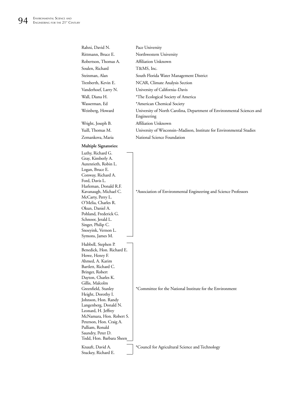| Rahni, David N.      | Pace University                                                                       |
|----------------------|---------------------------------------------------------------------------------------|
| Rittmann, Bruce E.   | Northwestern University                                                               |
| Robertson, Thomas A. | Affiliation Unknown                                                                   |
| Soulen, Richard      | T&MS, Inc.                                                                            |
| Steinman, Alan       | South Florida Water Management District                                               |
| Trenberth, Kevin E.  | NCAR, Climate Analysis Section                                                        |
| Vanderhoef, Larry N. | University of California–Davis                                                        |
| Wall, Diana H.       | *The Ecological Society of America                                                    |
| Wasserman, Ed        | *American Chemical Society                                                            |
| Weinberg, Howard     | University of North Carolina, Department of Environmental Sciences and<br>Engineering |
| Wright, Joseph B.    | Affiliation Unknown                                                                   |
| Yuill, Thomas M.     | University of Wisconsin–Madison, Institute for Environmental Studies                  |
| Zemankova, Maria     | National Science Foundation                                                           |
|                      |                                                                                       |

**Multiple Signatories:**

Luthy, Richard G. Gray, Kimberly A. Autenrieth, Robin L. Logan, Bruce E. Conway, Richard A. Ford, Davis L. Harleman, Donald R.F. McCarty, Perry L. O'Melia, Charles R. Okun, Daniel A. Pohland, Frederick G. Schnoor, Jerald L. Singer, Philip C. Snoeyink, Vernon L. Symons, James M. Hubbell, Stephen P. Benedick, Hon. Richard E. Howe, Henry F. Ahmed, A. Karim Bartlett, Richard C. Bringer, Robert Dayton, Charles K. Gillis, Malcolm Height, Dorothy I. Johnson, Hon. Randy Langenberg, Donald N. Leonard, H. Jeffrey McNamara, Hon. Robert S. Peterson, Hon. Craig A. Pulliam, Ronald Saundry, Peter D. Todd, Hon. Barbara Sheen

Stuckey, Richard E.

Kavanaugh, Michael C. | \*Association of Environmental Engineering and Science Professors

Greenfield, Stanley **\*Committee for the National Institute for the Environment** 

Knauft, David A. <sup>\*</sup>Council for Agricultural Science and Technology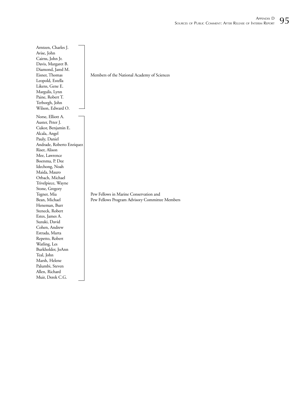Arntzen, Charles J. Avise, John Cairns, John Jr. Davis, Margaret B. Diamond, Jared M. Eisner, Thomas Members of the National Academy of Sciences Leopold, Estella Likens, Gene E. Margulis, Lynn Paine, Robert T. Terborgh, John Wilson, Edward O. Norse, Elliott A. Auster, Peter J. Cukor, Benjamin E. Alcala, Angel Pauly, Daniel Andrade, Roberto Enriquez Riser, Alison Mee, Lawrence Boersma, P. Dee Idechong, Noah Maida, Mauro Orbach, Michael Trivelpiece, Wayne Stone, Gregory Tegner, Mia Pew Fellows in Marine Conservation and Bean, Michael Pew Fellows Program Advisory Committee Members Heneman, Burr Steneck, Robert Estes, James A. Suzuki, David Cohen, Andrew Estrada, Marta Repetto, Robert Watling, Les Burkholder, JoAnn Teal, John Marsh, Helene Palumbi, Steven Allen, Richard Muir, Derek C.G.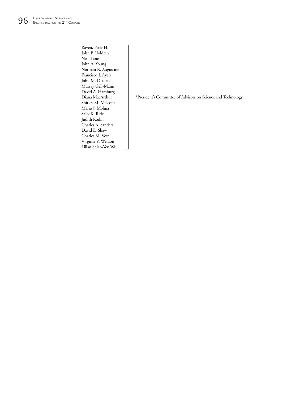Raven, Peter H. John P. Holdren Neal Lane John A. Young Norman R. Augustine Francisco J. Ayala John M. Deutch Murray Gell-Mann David A. Hamburg Shirley M. Malcom Mario J. Molina Sally K. Ride Judith Rodin Charles A. Sanders David E. Shaw Charles M. Vest Virginia V. Weldon Lilian Shiao-Yen Wu

\*President's Committee of Advisors on Science and Technology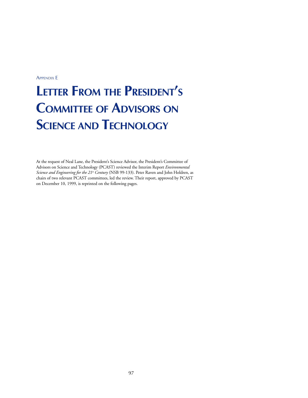APPENDIX E

# **LETTER FROM THE PRESIDENT'S COMMITTEE OF ADVISORS ON SCIENCE AND TECHNOLOGY**

At the request of Neal Lane, the President's Science Advisor, the President's Committee of Advisors on Science and Technology (PCAST) reviewed the Interim Report *Environmental Science and Engineering for the 21<sup>st</sup> Century* (NSB 99-133). Peter Raven and John Holdren, as chairs of two relevant PCAST committees, led the review. Their report, approved by PCAST on December 10, 1999, is reprinted on the following pages.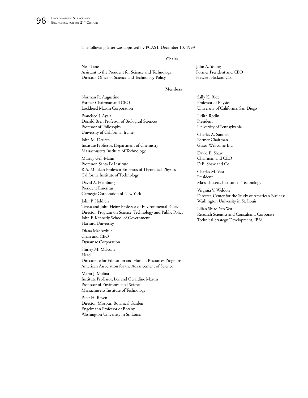The following letter was approved by PCAST, December 10, 1999

### **Chairs**

Neal Lane John A. Young Assistant to the President for Science and Technology Former President and CEO Director, Office of Science and Technology Policy Hewlett-Packard Co.

### **Members**

Norman R. Augustine Former Chairman and CEO Lockheed Martin Corporation

Francisco J. Ayala Donald Bren Professor of Biological Sciences Professor of Philosophy University of California, Irvine

John M. Deutch Institute Professor, Department of Chemistry Massachusetts Institute of Technology

Murray Gell-Mann Professor, Santa Fe Institute R.A. Millikan Professor Emeritus of Theoretical Physics California Institute of Technology

David A. Hamburg President Emeritus Carnegie Corporation of New York

John P. Holdren Teresa and John Heinz Professor of Environmental Policy Director, Program on Science, Technology and Public Policy John F. Kennedy School of Government Harvard University

Diana MacArthur Chair and CEO Dynamac Corporation

Shirley M. Malcom Head Directorate for Education and Human Resources Programs

American Association for the Advancement of Science

Mario J. Molina Institute Professor, Lee and Geraldine Martin Professor of Environmental Science Massachusetts Institute of Technology

Peter H. Raven Director, Missouri Botanical Garden Engelmann Professor of Botany Washington University in St. Louis

Sally K. Ride Professor of Physics University of California, San Diego

Judith Rodin President University of Pennsylvania

Charles A. Sanders Former Chairman Glaxo-Wellcome Inc.

David E. Shaw Chairman and CEO D.E. Shaw and Co.

Charles M. Vest President Massachusetts Institute of Technology

Virginia V. Weldon Directer, Center for the Study of American Business Washington University in St. Louis

Lilian Shiao-Yen Wu Research Scientist and Consultant, Corporate Technical Strategy Development, IBM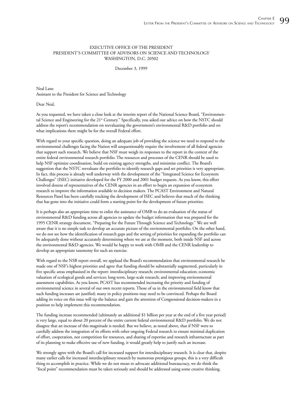### EXECUTIVE OFFICE OF THE PRESIDENT PRESIDENT'S COMMITTEE OF ADVISORS ON SCIENCE AND TECHNOLOGY WASHINGTON, D.C. 20502

December 3, 1999

Neal Lane Assistant to the President for Science and Technology

#### Dear Neal,

As you requested, we have taken a close look at the interim report of the National Science Board, "Environmental Science and Engineering for the 21<sup>st</sup> Century." Specifically, you asked our advice on how the NSTC should address the report's recommendation on reevaluating the government's environmental R&D portfolio and on what implications there might be for the overall Federal effort.

With regard to your specific question, doing an adequate job of providing the science we need to respond to the environmental challenges facing the Nation will unquestionably require the involvement of all federal agencies that support such research. We believe that NSF must weigh its responses to the report in the context of the entire federal environmental research portfolio. The resources and processes of the CENR should be used to help NSF optimize coordination, build on existing agency strengths, and minimize conflict. The Board's suggestion that the NSTC reevaluate the portfolio to identify research gaps and set priorities is very appropriate. In fact, this process is already well underway with the development of the "Integrated Science for Ecosystem Challenges" (ISEC) initiative developed for the FY 2000 and 2001 budget requests. As you know, this effort involved dozens of representatives of the CENR agencies in an effort to begin an expansion of ecosystem research to improve the information available to decision makers. The PCAST Environment and Natural Resources Panel has been carefully tracking the development of ISEC and believes that much of the thinking that has gone into the initiative could form a starting point for the development of future priorities.

It is perhaps also an appropriate time to enlist the assistance of OMB to do an evaluation of the status of environmental R&D funding across all agencies to update the budget information that was prepared for the 1995 CENR strategy document, "Preparing for the Future Through Science and Technology." We are well aware that it is no simple task to develop an accurate picture of the environmental portfolio. On the other hand, we do not see how the identification of research gaps and the setting of priorities for expanding the portfolio can be adequately done without accurately determining where we are at the moment, both inside NSF and across the environmental R&D agencies. We would be happy to work with OMB and the CENR leadership to develop an appropriate taxonomy for such an exercise.

With regard to the NSB report overall, we applaud the Board's recommendation that environmental research be made one of NSF's highest priorities and agree that funding should be substantially augmented, particularly in five specific areas emphasized in the report: interdisciplinary research; environmental education; economic valuation of ecological goods and services; long-term, large-scale research; and improving environmental assessment capabilities. As you know, PCAST has recommended increasing the priority and funding of environmental science in several of our own recent reports. Those of us in the environmental field know that such funding increases are justified; many in policy positions may need to be convinced. Perhaps the Board adding its voice on this issue will tip the balance and gain the attention of Congressional decision-makers in a position to help implement this recommendation.

The funding increase recommended (ultimately an additional \$1 billion per year at the end of a five year period) is very large, equal to about 20 percent of the entire current federal environmental R&D portfolio. We do not disagree that an increase of this magnitude is needed. But we believe, as noted above, that if NSF were to carefully address the integration of its efforts with other ongoing Federal research to ensure minimal duplication of effort, cooperation, not competition for resources, and sharing of expertise and research infrastructure as part of its planning to make effective use of new funding, it would greatly help to justify such an increase.

We strongly agree with the Board's call for increased support for interdisciplinary research. It is clear that, despite many earlier calls for increased interdisciplinary research by numerous prestigious groups, this is a very difficult thing to accomplish in practice. While we do not mean to advocate additional bureaucracy, we do think the "focal point" recommendation must be taken seriously and should be addressed using some creative thinking.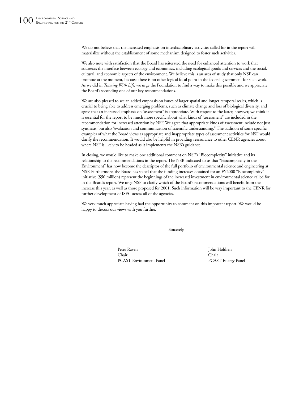We do not believe that the increased emphasis on interdisciplinary activities called for in the report will materialize without the establishment of some mechanism designed to foster such activities.

We also note with satisfaction that the Board has reiterated the need for enhanced attention to work that addresses the interface between ecology and economics, including ecological goods and services and the social, cultural, and economic aspects of the environment. We believe this is an area of study that only NSF can promote at the moment, because there is no other logical focal point in the federal government for such work. As we did in *Teaming With Life,* we urge the Foundation to find a way to make this possible and we appreciate the Board's seconding one of our key recommendations.

We are also pleased to see an added emphasis on issues of larger spatial and longer temporal scales, which is crucial to being able to address emerging problems, such as climate change and loss of biological diversity, and agree that an increased emphasis on "assessment" is appropriate. With respect to the latter, however, we think it is essential for the report to be much more specific about what kinds of "assessment" are included in the recommendation for increased attention by NSF. We agree that appropriate kinds of assessment include not just synthesis, but also "evaluation and communication of scientific understanding." The addition of some specific examples of what the Board views as appropriate and inappropriate types of assessment activities for NSF would clarify the recommendation. It would also be helpful in providing reassurance to other CENR agencies about where NSF is likely to be headed as it implements the NSB's guidance.

In closing, we would like to make one additional comment on NSF's "Biocomplexity" initiative and its relationship to the recommendations in the report. The NSB indicated to us that "Biocomplexity in the Environment" has now become the descriptor of the full portfolio of environmental science and engineering at NSF. Furthermore, the Board has stated that the funding increases obtained for an FY2000 "Biocomplexity" initiative (\$50 million) represent the beginnings of the increased investment in environmental science called for in the Board's report. We urge NSF to clarify which of the Board's recommendations will benefit from the increase this year, as well as those proposed for 2001. Such information will be very important to the CENR for further development of ISEC across all of the agencies.

We very much appreciate having had the opportunity to comment on this important report. We would be happy to discuss our views with you further.

Sincerely,

Peter Raven John Holdren Chair Chair PCAST Environment Panel PCAST Energy Panel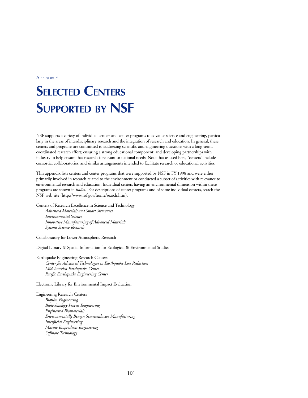APPENDIX F

## **SELECTED CENTERS SUPPORTED BY NSF**

NSF supports a variety of individual centers and center programs to advance science and engineering, particularly in the areas of interdisciplinary research and the integration of research and education. In general, these centers and programs are committed to addressing scientific and engineering questions with a long-term, coordinated research effort; ensuring a strong educational component; and developing partnerships with industry to help ensure that research is relevant to national needs. Note that as used here, "centers" include consortia, collaboratories, and similar arrangements intended to facilitate research or educational activities.

This appendix lists centers and center programs that were supported by NSF in FY 1998 and were either primarily involved in research related to the environment or conducted a subset of activities with relevance to environmental research and education. Individual centers having an environmental dimension within these programs are shown in *italics*. For descriptions of center programs and of some individual centers, search the NSF web sit[e \(http://www.nsf.gov/home/search.htm\)](http://www.nsf.gov/home/search.htm).

Centers of Research Excellence in Science and Technology *Advanced Materials and Smart Structures Environmental Science*

*Innovative Manufacturing of Advanced Materials Systems Science Research*

Collaboratory for Lower Atmospheric Research

Digital Library & Spatial Information for Ecological & Environmental Studies

Earthquake Engineering Research Centers *Center for Advanced Technologies in Earthquake Loss Reduction Mid-America Earthquake Center Pacific Earthquake Engineering Center*

Electronic Library for Environmental Impact Evaluation

Engineering Research Centers *Biofilm Engineering Biotechnology Process Engineering Engineered Biomaterials Environmentally Benign Semiconductor Manufacturing Interfacial Engineering Marine Bioproducts Engineering Offshore Technology*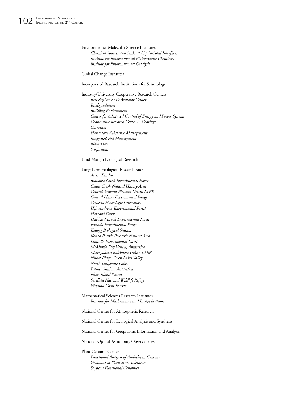Environmental Molecular Science Institutes *Chemical Sources and Sinks at Liquid/Solid Interfaces Institute for Environmental Bioinorganic Chemistry Institute for Environmental Catalysis*

Global Change Institutes

Incorporated Research Institutions for Seismology

Industry/University Cooperative Research Centers *Berkeley Sensor & Actuator Center Biodegradation Building Environment Center for Advanced Control of Energy and Power Systems Cooperative Research Center in Coatings Corrosion Hazardous Substance Management Integrated Pest Management Biosurfaces Surfactants*

Land Margin Ecological Research

Long Term Ecological Research Sites *Arctic Tundra Bonanza Creek Experimental Forest Cedar Creek Natural History Area Central Arizona-Phoenix Urban LTER Central Plains Experimental Range Coweeta Hydrologic Laboratory H.J. Andrews Experimental Forest Harvard Forest Hubbard Brook Experimental Forest Jornada Experimental Range Kellogg Biological Station Konza Prairie Research Natural Area Luquillo Experimental Forest McMurdo Dry Valleys, Antarctica Metropolitan Baltimore Urban LTER Niwot Ridge-Green Lakes Valley North Temperate Lakes Palmer Station, Antarctica Plum Island Sound Sevilleta National Wildlife Refuge Virginia Coast Reserve*

Mathematical Sciences Research Institutes *Institute for Mathematics and Its Applications*

National Center for Atmospheric Research

National Center for Ecological Analysis and Synthesis

National Center for Geographic Information and Analysis

National Optical Astronomy Observatories

Plant Genome Centers *Functional Analysis of Arabidopsis Genome Genomics of Plant Stress Tolerance Soybean Functional Genomics*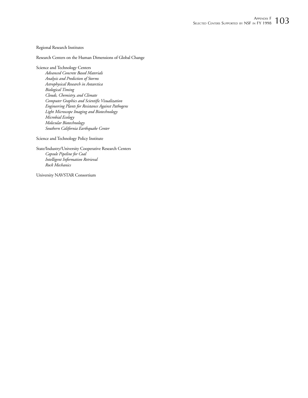Regional Research Institutes

Research Centers on the Human Dimensions of Global Change

Science and Technology Centers

*Advanced Concrete Based Materials Analysis and Prediction of Storms Astrophysical Research in Antarctica Biological Timing Clouds, Chemistry, and Climate Computer Graphics and Scientific Visualization Engineering Plants for Resistance Against Pathogens Light Microscope Imaging and Biotechnology Microbial Ecology Molecular Biotechnology Southern California Earthquake Center*

Science and Technology Policy Institute

State/Industry/University Cooperative Research Centers *Capsule Pipeline for Coal Intelligent Information Retrieval Rock Mechanics*

University NAVSTAR Consortium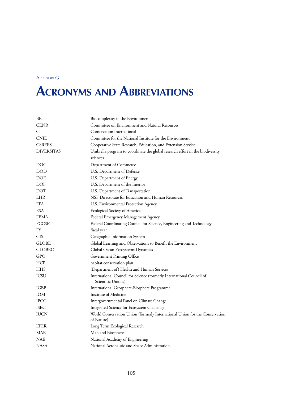## APPENDIX G

## **ACRONYMS AND ABBREVIATIONS**

| ВE                | Biocomplexity in the Environment                                                           |
|-------------------|--------------------------------------------------------------------------------------------|
| <b>CENR</b>       | Committee on Environment and Natural Resources                                             |
| CI                | Conservation International                                                                 |
| <b>CNIE</b>       | Committee for the National Institute for the Environment                                   |
| <b>CSREES</b>     | Cooperative State Research, Education, and Extension Service                               |
| <b>DIVERSITAS</b> | Umbrella program to coordinate the global research effort in the biodiversity              |
|                   | sciences                                                                                   |
| DOC               | Department of Commerce                                                                     |
| DOD               | U.S. Department of Defense                                                                 |
| DOE               | U.S. Department of Energy                                                                  |
| DOI               | U.S. Department of the Interior                                                            |
| DOT               | U.S. Department of Transportation                                                          |
| EHR               | NSF Directorate for Education and Human Resources                                          |
| <b>EPA</b>        | U.S. Environmental Protection Agency                                                       |
| <b>ESA</b>        | Ecological Society of America                                                              |
| <b>FEMA</b>       | Federal Emergency Management Agency                                                        |
| <b>FCCSET</b>     | Federal Coordinating Council for Science, Engineering and Technology                       |
| FY                | fiscal year                                                                                |
| <b>GIS</b>        | Geographic Information System                                                              |
| <b>GLOBE</b>      | Global Learning and Observations to Benefit the Environment                                |
| <b>GLOBEC</b>     | Global Ocean Ecosystems Dynamics                                                           |
| GPO               | Government Printing Office                                                                 |
| <b>HCP</b>        | habitat conservation plan                                                                  |
| HHS               | (Department of) Health and Human Services                                                  |
| ICSU              | International Council for Science (formerly International Council of<br>Scientific Unions) |
| <b>IGBP</b>       | International Geosphere-Biosphere Programme                                                |
| ЮM                | Institute of Medicine                                                                      |
| <b>IPCC</b>       | Intergovernmental Panel on Climate Change                                                  |
| ISEC              | Integrated Science for Ecosystem Challenge                                                 |
| <b>IUCN</b>       | World Conservation Union (formerly International Union for the Conservation<br>of Nature)  |
| <b>LTER</b>       | Long Term Ecological Research                                                              |
| MAB               | Man and Biosphere                                                                          |
| NAE               | National Academy of Engineering                                                            |
| NASA              | National Aeronautic and Space Administration                                               |
|                   |                                                                                            |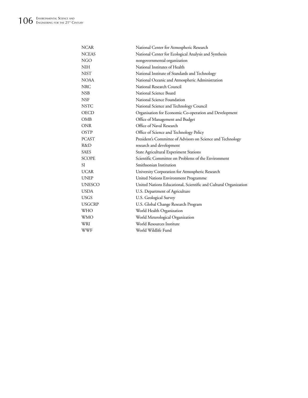| <b>NCAR</b>   | National Center for Atmospheric Research                         |
|---------------|------------------------------------------------------------------|
| <b>NCEAS</b>  | National Center for Ecological Analysis and Synthesis            |
| <b>NGO</b>    | nongovernmental organization                                     |
| NIH           | National Institutes of Health                                    |
| <b>NIST</b>   | National Institute of Standards and Technology                   |
| <b>NOAA</b>   | National Oceanic and Atmospheric Administration                  |
| <b>NRC</b>    | National Research Council                                        |
| <b>NSB</b>    | National Science Board                                           |
| <b>NSF</b>    | National Science Foundation                                      |
| <b>NSTC</b>   | National Science and Technology Council                          |
| <b>OECD</b>   | Organisation for Economic Co-operation and Development           |
| OMB           | Office of Management and Budget                                  |
| <b>ONR</b>    | Office of Naval Research                                         |
| <b>OSTP</b>   | Office of Science and Technology Policy                          |
| <b>PCAST</b>  | President's Committee of Advisors on Science and Technology      |
| R&D           | research and development                                         |
| <b>SAES</b>   | State Agricultural Experiment Stations                           |
| <b>SCOPE</b>  | Scientific Committee on Problems of the Environment              |
| SI.           | Smithsonian Institution                                          |
| <b>UCAR</b>   | University Corporation for Atmospheric Research                  |
| <b>UNEP</b>   | United Nations Environment Programme                             |
| <b>UNESCO</b> | United Nations Educational, Scientific and Cultural Organization |
| <b>USDA</b>   | U.S. Department of Agriculture                                   |
| <b>USGS</b>   | U.S. Geological Survey                                           |
| <b>USGCRP</b> | U.S. Global Change Research Program                              |
| <b>WHO</b>    | World Health Organization                                        |
| <b>WMO</b>    | World Meterological Organization                                 |
| WRI           | World Resources Institute                                        |
| WWF           | World Wildlife Fund                                              |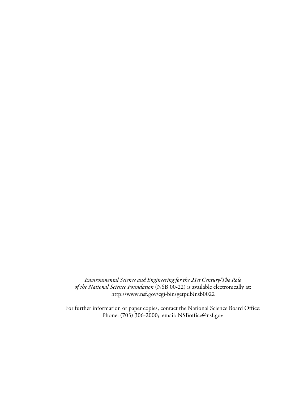*Environmental Science and Engineering for the 21st Century/The Role of the National Science Foundation* (NSB 00-22) is available electronically at: http://www.nsf.gov/cgi-bin/getpub?nsb0022

For further information or paper copies, contact the National Science Board Office: Phone: (703) 306-2000; email: NSBoffice@nsf.gov